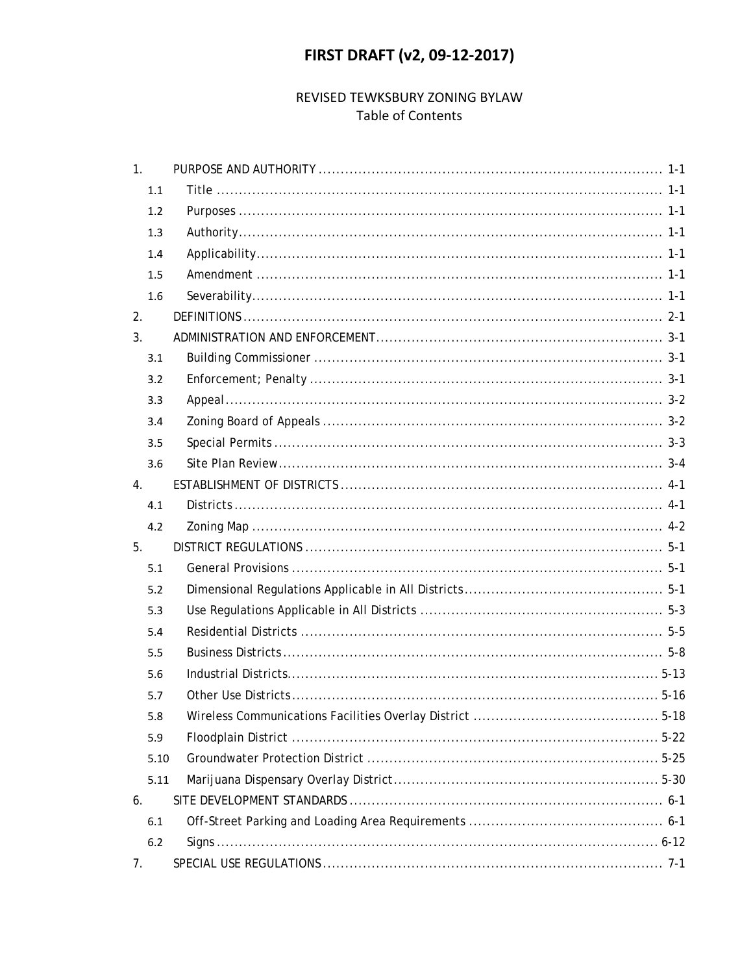# **FIRST DRAFT (v2, 09-12-2017)**

## REVISED TEWKSBURY ZONING BYLAW **Table of Contents**

| 1.   |  |
|------|--|
| 1.1  |  |
| 1.2  |  |
| 1.3  |  |
| 1.4  |  |
| 1.5  |  |
| 1.6  |  |
| 2.   |  |
| 3.   |  |
| 3.1  |  |
| 3.2  |  |
| 3.3  |  |
| 3.4  |  |
| 3.5  |  |
| 3.6  |  |
| 4.   |  |
| 4.1  |  |
| 4.2  |  |
| 5.   |  |
| 5.1  |  |
| 5.2  |  |
| 5.3  |  |
| 5.4  |  |
| 5.5  |  |
| 5.6  |  |
| 5.7  |  |
|      |  |
| 5.8  |  |
| 5.9  |  |
| 5.10 |  |
| 5.11 |  |
| 6.   |  |
| 6.1  |  |
| 6.2  |  |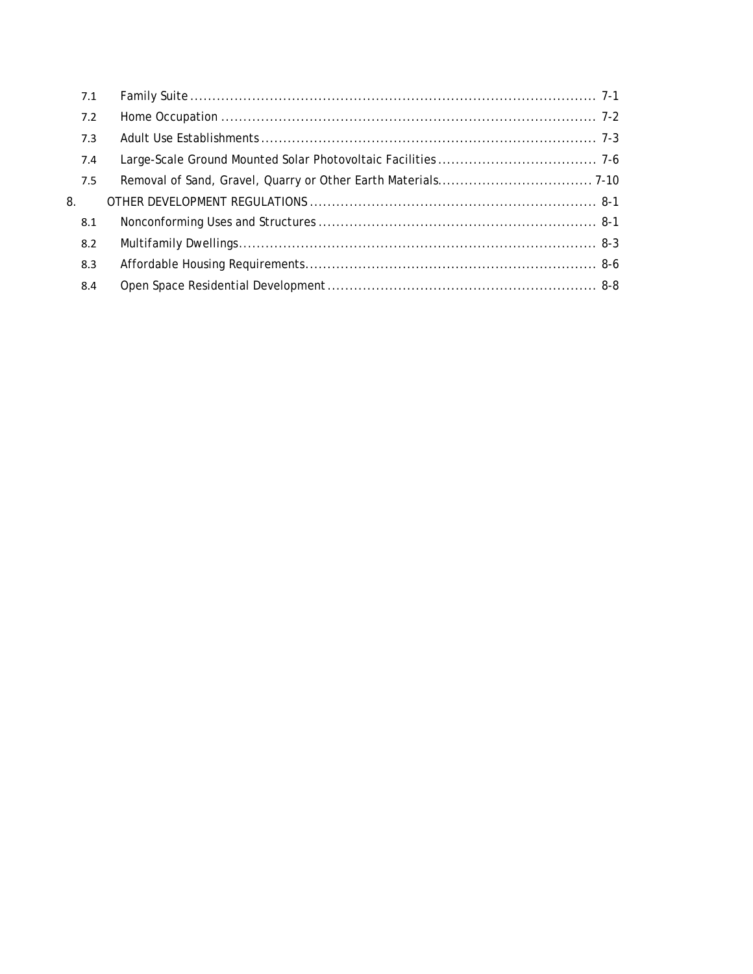| 7.1 |  |
|-----|--|
| 7.2 |  |
| 7.3 |  |
| 7.4 |  |
| 7.5 |  |
| 8.  |  |
| 8.1 |  |
| 8.2 |  |
| 8.3 |  |
| 8.4 |  |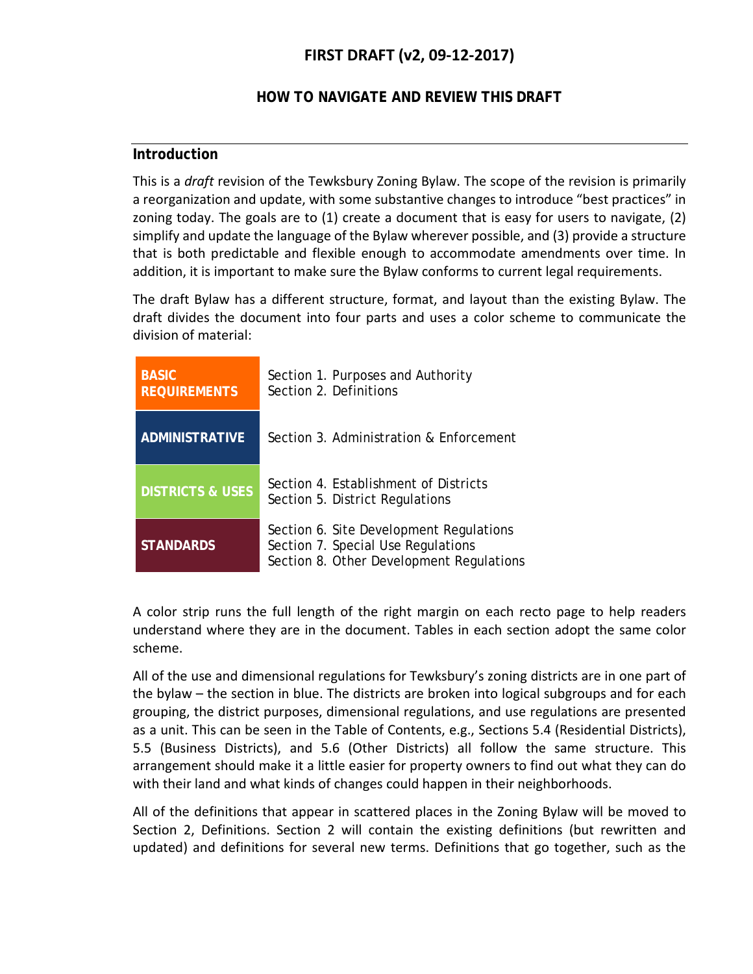# **FIRST DRAFT (v2, 09-12-2017)**

### **HOW TO NAVIGATE AND REVIEW THIS DRAFT**

### **Introduction**

This is a *draft* revision of the Tewksbury Zoning Bylaw. The scope of the revision is primarily a reorganization and update, with some substantive changes to introduce "best practices" in zoning today. The goals are to (1) create a document that is easy for users to navigate, (2) simplify and update the language of the Bylaw wherever possible, and (3) provide a structure that is both predictable and flexible enough to accommodate amendments over time. In addition, it is important to make sure the Bylaw conforms to current legal requirements.

The draft Bylaw has a different structure, format, and layout than the existing Bylaw. The draft divides the document into four parts and uses a color scheme to communicate the division of material:

| <b>BASIC</b><br><b>REQUIREMENTS</b> | Section 1. Purposes and Authority<br>Section 2. Definitions                                                               |
|-------------------------------------|---------------------------------------------------------------------------------------------------------------------------|
| <b>ADMINISTRATIVE</b>               | Section 3. Administration & Enforcement                                                                                   |
| <b>DISTRICTS &amp; USES</b>         | Section 4. Establishment of Districts<br>Section 5. District Regulations                                                  |
| <b>STANDARDS</b>                    | Section 6. Site Development Regulations<br>Section 7. Special Use Regulations<br>Section 8. Other Development Regulations |

A color strip runs the full length of the right margin on each recto page to help readers understand where they are in the document. Tables in each section adopt the same color scheme.

All of the use and dimensional regulations for Tewksbury's zoning districts are in one part of the bylaw – the section in blue. The districts are broken into logical subgroups and for each grouping, the district purposes, dimensional regulations, and use regulations are presented as a unit. This can be seen in the Table of Contents, e.g., Sections 5.4 (Residential Districts), 5.5 (Business Districts), and 5.6 (Other Districts) all follow the same structure. This arrangement should make it a little easier for property owners to find out what they can do with their land and what kinds of changes could happen in their neighborhoods.

All of the definitions that appear in scattered places in the Zoning Bylaw will be moved to Section 2, Definitions. Section 2 will contain the existing definitions (but rewritten and updated) and definitions for several new terms. Definitions that go together, such as the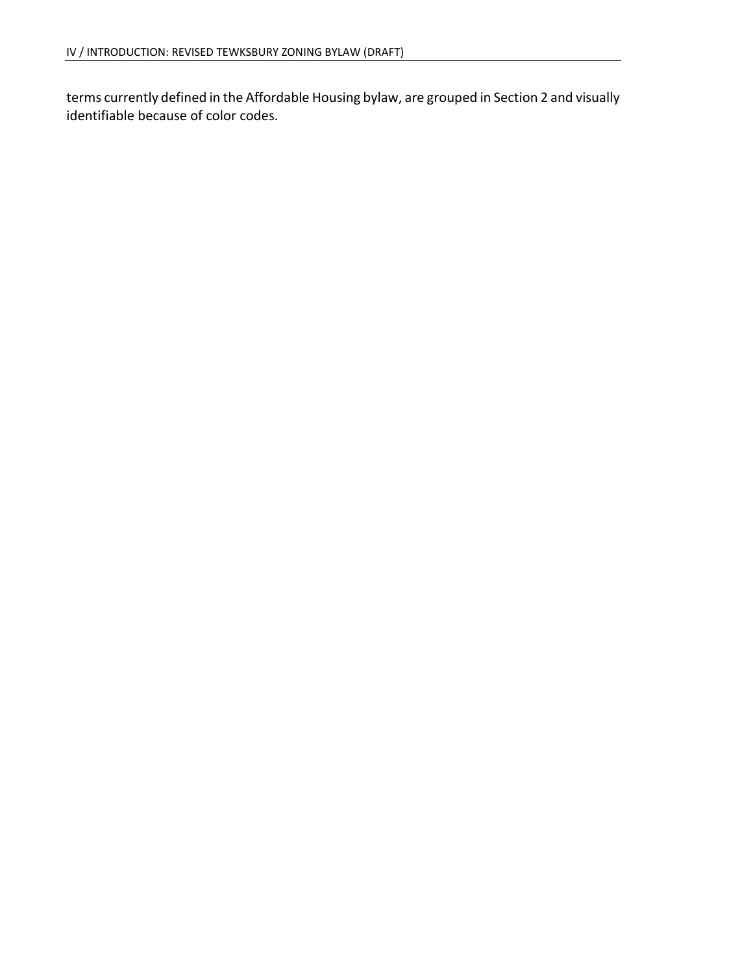terms currently defined in the Affordable Housing bylaw, are grouped in Section 2 and visually identifiable because of color codes.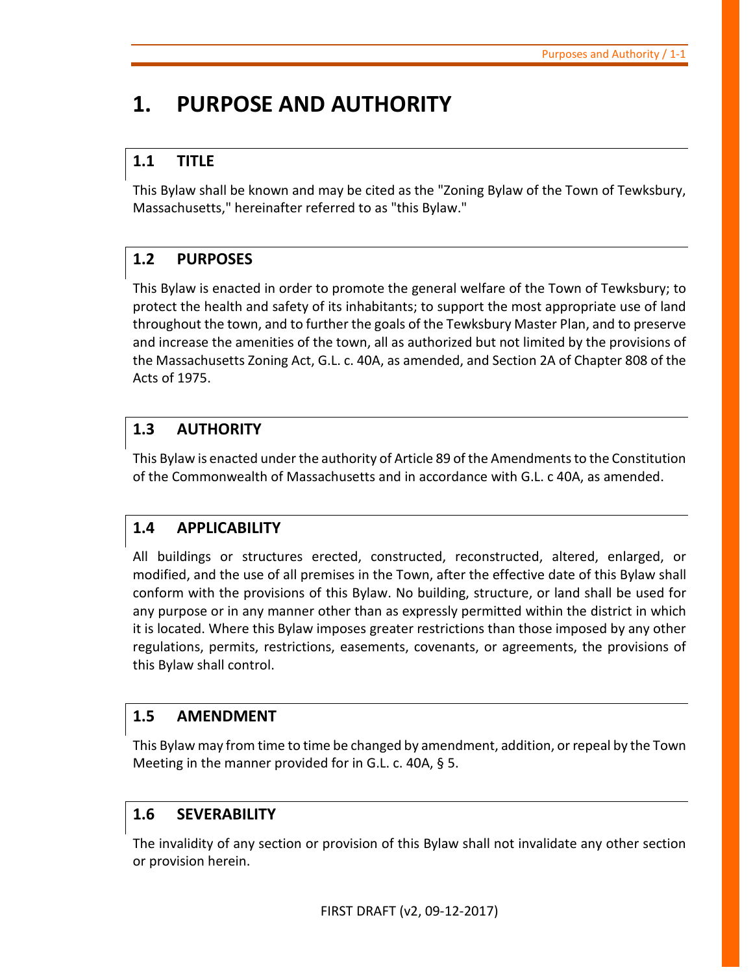# <span id="page-4-0"></span>**1. PURPOSE AND AUTHORITY**

# <span id="page-4-1"></span>**1.1 TITLE**

This Bylaw shall be known and may be cited as the "Zoning Bylaw of the Town of Tewksbury, Massachusetts," hereinafter referred to as "this Bylaw."

# <span id="page-4-2"></span>**1.2 PURPOSES**

This Bylaw is enacted in order to promote the general welfare of the Town of Tewksbury; to protect the health and safety of its inhabitants; to support the most appropriate use of land throughout the town, and to further the goals of the Tewksbury Master Plan, and to preserve and increase the amenities of the town, all as authorized but not limited by the provisions of the Massachusetts Zoning Act, G.L. c. 40A, as amended, and Section 2A of Chapter 808 of the Acts of 1975.

# <span id="page-4-3"></span>**1.3 AUTHORITY**

This Bylaw is enacted under the authority of Article 89 of the Amendments to the Constitution of the Commonwealth of Massachusetts and in accordance with G.L. c 40A, as amended.

# <span id="page-4-4"></span>**1.4 APPLICABILITY**

All buildings or structures erected, constructed, reconstructed, altered, enlarged, or modified, and the use of all premises in the Town, after the effective date of this Bylaw shall conform with the provisions of this Bylaw. No building, structure, or land shall be used for any purpose or in any manner other than as expressly permitted within the district in which it is located. Where this Bylaw imposes greater restrictions than those imposed by any other regulations, permits, restrictions, easements, covenants, or agreements, the provisions of this Bylaw shall control.

## <span id="page-4-5"></span>**1.5 AMENDMENT**

This Bylaw may from time to time be changed by amendment, addition, or repeal by the Town Meeting in the manner provided for in G.L. c. 40A, § 5.

# <span id="page-4-6"></span>**1.6 SEVERABILITY**

The invalidity of any section or provision of this Bylaw shall not invalidate any other section or provision herein.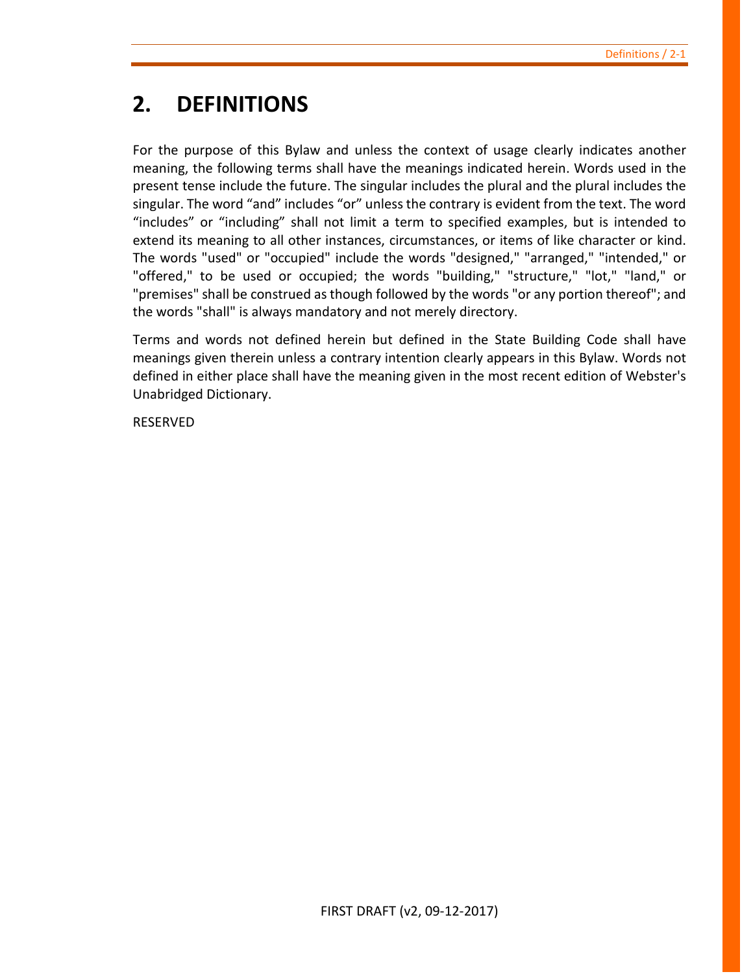# <span id="page-6-0"></span>**2. DEFINITIONS**

For the purpose of this Bylaw and unless the context of usage clearly indicates another meaning, the following terms shall have the meanings indicated herein. Words used in the present tense include the future. The singular includes the plural and the plural includes the singular. The word "and" includes "or" unless the contrary is evident from the text. The word "includes" or "including" shall not limit a term to specified examples, but is intended to extend its meaning to all other instances, circumstances, or items of like character or kind. The words "used" or "occupied" include the words "designed," "arranged," "intended," or "offered," to be used or occupied; the words "building," "structure," "lot," "land," or "premises" shall be construed as though followed by the words "or any portion thereof"; and the words "shall" is always mandatory and not merely directory.

Terms and words not defined herein but defined in the State Building Code shall have meanings given therein unless a contrary intention clearly appears in this Bylaw. Words not defined in either place shall have the meaning given in the most recent edition of Webster's Unabridged Dictionary.

RESERVED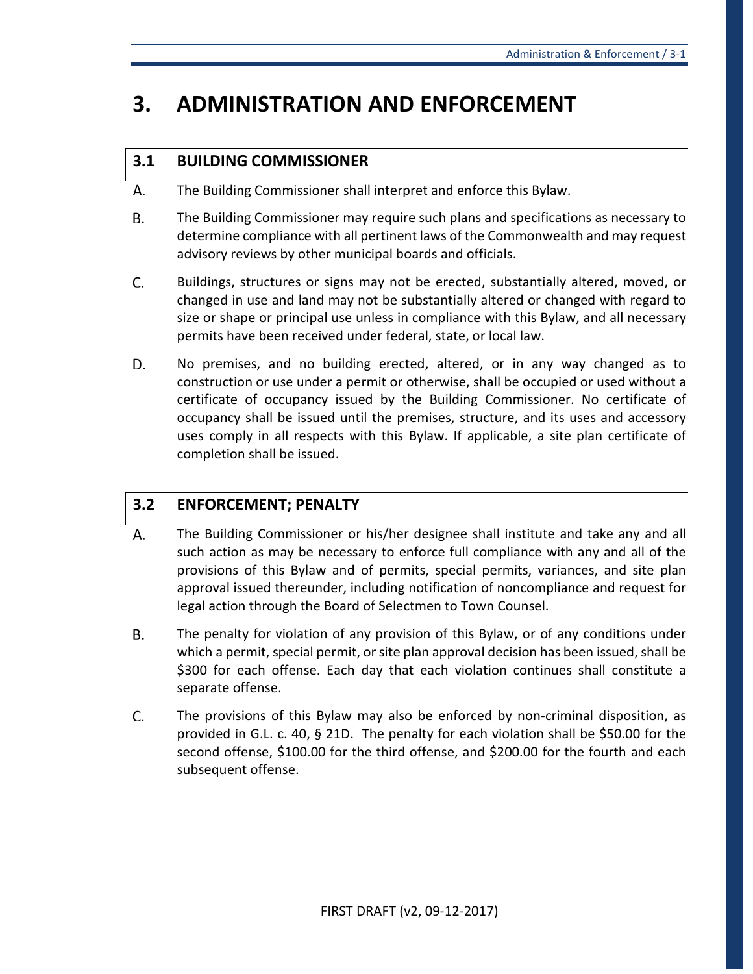# <span id="page-8-0"></span>**3. ADMINISTRATION AND ENFORCEMENT**

# <span id="page-8-1"></span>**3.1 BUILDING COMMISSIONER**

- А. The Building Commissioner shall interpret and enforce this Bylaw.
- В. The Building Commissioner may require such plans and specifications as necessary to determine compliance with all pertinent laws of the Commonwealth and may request advisory reviews by other municipal boards and officials.
- C. Buildings, structures or signs may not be erected, substantially altered, moved, or changed in use and land may not be substantially altered or changed with regard to size or shape or principal use unless in compliance with this Bylaw, and all necessary permits have been received under federal, state, or local law.
- D. No premises, and no building erected, altered, or in any way changed as to construction or use under a permit or otherwise, shall be occupied or used without a certificate of occupancy issued by the Building Commissioner. No certificate of occupancy shall be issued until the premises, structure, and its uses and accessory uses comply in all respects with this Bylaw. If applicable, a site plan certificate of completion shall be issued.

# <span id="page-8-2"></span>**3.2 ENFORCEMENT; PENALTY**

- А. The Building Commissioner or his/her designee shall institute and take any and all such action as may be necessary to enforce full compliance with any and all of the provisions of this Bylaw and of permits, special permits, variances, and site plan approval issued thereunder, including notification of noncompliance and request for legal action through the Board of Selectmen to Town Counsel.
- В. The penalty for violation of any provision of this Bylaw, or of any conditions under which a permit, special permit, or site plan approval decision has been issued, shall be \$300 for each offense. Each day that each violation continues shall constitute a separate offense.
- C. The provisions of this Bylaw may also be enforced by non-criminal disposition, as provided in G.L. c. 40, § 21D. The penalty for each violation shall be \$50.00 for the second offense, \$100.00 for the third offense, and \$200.00 for the fourth and each subsequent offense.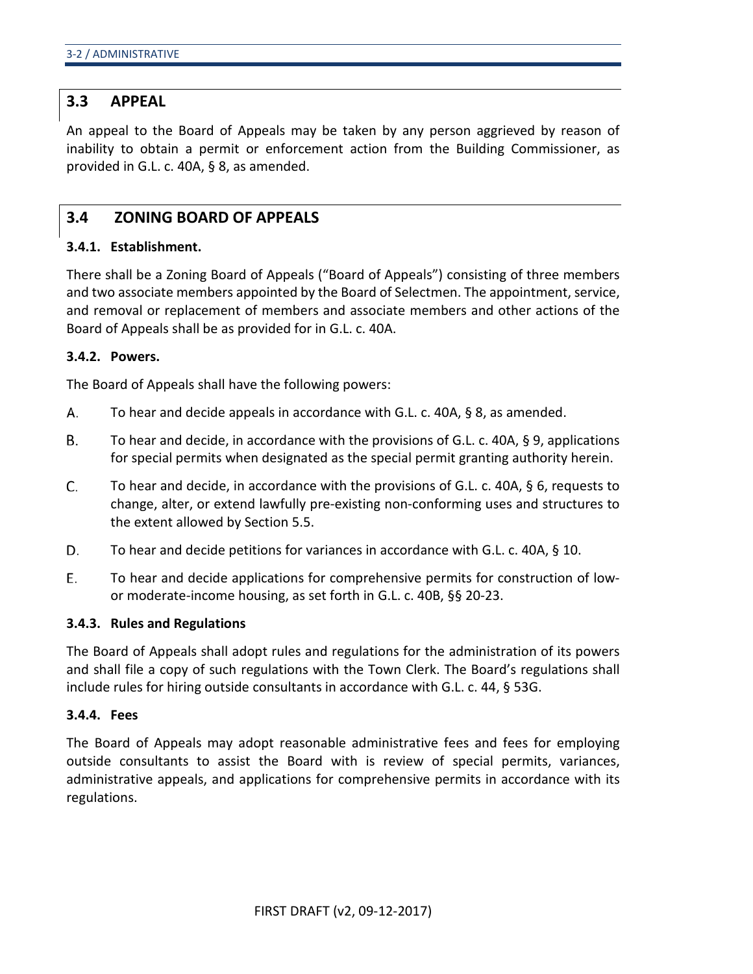## <span id="page-9-0"></span>**3.3 APPEAL**

An appeal to the Board of Appeals may be taken by any person aggrieved by reason of inability to obtain a permit or enforcement action from the Building Commissioner, as provided in G.L. c. 40A, § 8, as amended.

### <span id="page-9-1"></span>**3.4 ZONING BOARD OF APPEALS**

### **3.4.1. Establishment.**

There shall be a Zoning Board of Appeals ("Board of Appeals") consisting of three members and two associate members appointed by the Board of Selectmen. The appointment, service, and removal or replacement of members and associate members and other actions of the Board of Appeals shall be as provided for in G.L. c. 40A.

### **3.4.2. Powers.**

The Board of Appeals shall have the following powers:

- А. To hear and decide appeals in accordance with G.L. c. 40A, § 8, as amended.
- **B.** To hear and decide, in accordance with the provisions of G.L. c. 40A, § 9, applications for special permits when designated as the special permit granting authority herein.
- C. To hear and decide, in accordance with the provisions of G.L. c. 40A, § 6, requests to change, alter, or extend lawfully pre-existing non-conforming uses and structures to the extent allowed by Section 5.5.
- D. To hear and decide petitions for variances in accordance with G.L. c. 40A, § 10.
- E. To hear and decide applications for comprehensive permits for construction of lowor moderate-income housing, as set forth in G.L. c. 40B, §§ 20-23.

#### **3.4.3. Rules and Regulations**

The Board of Appeals shall adopt rules and regulations for the administration of its powers and shall file a copy of such regulations with the Town Clerk. The Board's regulations shall include rules for hiring outside consultants in accordance with G.L. c. 44, § 53G.

#### **3.4.4. Fees**

The Board of Appeals may adopt reasonable administrative fees and fees for employing outside consultants to assist the Board with is review of special permits, variances, administrative appeals, and applications for comprehensive permits in accordance with its regulations.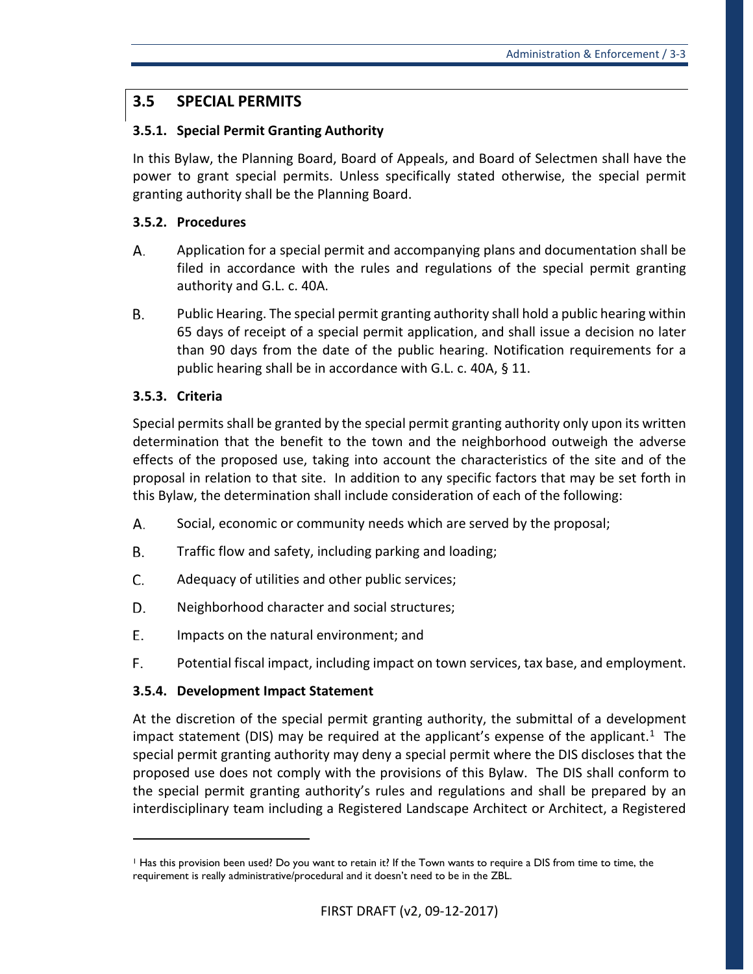# <span id="page-10-0"></span>**3.5 SPECIAL PERMITS**

### **3.5.1. Special Permit Granting Authority**

In this Bylaw, the Planning Board, Board of Appeals, and Board of Selectmen shall have the power to grant special permits. Unless specifically stated otherwise, the special permit granting authority shall be the Planning Board.

### **3.5.2. Procedures**

- А. Application for a special permit and accompanying plans and documentation shall be filed in accordance with the rules and regulations of the special permit granting authority and G.L. c. 40A.
- B. Public Hearing. The special permit granting authority shall hold a public hearing within 65 days of receipt of a special permit application, and shall issue a decision no later than 90 days from the date of the public hearing. Notification requirements for a public hearing shall be in accordance with G.L. c. 40A, § 11.

### **3.5.3. Criteria**

 $\overline{a}$ 

Special permits shall be granted by the special permit granting authority only upon its written determination that the benefit to the town and the neighborhood outweigh the adverse effects of the proposed use, taking into account the characteristics of the site and of the proposal in relation to that site. In addition to any specific factors that may be set forth in this Bylaw, the determination shall include consideration of each of the following:

- А. Social, economic or community needs which are served by the proposal;
- B. Traffic flow and safety, including parking and loading;
- C. Adequacy of utilities and other public services;
- D. Neighborhood character and social structures;
- E. Impacts on the natural environment; and
- F. Potential fiscal impact, including impact on town services, tax base, and employment.

### **3.5.4. Development Impact Statement**

At the discretion of the special permit granting authority, the submittal of a development impact statement (DIS) may be required at the applicant's expense of the applicant.<sup>1</sup> The special permit granting authority may deny a special permit where the DIS discloses that the proposed use does not comply with the provisions of this Bylaw. The DIS shall conform to the special permit granting authority's rules and regulations and shall be prepared by an interdisciplinary team including a Registered Landscape Architect or Architect, a Registered

<span id="page-10-1"></span><sup>1</sup> Has this provision been used? Do you want to retain it? If the Town wants to require a DIS from time to time, the requirement is really administrative/procedural and it doesn't need to be in the ZBL.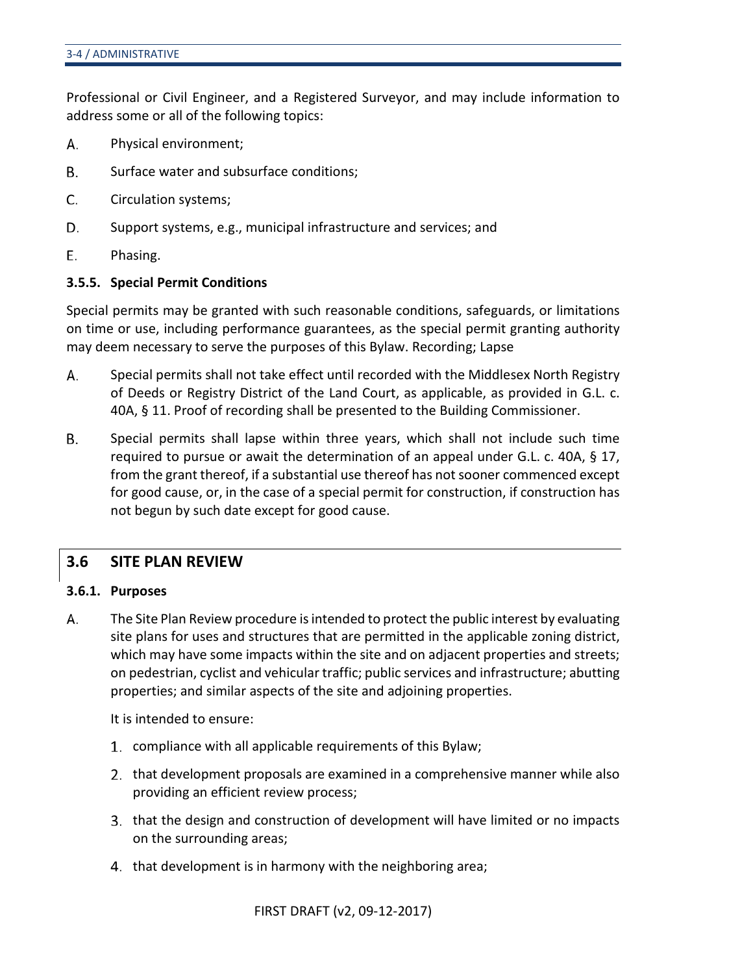Professional or Civil Engineer, and a Registered Surveyor, and may include information to address some or all of the following topics:

- А. Physical environment;
- $\mathsf{B}$ . Surface water and subsurface conditions;
- C. Circulation systems;
- D. Support systems, e.g., municipal infrastructure and services; and
- Е. Phasing.

#### **3.5.5. Special Permit Conditions**

Special permits may be granted with such reasonable conditions, safeguards, or limitations on time or use, including performance guarantees, as the special permit granting authority may deem necessary to serve the purposes of this Bylaw. Recording; Lapse

- А. Special permits shall not take effect until recorded with the Middlesex North Registry of Deeds or Registry District of the Land Court, as applicable, as provided in G.L. c. 40A, § 11. Proof of recording shall be presented to the Building Commissioner.
- Β. Special permits shall lapse within three years, which shall not include such time required to pursue or await the determination of an appeal under G.L. c. 40A, § 17, from the grant thereof, if a substantial use thereof has not sooner commenced except for good cause, or, in the case of a special permit for construction, if construction has not begun by such date except for good cause.

### <span id="page-11-0"></span>**3.6 SITE PLAN REVIEW**

#### **3.6.1. Purposes**

The Site Plan Review procedure is intended to protect the public interest by evaluating А. site plans for uses and structures that are permitted in the applicable zoning district, which may have some impacts within the site and on adjacent properties and streets; on pedestrian, cyclist and vehicular traffic; public services and infrastructure; abutting properties; and similar aspects of the site and adjoining properties.

It is intended to ensure:

- compliance with all applicable requirements of this Bylaw;
- that development proposals are examined in a comprehensive manner while also providing an efficient review process;
- that the design and construction of development will have limited or no impacts on the surrounding areas;
- 4. that development is in harmony with the neighboring area;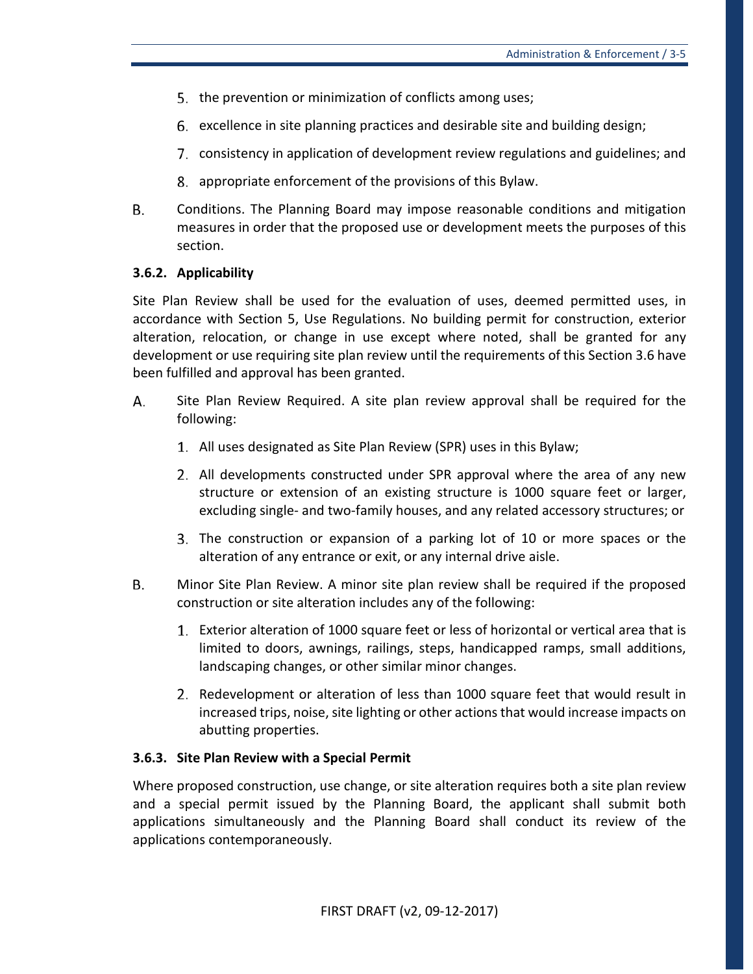- 5. the prevention or minimization of conflicts among uses;
- excellence in site planning practices and desirable site and building design;
- consistency in application of development review regulations and guidelines; and
- 8. appropriate enforcement of the provisions of this Bylaw.
- В. Conditions. The Planning Board may impose reasonable conditions and mitigation measures in order that the proposed use or development meets the purposes of this section.

### **3.6.2. Applicability**

Site Plan Review shall be used for the evaluation of uses, deemed permitted uses, in accordance with Section 5, Use Regulations. No building permit for construction, exterior alteration, relocation, or change in use except where noted, shall be granted for any development or use requiring site plan review until the requirements of this Section 3.6 have been fulfilled and approval has been granted.

- А. Site Plan Review Required. A site plan review approval shall be required for the following:
	- All uses designated as Site Plan Review (SPR) uses in this Bylaw;
	- All developments constructed under SPR approval where the area of any new structure or extension of an existing structure is 1000 square feet or larger, excluding single- and two-family houses, and any related accessory structures; or
	- The construction or expansion of a parking lot of 10 or more spaces or the alteration of any entrance or exit, or any internal drive aisle.
- В. Minor Site Plan Review. A minor site plan review shall be required if the proposed construction or site alteration includes any of the following:
	- Exterior alteration of 1000 square feet or less of horizontal or vertical area that is limited to doors, awnings, railings, steps, handicapped ramps, small additions, landscaping changes, or other similar minor changes.
	- 2. Redevelopment or alteration of less than 1000 square feet that would result in increased trips, noise, site lighting or other actions that would increase impacts on abutting properties.

### **3.6.3. Site Plan Review with a Special Permit**

Where proposed construction, use change, or site alteration requires both a site plan review and a special permit issued by the Planning Board, the applicant shall submit both applications simultaneously and the Planning Board shall conduct its review of the applications contemporaneously.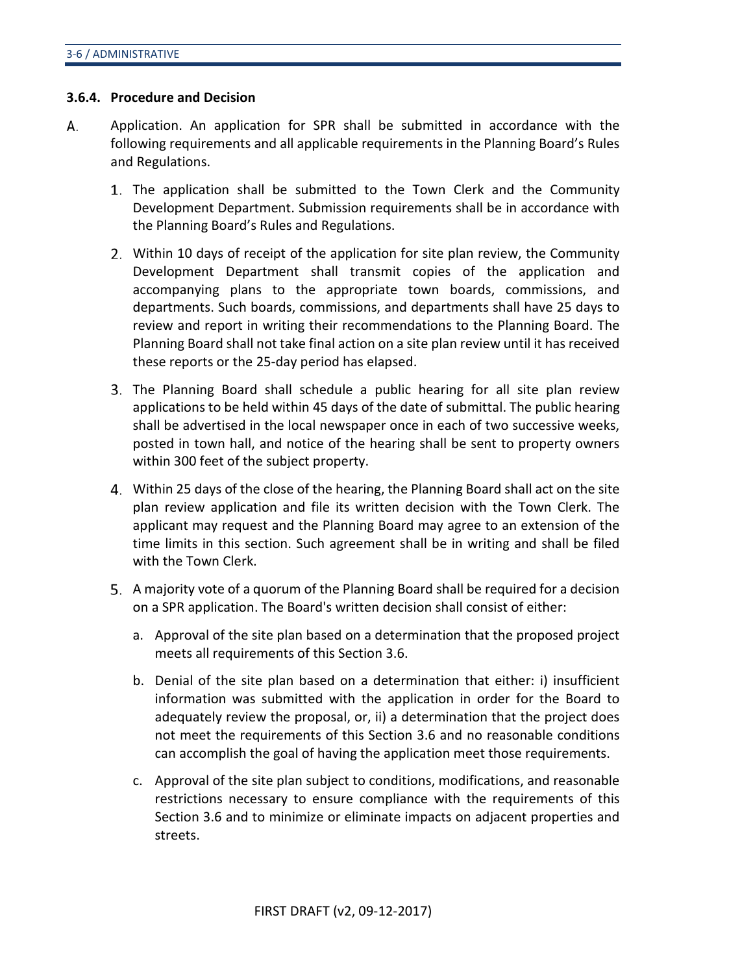#### **3.6.4. Procedure and Decision**

- А. Application. An application for SPR shall be submitted in accordance with the following requirements and all applicable requirements in the Planning Board's Rules and Regulations.
	- The application shall be submitted to the Town Clerk and the Community Development Department. Submission requirements shall be in accordance with the Planning Board's Rules and Regulations.
	- Within 10 days of receipt of the application for site plan review, the Community Development Department shall transmit copies of the application and accompanying plans to the appropriate town boards, commissions, and departments. Such boards, commissions, and departments shall have 25 days to review and report in writing their recommendations to the Planning Board. The Planning Board shall not take final action on a site plan review until it has received these reports or the 25-day period has elapsed.
	- The Planning Board shall schedule a public hearing for all site plan review applications to be held within 45 days of the date of submittal. The public hearing shall be advertised in the local newspaper once in each of two successive weeks, posted in town hall, and notice of the hearing shall be sent to property owners within 300 feet of the subject property.
	- Within 25 days of the close of the hearing, the Planning Board shall act on the site plan review application and file its written decision with the Town Clerk. The applicant may request and the Planning Board may agree to an extension of the time limits in this section. Such agreement shall be in writing and shall be filed with the Town Clerk.
	- A majority vote of a quorum of the Planning Board shall be required for a decision on a SPR application. The Board's written decision shall consist of either:
		- a. Approval of the site plan based on a determination that the proposed project meets all requirements of this Section 3.6.
		- b. Denial of the site plan based on a determination that either: i) insufficient information was submitted with the application in order for the Board to adequately review the proposal, or, ii) a determination that the project does not meet the requirements of this Section 3.6 and no reasonable conditions can accomplish the goal of having the application meet those requirements.
		- c. Approval of the site plan subject to conditions, modifications, and reasonable restrictions necessary to ensure compliance with the requirements of this Section 3.6 and to minimize or eliminate impacts on adjacent properties and streets.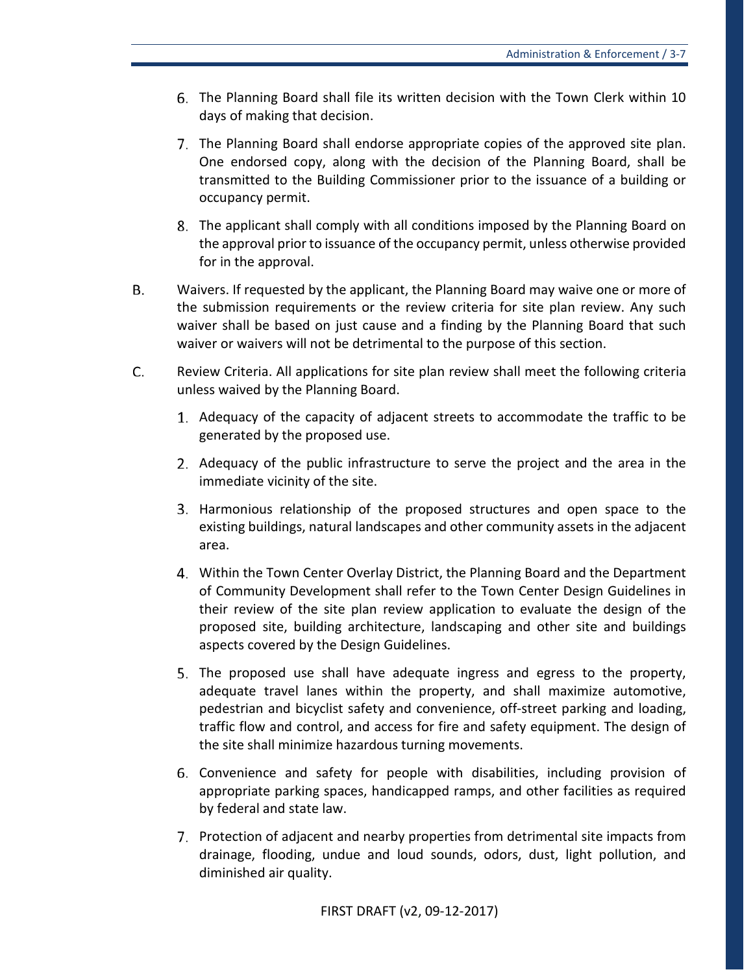- The Planning Board shall file its written decision with the Town Clerk within 10 days of making that decision.
- The Planning Board shall endorse appropriate copies of the approved site plan. One endorsed copy, along with the decision of the Planning Board, shall be transmitted to the Building Commissioner prior to the issuance of a building or occupancy permit.
- The applicant shall comply with all conditions imposed by the Planning Board on the approval prior to issuance of the occupancy permit, unless otherwise provided for in the approval.
- B. Waivers. If requested by the applicant, the Planning Board may waive one or more of the submission requirements or the review criteria for site plan review. Any such waiver shall be based on just cause and a finding by the Planning Board that such waiver or waivers will not be detrimental to the purpose of this section.
- C. Review Criteria. All applications for site plan review shall meet the following criteria unless waived by the Planning Board.
	- Adequacy of the capacity of adjacent streets to accommodate the traffic to be generated by the proposed use.
	- Adequacy of the public infrastructure to serve the project and the area in the immediate vicinity of the site.
	- 3. Harmonious relationship of the proposed structures and open space to the existing buildings, natural landscapes and other community assets in the adjacent area.
	- Within the Town Center Overlay District, the Planning Board and the Department of Community Development shall refer to the Town Center Design Guidelines in their review of the site plan review application to evaluate the design of the proposed site, building architecture, landscaping and other site and buildings aspects covered by the Design Guidelines.
	- The proposed use shall have adequate ingress and egress to the property, adequate travel lanes within the property, and shall maximize automotive, pedestrian and bicyclist safety and convenience, off-street parking and loading, traffic flow and control, and access for fire and safety equipment. The design of the site shall minimize hazardous turning movements.
	- Convenience and safety for people with disabilities, including provision of appropriate parking spaces, handicapped ramps, and other facilities as required by federal and state law.
	- Protection of adjacent and nearby properties from detrimental site impacts from drainage, flooding, undue and loud sounds, odors, dust, light pollution, and diminished air quality.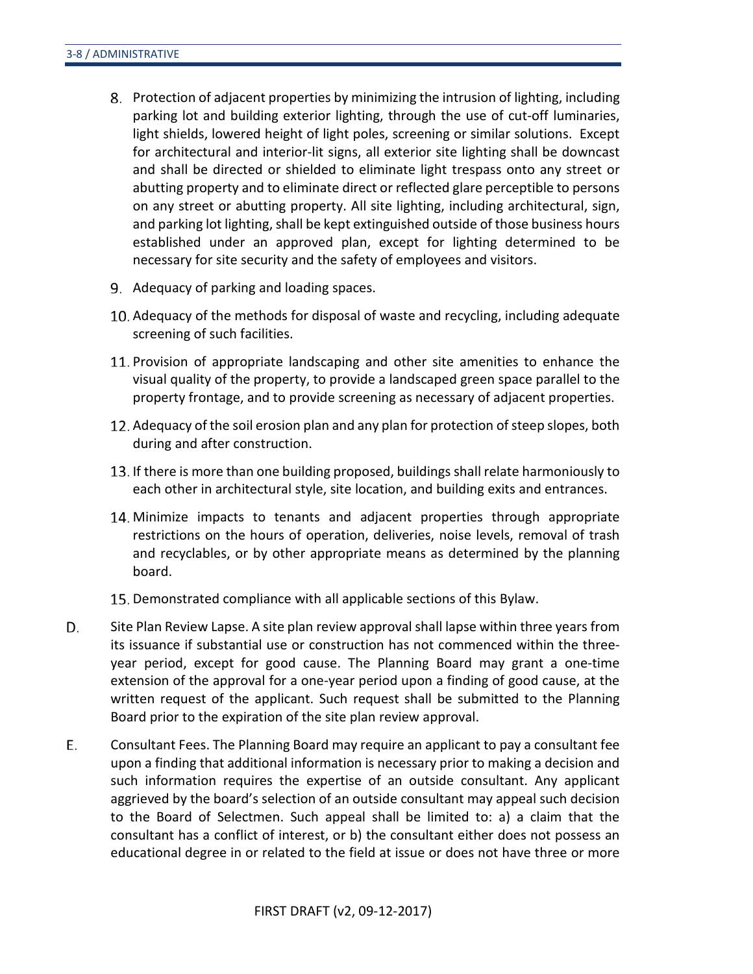- Protection of adjacent properties by minimizing the intrusion of lighting, including parking lot and building exterior lighting, through the use of cut-off luminaries, light shields, lowered height of light poles, screening or similar solutions. Except for architectural and interior-lit signs, all exterior site lighting shall be downcast and shall be directed or shielded to eliminate light trespass onto any street or abutting property and to eliminate direct or reflected glare perceptible to persons on any street or abutting property. All site lighting, including architectural, sign, and parking lot lighting, shall be kept extinguished outside of those business hours established under an approved plan, except for lighting determined to be necessary for site security and the safety of employees and visitors.
- 9. Adequacy of parking and loading spaces.
- 10. Adequacy of the methods for disposal of waste and recycling, including adequate screening of such facilities.
- 11. Provision of appropriate landscaping and other site amenities to enhance the visual quality of the property, to provide a landscaped green space parallel to the property frontage, and to provide screening as necessary of adjacent properties.
- Adequacy of the soil erosion plan and any plan for protection of steep slopes, both during and after construction.
- 13. If there is more than one building proposed, buildings shall relate harmoniously to each other in architectural style, site location, and building exits and entrances.
- Minimize impacts to tenants and adjacent properties through appropriate restrictions on the hours of operation, deliveries, noise levels, removal of trash and recyclables, or by other appropriate means as determined by the planning board.
- 15. Demonstrated compliance with all applicable sections of this Bylaw.
- D. Site Plan Review Lapse. A site plan review approval shall lapse within three years from its issuance if substantial use or construction has not commenced within the threeyear period, except for good cause. The Planning Board may grant a one-time extension of the approval for a one-year period upon a finding of good cause, at the written request of the applicant. Such request shall be submitted to the Planning Board prior to the expiration of the site plan review approval.
- Е. Consultant Fees. The Planning Board may require an applicant to pay a consultant fee upon a finding that additional information is necessary prior to making a decision and such information requires the expertise of an outside consultant. Any applicant aggrieved by the board's selection of an outside consultant may appeal such decision to the Board of Selectmen. Such appeal shall be limited to: a) a claim that the consultant has a conflict of interest, or b) the consultant either does not possess an educational degree in or related to the field at issue or does not have three or more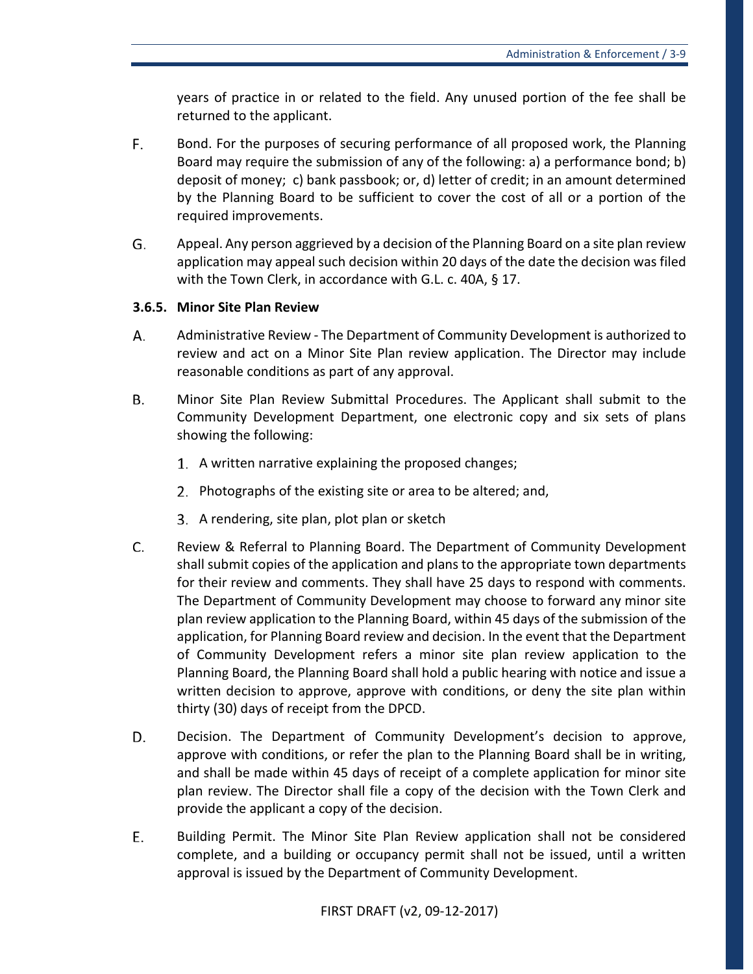years of practice in or related to the field. Any unused portion of the fee shall be returned to the applicant.

- F. Bond. For the purposes of securing performance of all proposed work, the Planning Board may require the submission of any of the following: a) a performance bond; b) deposit of money; c) bank passbook; or, d) letter of credit; in an amount determined by the Planning Board to be sufficient to cover the cost of all or a portion of the required improvements.
- G. Appeal. Any person aggrieved by a decision of the Planning Board on a site plan review application may appeal such decision within 20 days of the date the decision was filed with the Town Clerk, in accordance with G.L. c. 40A, § 17.

### **3.6.5. Minor Site Plan Review**

- А. Administrative Review - The Department of Community Development is authorized to review and act on a Minor Site Plan review application. The Director may include reasonable conditions as part of any approval.
- Β. Minor Site Plan Review Submittal Procedures. The Applicant shall submit to the Community Development Department, one electronic copy and six sets of plans showing the following:
	- 1. A written narrative explaining the proposed changes;
	- 2. Photographs of the existing site or area to be altered; and,
	- 3. A rendering, site plan, plot plan or sketch
- C. Review & Referral to Planning Board. The Department of Community Development shall submit copies of the application and plans to the appropriate town departments for their review and comments. They shall have 25 days to respond with comments. The Department of Community Development may choose to forward any minor site plan review application to the Planning Board, within 45 days of the submission of the application, for Planning Board review and decision. In the event that the Department of Community Development refers a minor site plan review application to the Planning Board, the Planning Board shall hold a public hearing with notice and issue a written decision to approve, approve with conditions, or deny the site plan within thirty (30) days of receipt from the DPCD.
- D. Decision. The Department of Community Development's decision to approve, approve with conditions, or refer the plan to the Planning Board shall be in writing, and shall be made within 45 days of receipt of a complete application for minor site plan review. The Director shall file a copy of the decision with the Town Clerk and provide the applicant a copy of the decision.
- E. Building Permit. The Minor Site Plan Review application shall not be considered complete, and a building or occupancy permit shall not be issued, until a written approval is issued by the Department of Community Development.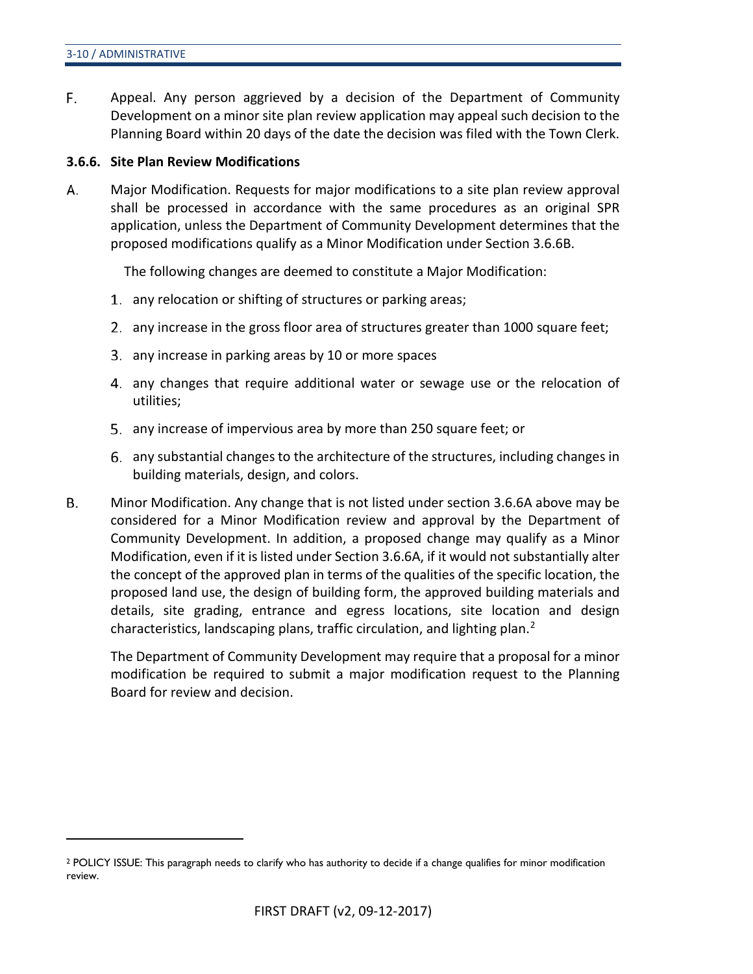$\overline{a}$ 

F. Appeal. Any person aggrieved by a decision of the Department of Community Development on a minor site plan review application may appeal such decision to the Planning Board within 20 days of the date the decision was filed with the Town Clerk.

### **3.6.6. Site Plan Review Modifications**

А. Major Modification. Requests for major modifications to a site plan review approval shall be processed in accordance with the same procedures as an original SPR application, unless the Department of Community Development determines that the proposed modifications qualify as a Minor Modification under Section 3.6.6B.

The following changes are deemed to constitute a Major Modification:

- 1. any relocation or shifting of structures or parking areas;
- any increase in the gross floor area of structures greater than 1000 square feet;
- 3. any increase in parking areas by 10 or more spaces
- 4. any changes that require additional water or sewage use or the relocation of utilities;
- 5. any increase of impervious area by more than 250 square feet; or
- any substantial changes to the architecture of the structures, including changes in building materials, design, and colors.
- Β. Minor Modification. Any change that is not listed under section 3.6.6A above may be considered for a Minor Modification review and approval by the Department of Community Development. In addition, a proposed change may qualify as a Minor Modification, even if it is listed under Section 3.6.6A, if it would not substantially alter the concept of the approved plan in terms of the qualities of the specific location, the proposed land use, the design of building form, the approved building materials and details, site grading, entrance and egress locations, site location and design characteristics, landscaping plans, traffic circulation, and lighting plan.<sup>[2](#page-17-0)</sup>

The Department of Community Development may require that a proposal for a minor modification be required to submit a major modification request to the Planning Board for review and decision.

<span id="page-17-0"></span><sup>2</sup> POLICY ISSUE: This paragraph needs to clarify who has authority to decide if a change qualifies for minor modification review.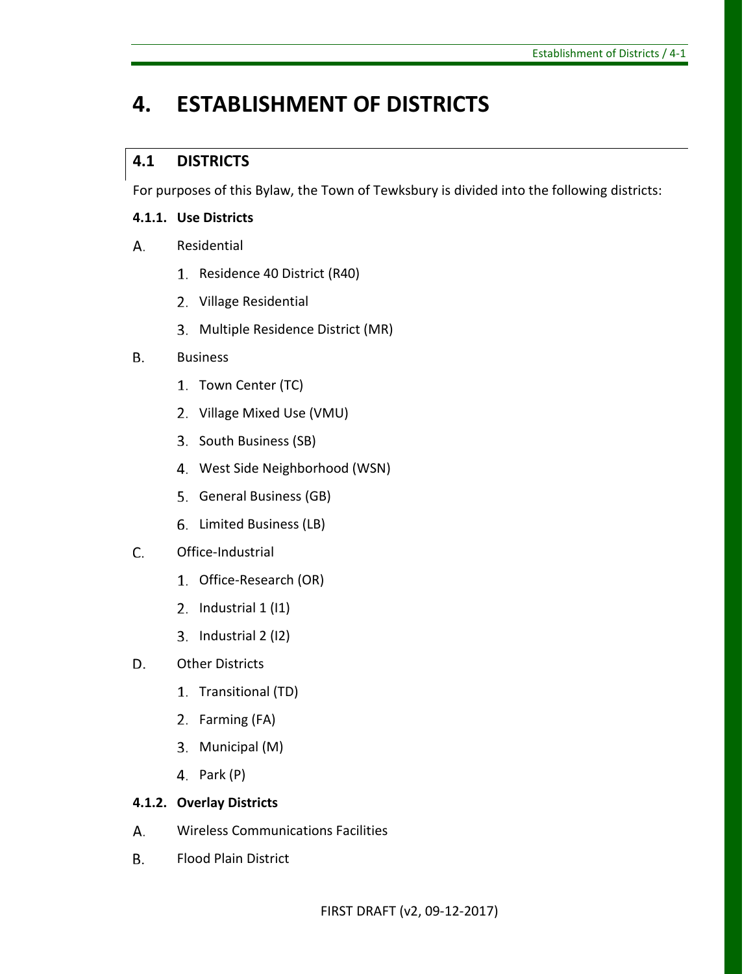# <span id="page-18-0"></span>**4. ESTABLISHMENT OF DISTRICTS**

# <span id="page-18-1"></span>**4.1 DISTRICTS**

For purposes of this Bylaw, the Town of Tewksbury is divided into the following districts:

## **4.1.1. Use Districts**

- A. Residential
	- 1. Residence 40 District (R40)
	- 2. Village Residential
	- Multiple Residence District (MR)

#### **B.** Business

- 1. Town Center (TC)
- 2. Village Mixed Use (VMU)
- 3. South Business (SB)
- 4. West Side Neighborhood (WSN)
- 5. General Business (GB)
- 6. Limited Business (LB)
- C. Office-Industrial
	- 1. Office-Research (OR)
	- 2. Industrial  $1$  (I1)
	- 3. Industrial 2 (I2)
- D. Other Districts
	- 1. Transitional (TD)
	- 2. Farming (FA)
	- 3. Municipal (M)
	- 4. Park (P)

### **4.1.2. Overlay Districts**

- А. Wireless Communications Facilities
- Flood Plain DistrictВ.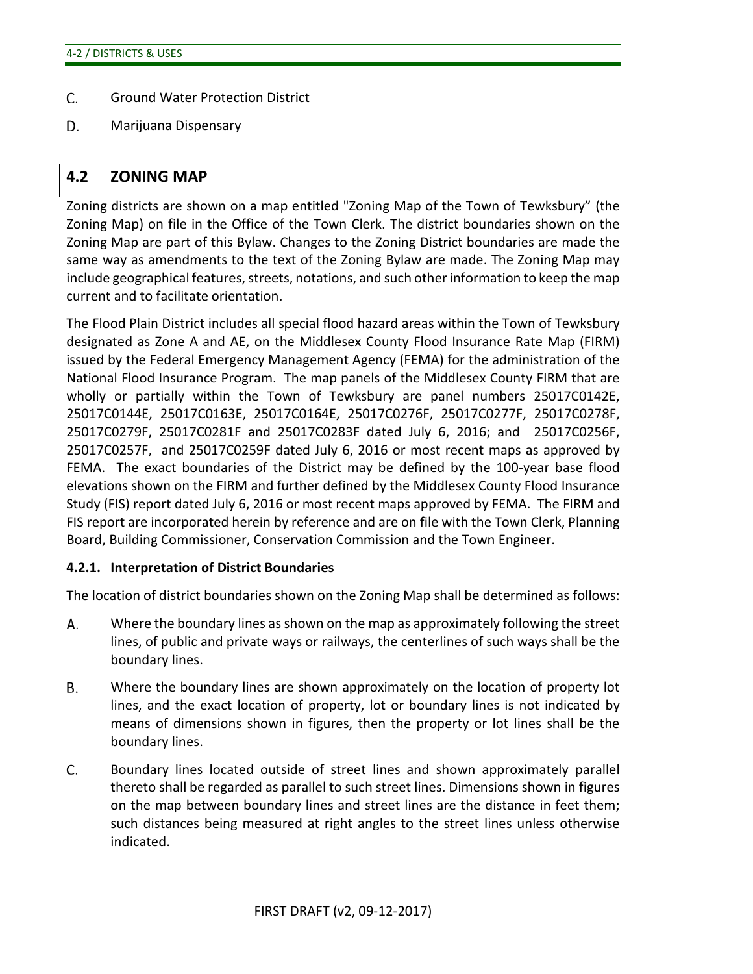- C. Ground Water Protection District
- D. Marijuana Dispensary

### <span id="page-19-0"></span>**4.2 ZONING MAP**

Zoning districts are shown on a map entitled "Zoning Map of the Town of Tewksbury" (the Zoning Map) on file in the Office of the Town Clerk. The district boundaries shown on the Zoning Map are part of this Bylaw. Changes to the Zoning District boundaries are made the same way as amendments to the text of the Zoning Bylaw are made. The Zoning Map may include geographical features, streets, notations, and such other information to keep the map current and to facilitate orientation.

The Flood Plain District includes all special flood hazard areas within the Town of Tewksbury designated as Zone A and AE, on the Middlesex County Flood Insurance Rate Map (FIRM) issued by the Federal Emergency Management Agency (FEMA) for the administration of the National Flood Insurance Program. The map panels of the Middlesex County FIRM that are wholly or partially within the Town of Tewksbury are panel numbers 25017C0142E, 25017C0144E, 25017C0163E, 25017C0164E, 25017C0276F, 25017C0277F, 25017C0278F, 25017C0279F, 25017C0281F and 25017C0283F dated July 6, 2016; and 25017C0256F, 25017C0257F, and 25017C0259F dated July 6, 2016 or most recent maps as approved by FEMA. The exact boundaries of the District may be defined by the 100-year base flood elevations shown on the FIRM and further defined by the Middlesex County Flood Insurance Study (FIS) report dated July 6, 2016 or most recent maps approved by FEMA. The FIRM and FIS report are incorporated herein by reference and are on file with the Town Clerk, Planning Board, Building Commissioner, Conservation Commission and the Town Engineer.

### **4.2.1. Interpretation of District Boundaries**

The location of district boundaries shown on the Zoning Map shall be determined as follows:

- А. Where the boundary lines as shown on the map as approximately following the street lines, of public and private ways or railways, the centerlines of such ways shall be the boundary lines.
- В. Where the boundary lines are shown approximately on the location of property lot lines, and the exact location of property, lot or boundary lines is not indicated by means of dimensions shown in figures, then the property or lot lines shall be the boundary lines.
- C. Boundary lines located outside of street lines and shown approximately parallel thereto shall be regarded as parallel to such street lines. Dimensions shown in figures on the map between boundary lines and street lines are the distance in feet them; such distances being measured at right angles to the street lines unless otherwise indicated.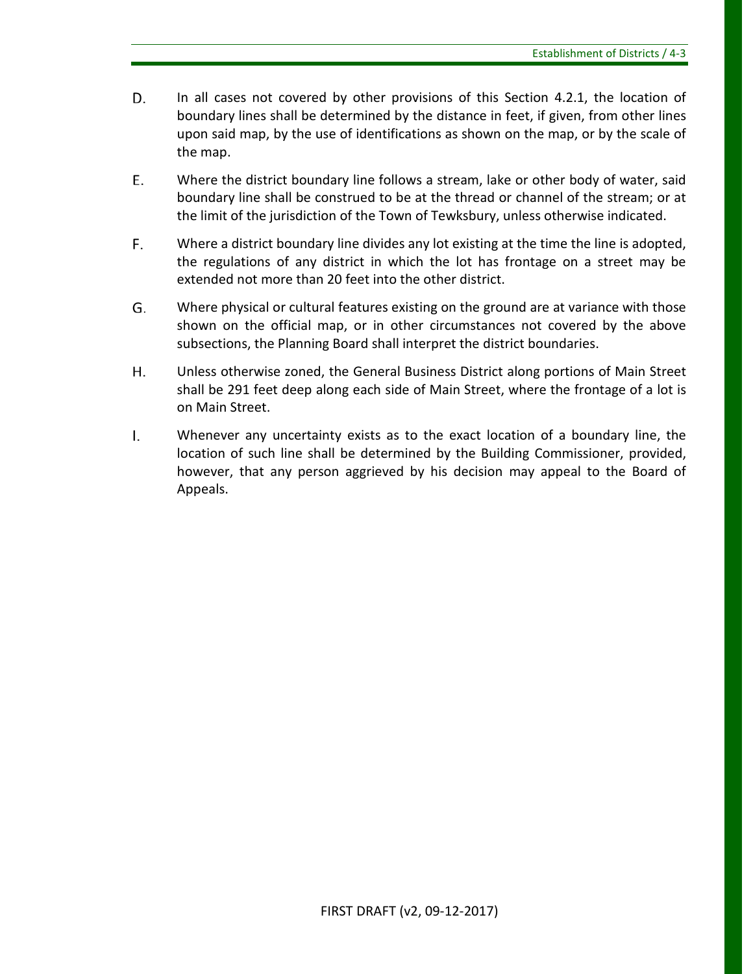- D. In all cases not covered by other provisions of this Section 4.2.1, the location of boundary lines shall be determined by the distance in feet, if given, from other lines upon said map, by the use of identifications as shown on the map, or by the scale of the map.
- Ε. Where the district boundary line follows a stream, lake or other body of water, said boundary line shall be construed to be at the thread or channel of the stream; or at the limit of the jurisdiction of the Town of Tewksbury, unless otherwise indicated.
- F. Where a district boundary line divides any lot existing at the time the line is adopted, the regulations of any district in which the lot has frontage on a street may be extended not more than 20 feet into the other district.
- G. Where physical or cultural features existing on the ground are at variance with those shown on the official map, or in other circumstances not covered by the above subsections, the Planning Board shall interpret the district boundaries.
- Η. Unless otherwise zoned, the General Business District along portions of Main Street shall be 291 feet deep along each side of Main Street, where the frontage of a lot is on Main Street.
- $\mathsf{L}$ Whenever any uncertainty exists as to the exact location of a boundary line, the location of such line shall be determined by the Building Commissioner, provided, however, that any person aggrieved by his decision may appeal to the Board of Appeals.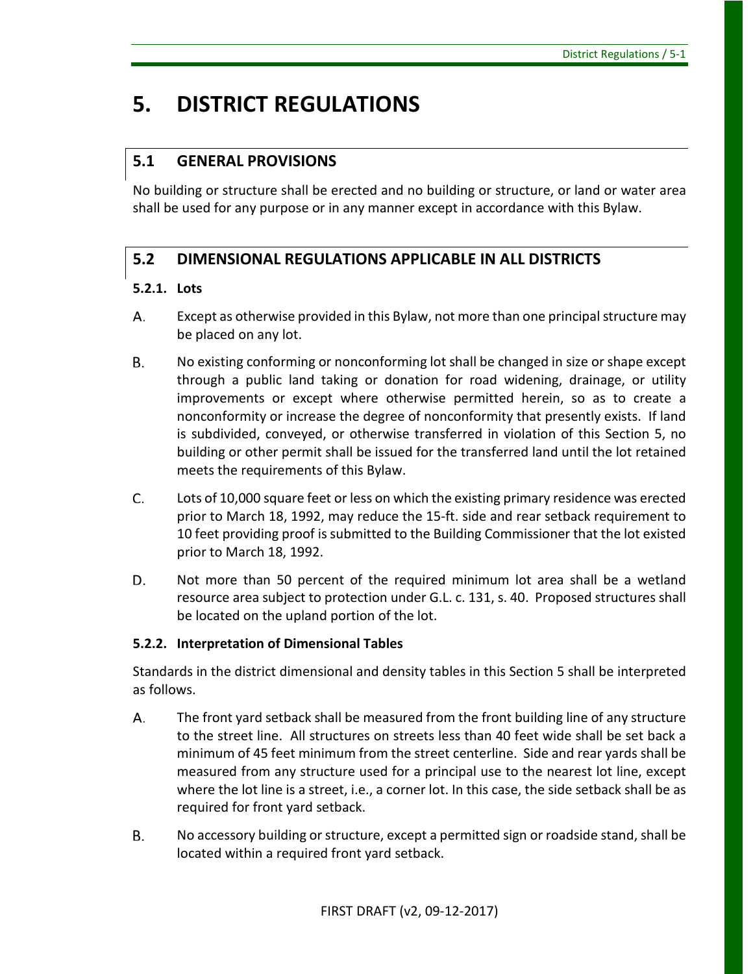# <span id="page-22-0"></span>**5. DISTRICT REGULATIONS**

# <span id="page-22-1"></span>**5.1 GENERAL PROVISIONS**

No building or structure shall be erected and no building or structure, or land or water area shall be used for any purpose or in any manner except in accordance with this Bylaw.

# <span id="page-22-2"></span>**5.2 DIMENSIONAL REGULATIONS APPLICABLE IN ALL DISTRICTS**

### **5.2.1. Lots**

- А. Except as otherwise provided in this Bylaw, not more than one principal structure may be placed on any lot.
- Β. No existing conforming or nonconforming lot shall be changed in size or shape except through a public land taking or donation for road widening, drainage, or utility improvements or except where otherwise permitted herein, so as to create a nonconformity or increase the degree of nonconformity that presently exists. If land is subdivided, conveyed, or otherwise transferred in violation of this Section 5, no building or other permit shall be issued for the transferred land until the lot retained meets the requirements of this Bylaw.
- C. Lots of 10,000 square feet or less on which the existing primary residence was erected prior to March 18, 1992, may reduce the 15-ft. side and rear setback requirement to 10 feet providing proof is submitted to the Building Commissioner that the lot existed prior to March 18, 1992.
- D. Not more than 50 percent of the required minimum lot area shall be a wetland resource area subject to protection under G.L. c. 131, s. 40. Proposed structures shall be located on the upland portion of the lot.

### **5.2.2. Interpretation of Dimensional Tables**

Standards in the district dimensional and density tables in this Section 5 shall be interpreted as follows.

- А. The front yard setback shall be measured from the front building line of any structure to the street line. All structures on streets less than 40 feet wide shall be set back a minimum of 45 feet minimum from the street centerline. Side and rear yards shall be measured from any structure used for a principal use to the nearest lot line, except where the lot line is a street, i.e., a corner lot. In this case, the side setback shall be as required for front yard setback.
- В. No accessory building or structure, except a permitted sign or roadside stand, shall be located within a required front yard setback.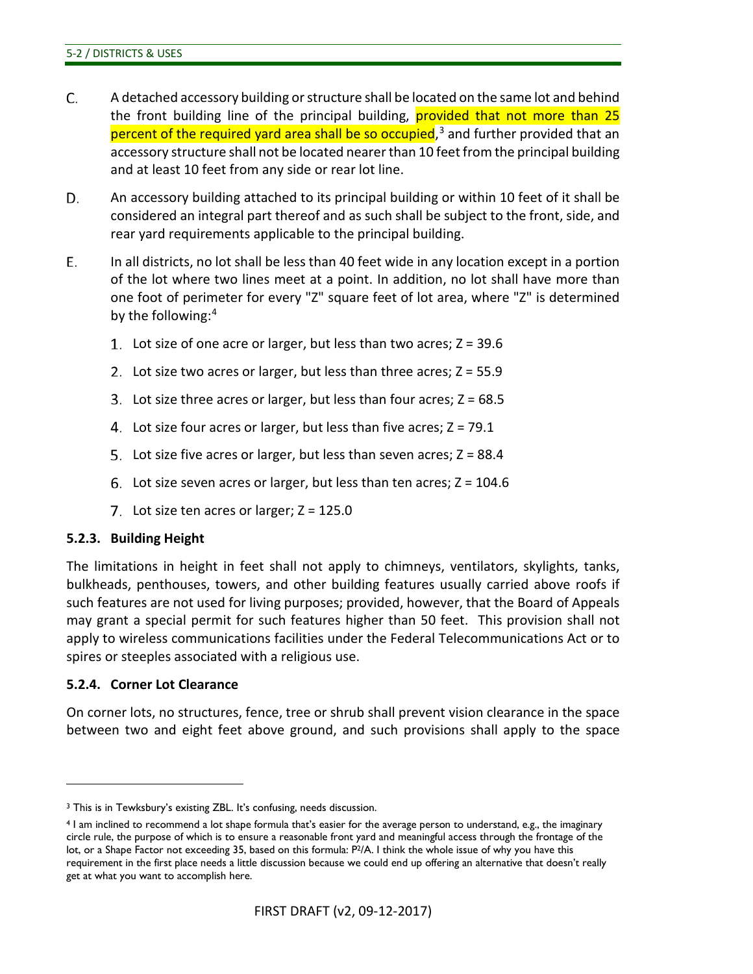- C. A detached accessory building or structure shall be located on the same lot and behind the front building line of the principal building, provided that not more than 25 percent of the required yard area shall be so occupied,<sup>[3](#page-23-0)</sup> and further provided that an accessory structure shall not be located nearer than 10 feet from the principal building and at least 10 feet from any side or rear lot line.
- D. An accessory building attached to its principal building or within 10 feet of it shall be considered an integral part thereof and as such shall be subject to the front, side, and rear yard requirements applicable to the principal building.
- Ε. In all districts, no lot shall be less than 40 feet wide in any location except in a portion of the lot where two lines meet at a point. In addition, no lot shall have more than one foot of perimeter for every "Z" square feet of lot area, where "Z" is determined by the following:[4](#page-23-1)
	- 1. Lot size of one acre or larger, but less than two acres;  $Z = 39.6$
	- 2. Lot size two acres or larger, but less than three acres;  $Z = 55.9$
	- 3. Lot size three acres or larger, but less than four acres;  $Z = 68.5$
	- 4. Lot size four acres or larger, but less than five acres;  $Z = 79.1$
	- 5. Lot size five acres or larger, but less than seven acres;  $Z = 88.4$
	- 6. Lot size seven acres or larger, but less than ten acres;  $Z = 104.6$
	- 7. Lot size ten acres or larger;  $Z = 125.0$

#### **5.2.3. Building Height**

The limitations in height in feet shall not apply to chimneys, ventilators, skylights, tanks, bulkheads, penthouses, towers, and other building features usually carried above roofs if such features are not used for living purposes; provided, however, that the Board of Appeals may grant a special permit for such features higher than 50 feet. This provision shall not apply to wireless communications facilities under the Federal Telecommunications Act or to spires or steeples associated with a religious use.

#### **5.2.4. Corner Lot Clearance**

 $\overline{a}$ 

On corner lots, no structures, fence, tree or shrub shall prevent vision clearance in the space between two and eight feet above ground, and such provisions shall apply to the space

<span id="page-23-0"></span><sup>3</sup> This is in Tewksbury's existing ZBL. It's confusing, needs discussion.

<span id="page-23-1"></span><sup>4</sup> I am inclined to recommend a lot shape formula that's easier for the average person to understand, e.g., the imaginary circle rule, the purpose of which is to ensure a reasonable front yard and meaningful access through the frontage of the lot, or a Shape Factor not exceeding 35, based on this formula: P<sup>2</sup>/A. I think the whole issue of why you have this requirement in the first place needs a little discussion because we could end up offering an alternative that doesn't really get at what you want to accomplish here.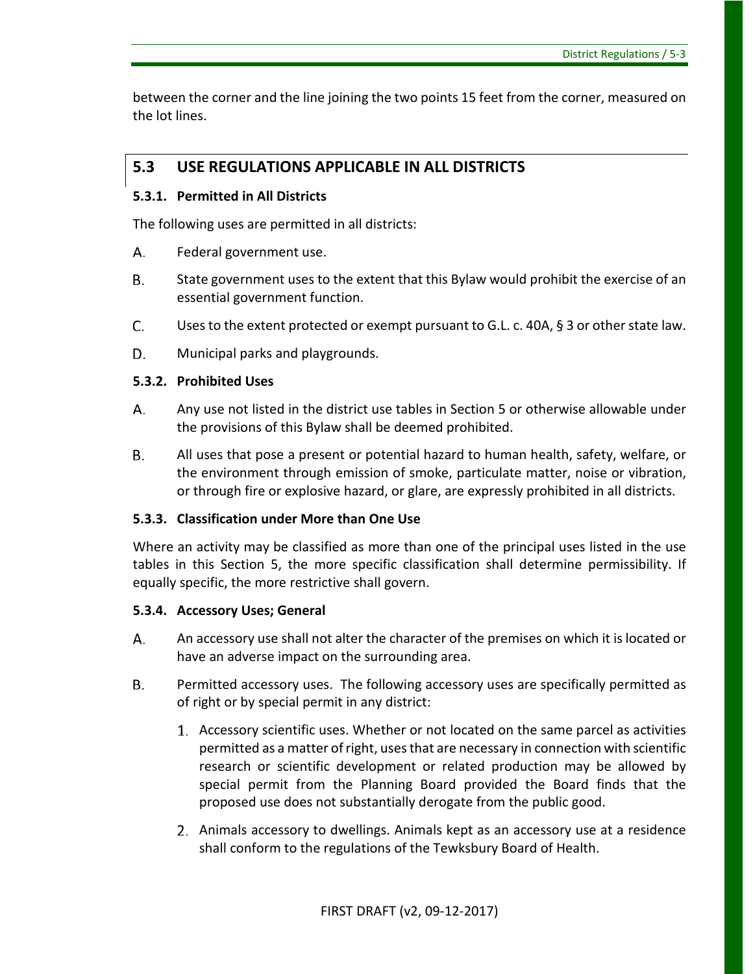between the corner and the line joining the two points 15 feet from the corner, measured on the lot lines.

## <span id="page-24-0"></span>**5.3 USE REGULATIONS APPLICABLE IN ALL DISTRICTS**

### **5.3.1. Permitted in All Districts**

The following uses are permitted in all districts:

- А. Federal government use.
- **B.** State government uses to the extent that this Bylaw would prohibit the exercise of an essential government function.
- C. Uses to the extent protected or exempt pursuant to G.L. c. 40A, § 3 or other state law.
- D. Municipal parks and playgrounds.

### **5.3.2. Prohibited Uses**

- Any use not listed in the district use tables in Section 5 or otherwise allowable under А. the provisions of this Bylaw shall be deemed prohibited.
- **B.** All uses that pose a present or potential hazard to human health, safety, welfare, or the environment through emission of smoke, particulate matter, noise or vibration, or through fire or explosive hazard, or glare, are expressly prohibited in all districts.

### **5.3.3. Classification under More than One Use**

Where an activity may be classified as more than one of the principal uses listed in the use tables in this Section 5, the more specific classification shall determine permissibility. If equally specific, the more restrictive shall govern.

### **5.3.4. Accessory Uses; General**

- А. An accessory use shall not alter the character of the premises on which it is located or have an adverse impact on the surrounding area.
- Β. Permitted accessory uses. The following accessory uses are specifically permitted as of right or by special permit in any district:
	- Accessory scientific uses. Whether or not located on the same parcel as activities permitted as a matter of right, uses that are necessary in connection with scientific research or scientific development or related production may be allowed by special permit from the Planning Board provided the Board finds that the proposed use does not substantially derogate from the public good.
	- Animals accessory to dwellings. Animals kept as an accessory use at a residence shall conform to the regulations of the Tewksbury Board of Health.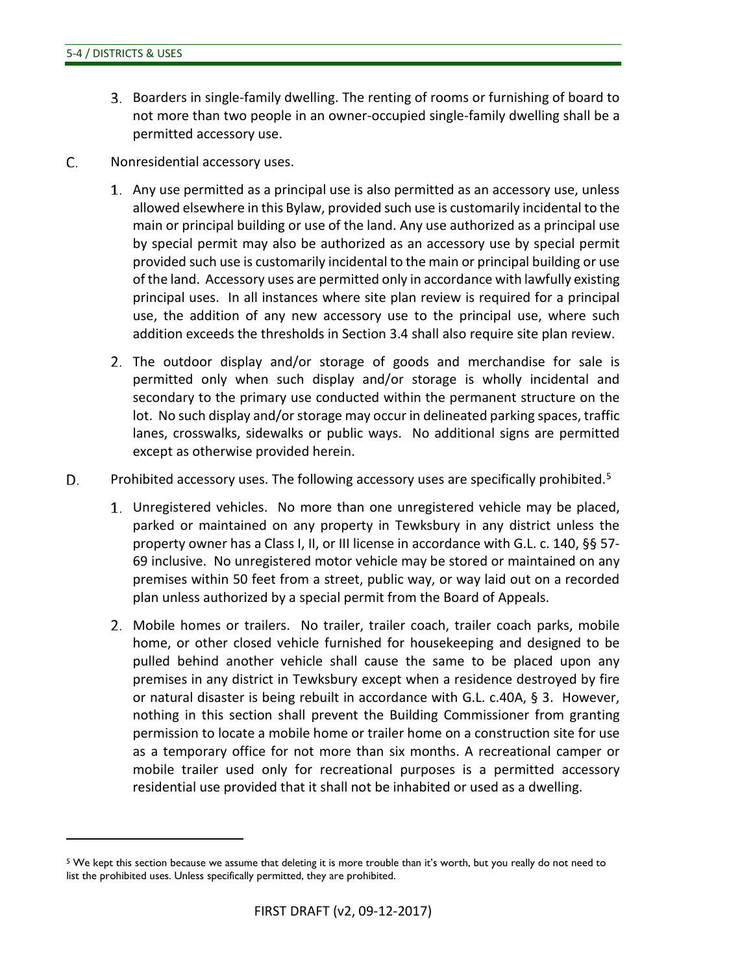$\overline{a}$ 

- Boarders in single-family dwelling. The renting of rooms or furnishing of board to not more than two people in an owner-occupied single-family dwelling shall be a permitted accessory use.
- C. Nonresidential accessory uses.
	- Any use permitted as a principal use is also permitted as an accessory use, unless allowed elsewhere in this Bylaw, provided such use is customarily incidental to the main or principal building or use of the land. Any use authorized as a principal use by special permit may also be authorized as an accessory use by special permit provided such use is customarily incidental to the main or principal building or use of the land. Accessory uses are permitted only in accordance with lawfully existing principal uses. In all instances where site plan review is required for a principal use, the addition of any new accessory use to the principal use, where such addition exceeds the thresholds in Section 3.4 shall also require site plan review.
	- The outdoor display and/or storage of goods and merchandise for sale is permitted only when such display and/or storage is wholly incidental and secondary to the primary use conducted within the permanent structure on the lot. No such display and/or storage may occur in delineated parking spaces, traffic lanes, crosswalks, sidewalks or public ways. No additional signs are permitted except as otherwise provided herein.
- D. Prohibited accessory uses. The following accessory uses are specifically prohibited.<sup>[5](#page-25-0)</sup>
	- Unregistered vehicles. No more than one unregistered vehicle may be placed, parked or maintained on any property in Tewksbury in any district unless the property owner has a Class I, II, or III license in accordance with G.L. c. 140, §§ 57- 69 inclusive. No unregistered motor vehicle may be stored or maintained on any premises within 50 feet from a street, public way, or way laid out on a recorded plan unless authorized by a special permit from the Board of Appeals.
	- Mobile homes or trailers. No trailer, trailer coach, trailer coach parks, mobile home, or other closed vehicle furnished for housekeeping and designed to be pulled behind another vehicle shall cause the same to be placed upon any premises in any district in Tewksbury except when a residence destroyed by fire or natural disaster is being rebuilt in accordance with G.L. c.40A, § 3. However, nothing in this section shall prevent the Building Commissioner from granting permission to locate a mobile home or trailer home on a construction site for use as a temporary office for not more than six months. A recreational camper or mobile trailer used only for recreational purposes is a permitted accessory residential use provided that it shall not be inhabited or used as a dwelling.

<span id="page-25-0"></span><sup>&</sup>lt;sup>5</sup> We kept this section because we assume that deleting it is more trouble than it's worth, but you really do not need to list the prohibited uses. Unless specifically permitted, they are prohibited.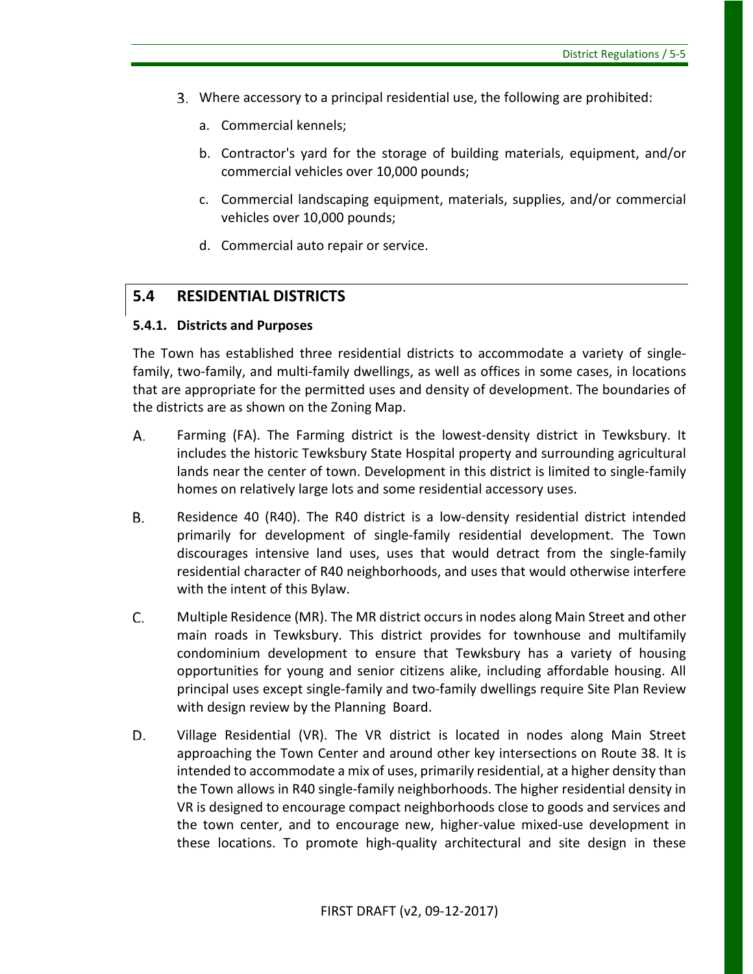- Where accessory to a principal residential use, the following are prohibited:
	- a. Commercial kennels;
	- b. Contractor's yard for the storage of building materials, equipment, and/or commercial vehicles over 10,000 pounds;
	- c. Commercial landscaping equipment, materials, supplies, and/or commercial vehicles over 10,000 pounds;
	- d. Commercial auto repair or service.

## <span id="page-26-0"></span>**5.4 RESIDENTIAL DISTRICTS**

### **5.4.1. Districts and Purposes**

The Town has established three residential districts to accommodate a variety of singlefamily, two-family, and multi-family dwellings, as well as offices in some cases, in locations that are appropriate for the permitted uses and density of development. The boundaries of the districts are as shown on the Zoning Map.

- Farming (FA). The Farming district is the lowest-density district in Tewksbury. It А. includes the historic Tewksbury State Hospital property and surrounding agricultural lands near the center of town. Development in this district is limited to single-family homes on relatively large lots and some residential accessory uses.
- **B.** Residence 40 (R40). The R40 district is a low-density residential district intended primarily for development of single-family residential development. The Town discourages intensive land uses, uses that would detract from the single-family residential character of R40 neighborhoods, and uses that would otherwise interfere with the intent of this Bylaw.
- C. Multiple Residence (MR). The MR district occurs in nodes along Main Street and other main roads in Tewksbury. This district provides for townhouse and multifamily condominium development to ensure that Tewksbury has a variety of housing opportunities for young and senior citizens alike, including affordable housing. All principal uses except single-family and two-family dwellings require Site Plan Review with design review by the Planning Board.
- D. Village Residential (VR). The VR district is located in nodes along Main Street approaching the Town Center and around other key intersections on Route 38. It is intended to accommodate a mix of uses, primarily residential, at a higher density than the Town allows in R40 single-family neighborhoods. The higher residential density in VR is designed to encourage compact neighborhoods close to goods and services and the town center, and to encourage new, higher-value mixed-use development in these locations. To promote high-quality architectural and site design in these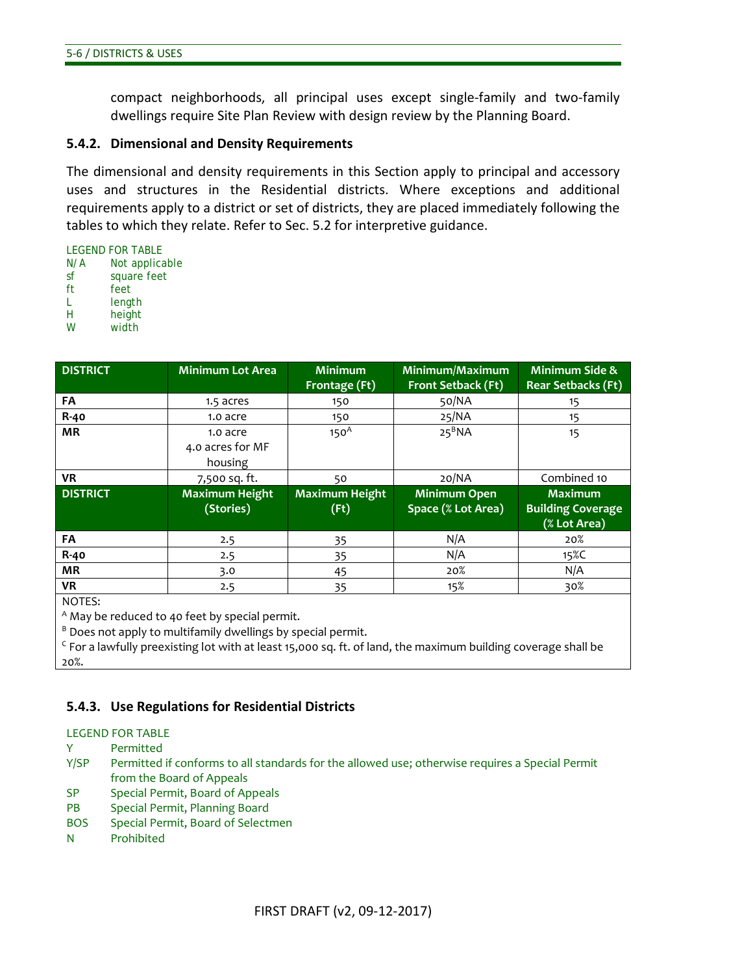compact neighborhoods, all principal uses except single-family and two-family dwellings require Site Plan Review with design review by the Planning Board.

#### **5.4.2. Dimensional and Density Requirements**

The dimensional and density requirements in this Section apply to principal and accessory uses and structures in the Residential districts. Where exceptions and additional requirements apply to a district or set of districts, they are placed immediately following the tables to which they relate. Refer to Sec. 5.2 for interpretive guidance.

LEGEND FOR TABLE N/A Not applicable sf square feet ft feet L length H height W width

| <b>DISTRICT</b> | <b>Minimum Lot Area</b>                 | <b>Minimum</b><br>Frontage (Ft) | Minimum/Maximum<br><b>Front Setback (Ft)</b> | <b>Minimum Side &amp;</b><br><b>Rear Setbacks (Ft)</b>     |
|-----------------|-----------------------------------------|---------------------------------|----------------------------------------------|------------------------------------------------------------|
| FA              | 1.5 acres                               | 150                             | 50/NA                                        | 15                                                         |
| <b>R-40</b>     | 1.0 acre                                | 150                             | 25/NA                                        | 15                                                         |
| <b>MR</b>       | 1.0 acre<br>4.0 acres for MF<br>housing | 150 <sup>A</sup>                | $25^BNA$                                     | 15                                                         |
| <b>VR</b>       | 7,500 sq. ft.                           | 50                              | 20/NA                                        | Combined 10                                                |
| <b>DISTRICT</b> | <b>Maximum Height</b><br>(Stories)      | <b>Maximum Height</b><br>(Ft)   | <b>Minimum Open</b><br>Space (% Lot Area)    | <b>Maximum</b><br><b>Building Coverage</b><br>(% Lot Area) |
| FA              | 2.5                                     | 35                              | N/A                                          | 20%                                                        |
| <b>R-40</b>     | 2.5                                     | 35                              | N/A                                          | 15%C                                                       |
| <b>MR</b>       | 3.0                                     | 45                              | 20%                                          | N/A                                                        |
| <b>VR</b>       | 2.5                                     | 35                              | 15%                                          | 30%                                                        |

NOTES:

<sup>A</sup> May be reduced to 40 feet by special permit.

 $B$  Does not apply to multifamily dwellings by special permit.

 $\epsilon$  For a lawfully preexisting lot with at least 15,000 sq. ft. of land, the maximum building coverage shall be 20%.

#### **5.4.3. Use Regulations for Residential Districts**

LEGEND FOR TABLE

- Y Permitted
- Y/SP Permitted if conforms to all standards for the allowed use; otherwise requires a Special Permit from the Board of Appeals
- SP Special Permit, Board of Appeals
- PB Special Permit, Planning Board
- BOS Special Permit, Board of Selectmen
- N Prohibited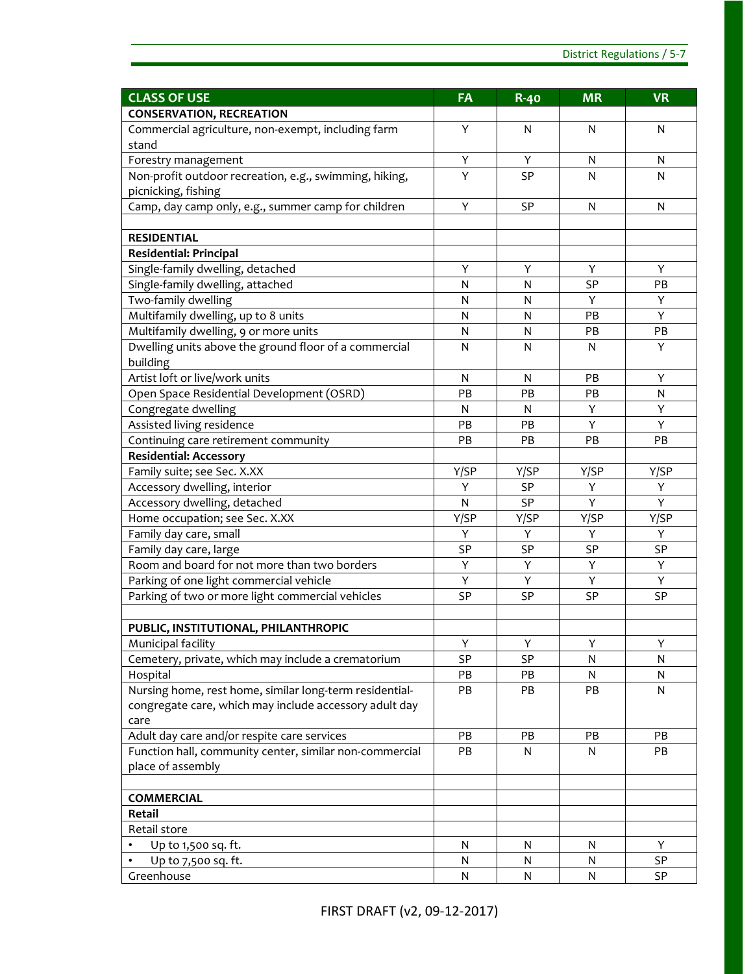| <b>CLASS OF USE</b>                                         | FA           | <b>R-40</b> | <b>MR</b> | <b>VR</b> |
|-------------------------------------------------------------|--------------|-------------|-----------|-----------|
| <b>CONSERVATION, RECREATION</b>                             |              |             |           |           |
| Commercial agriculture, non-exempt, including farm<br>stand | Y            | N           | N         | N         |
| Forestry management                                         | Υ            | Y           | N         | N         |
| Non-profit outdoor recreation, e.g., swimming, hiking,      | Y            | SP          | N         | N         |
| picnicking, fishing                                         |              |             |           |           |
| Camp, day camp only, e.g., summer camp for children         | Υ            | SP          | N         | N         |
|                                                             |              |             |           |           |
| <b>RESIDENTIAL</b>                                          |              |             |           |           |
| <b>Residential: Principal</b>                               |              |             |           |           |
| Single-family dwelling, detached                            | Υ            | Υ           | Υ         | Υ         |
| Single-family dwelling, attached                            | N            | N           | <b>SP</b> | PB        |
| Two-family dwelling                                         | N            | N           | Y         | Υ         |
| Multifamily dwelling, up to 8 units                         | $\mathsf{N}$ | N           | PB        | Y         |
| Multifamily dwelling, 9 or more units                       | N            | N           | PB        | PB        |
| Dwelling units above the ground floor of a commercial       | N            | N           | N         | Y         |
| building                                                    |              |             |           |           |
| Artist loft or live/work units                              | N            | N           | PB        | Y         |
| Open Space Residential Development (OSRD)                   | PB           | PB          | PB        | N         |
| Congregate dwelling                                         | N            | N           | Υ         | Υ         |
| Assisted living residence                                   | PB           | PB          | Y         | Y         |
| Continuing care retirement community                        | PB           | PB          | PB        | PB        |
| <b>Residential: Accessory</b>                               |              |             |           |           |
| Family suite; see Sec. X.XX                                 | Y/SP         | Y/SP        | Y/SP      | Y/SP      |
| Accessory dwelling, interior                                | Υ            | SP          | Υ         | Υ         |
| Accessory dwelling, detached                                | N            | SP          | Y         | Y         |
| Home occupation; see Sec. X.XX                              | Y/SP         | Y/SP        | Y/SP      | Y/SP      |
| Family day care, small                                      | Υ            | Υ           | Υ         | Y         |
| Family day care, large                                      | SP           | SP          | SP        | SP        |
| Room and board for not more than two borders                | Υ            | Υ           | Υ         | Y         |
| Parking of one light commercial vehicle                     | Y            | Υ           | Υ         | Υ         |
| Parking of two or more light commercial vehicles            | <b>SP</b>    | SP          | SP        | SP        |
| PUBLIC, INSTITUTIONAL, PHILANTHROPIC                        |              |             |           |           |
| Municipal facility                                          | Υ            | Υ           | Υ         | Υ         |
| Cemetery, private, which may include a crematorium          | SP           | SP          | N         | N         |
| Hospital                                                    | PB           | PB          | N         | N         |
| Nursing home, rest home, similar long-term residential-     | PB           | PB          | PB        | N         |
| congregate care, which may include accessory adult day      |              |             |           |           |
| care                                                        |              |             |           |           |
| Adult day care and/or respite care services                 | PB           | PB          | PB        | PB        |
| Function hall, community center, similar non-commercial     | PB           | N           | N         | PB        |
| place of assembly                                           |              |             |           |           |
|                                                             |              |             |           |           |
| <b>COMMERCIAL</b>                                           |              |             |           |           |
| Retail                                                      |              |             |           |           |
| Retail store                                                |              |             |           |           |
| Up to 1,500 sq. ft.                                         | N            | N           | N         | Y         |
| Up to 7,500 sq. ft.                                         | N            | N           | N         | SP        |
| Greenhouse                                                  | N            | N           | N         | SP        |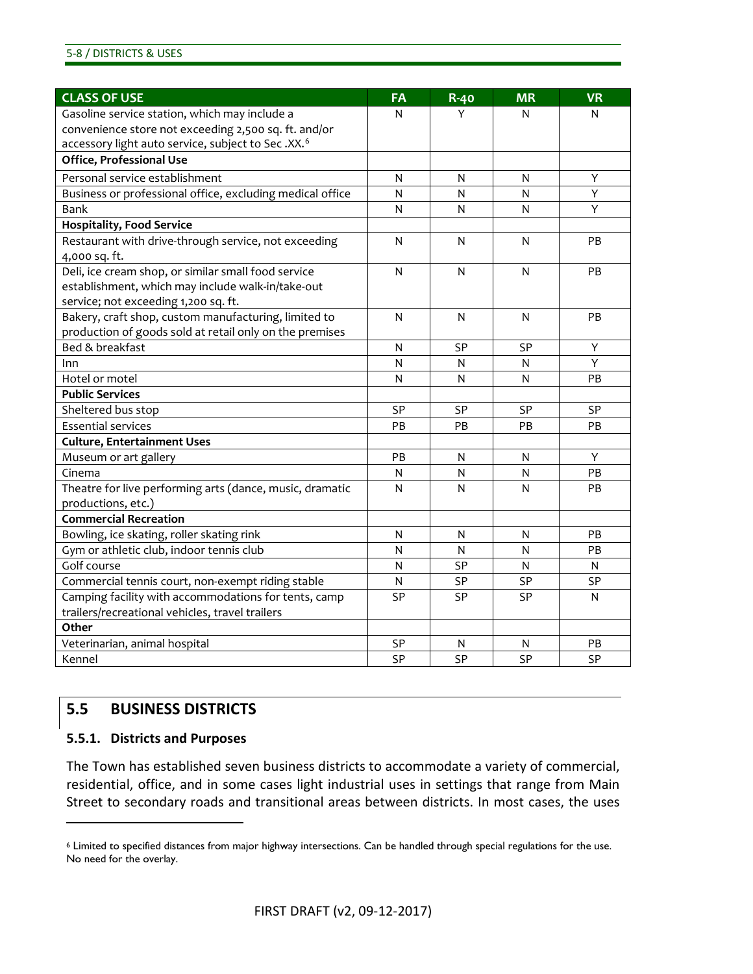| <b>CLASS OF USE</b>                                           | FA           | <b>R-40</b>  | <b>MR</b>      | <b>VR</b>    |
|---------------------------------------------------------------|--------------|--------------|----------------|--------------|
| Gasoline service station, which may include a                 | N            | Y            | N              | N            |
| convenience store not exceeding 2,500 sq. ft. and/or          |              |              |                |              |
| accessory light auto service, subject to Sec.XX. <sup>6</sup> |              |              |                |              |
| <b>Office, Professional Use</b>                               |              |              |                |              |
| Personal service establishment                                | N            | N            | N              | Y            |
| Business or professional office, excluding medical office     | N            | $\mathsf{N}$ | N              | Y            |
| Bank                                                          | N            | N            | N              | Y            |
| <b>Hospitality, Food Service</b>                              |              |              |                |              |
| Restaurant with drive-through service, not exceeding          | N            | N            | N              | PB           |
| 4,000 sq. ft.                                                 |              |              |                |              |
| Deli, ice cream shop, or similar small food service           | $\mathsf{N}$ | N            | N              | PB           |
| establishment, which may include walk-in/take-out             |              |              |                |              |
| service; not exceeding 1,200 sq. ft.                          |              |              |                |              |
| Bakery, craft shop, custom manufacturing, limited to          | N            | N            | N              | PB           |
| production of goods sold at retail only on the premises       |              |              |                |              |
| Bed & breakfast                                               | N            | SP           | SP             | Y            |
| Inn                                                           | N            | N            | N              | Y            |
| Hotel or motel                                                | N            | N            | $\mathsf{N}$   | PB           |
| <b>Public Services</b>                                        |              |              |                |              |
| Sheltered bus stop                                            | <b>SP</b>    | <b>SP</b>    | <b>SP</b>      | <b>SP</b>    |
| <b>Essential services</b>                                     | PB           | <b>PB</b>    | PB             | PB           |
| <b>Culture, Entertainment Uses</b>                            |              |              |                |              |
| Museum or art gallery                                         | PB           | N            | N              | Y            |
| Cinema                                                        | N            | N            | $\overline{N}$ | PB           |
| Theatre for live performing arts (dance, music, dramatic      | N            | N            | N              | PB           |
| productions, etc.)                                            |              |              |                |              |
| <b>Commercial Recreation</b>                                  |              |              |                |              |
| Bowling, ice skating, roller skating rink                     | N            | N            | N              | PB           |
| Gym or athletic club, indoor tennis club                      | N            | $\mathsf{N}$ | N              | PB           |
| Golf course                                                   | N            | SP           | $\mathsf{N}$   | N            |
| Commercial tennis court, non-exempt riding stable             | N            | <b>SP</b>    | SP             | SP           |
| Camping facility with accommodations for tents, camp          | <b>SP</b>    | SP           | SP             | $\mathsf{N}$ |
| trailers/recreational vehicles, travel trailers               |              |              |                |              |
| Other                                                         |              |              |                |              |
| Veterinarian, animal hospital                                 | <b>SP</b>    | N            | N              | PB           |
| Kennel                                                        | <b>SP</b>    | SP           | SP             | <b>SP</b>    |

### <span id="page-29-0"></span>**5.5 BUSINESS DISTRICTS**

#### **5.5.1. Districts and Purposes**

 $\overline{a}$ 

The Town has established seven business districts to accommodate a variety of commercial, residential, office, and in some cases light industrial uses in settings that range from Main Street to secondary roads and transitional areas between districts. In most cases, the uses

<span id="page-29-1"></span><sup>6</sup> Limited to specified distances from major highway intersections. Can be handled through special regulations for the use. No need for the overlay.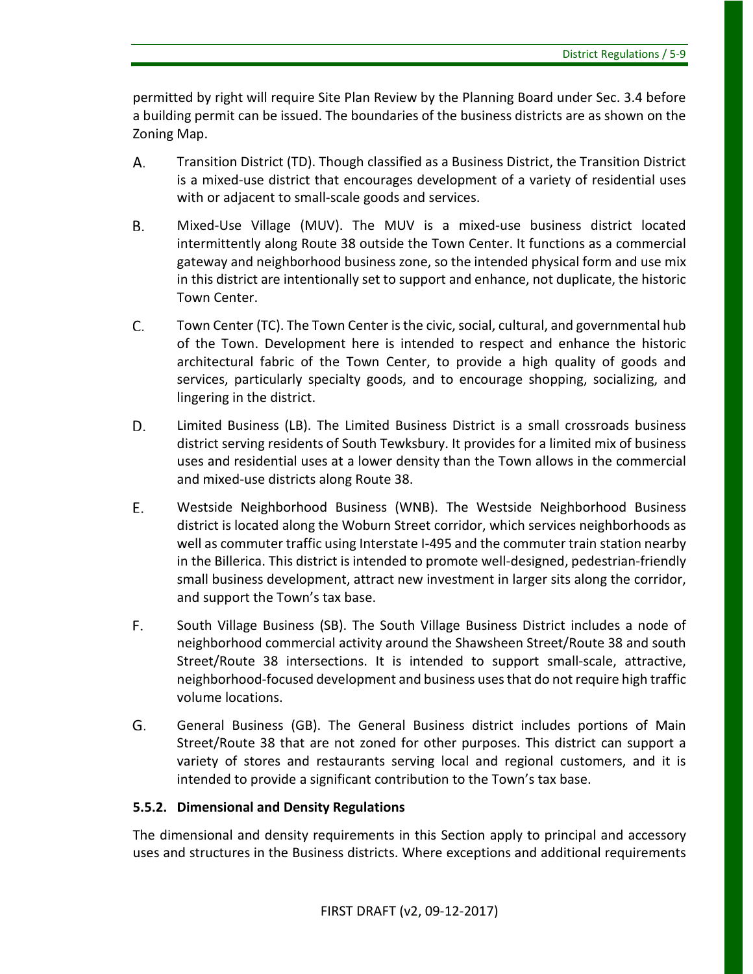permitted by right will require Site Plan Review by the Planning Board under Sec. 3.4 before a building permit can be issued. The boundaries of the business districts are as shown on the Zoning Map.

- Transition District (TD). Though classified as a Business District, the Transition District А. is a mixed-use district that encourages development of a variety of residential uses with or adjacent to small-scale goods and services.
- В. Mixed-Use Village (MUV). The MUV is a mixed-use business district located intermittently along Route 38 outside the Town Center. It functions as a commercial gateway and neighborhood business zone, so the intended physical form and use mix in this district are intentionally set to support and enhance, not duplicate, the historic Town Center.
- C. Town Center (TC). The Town Center is the civic, social, cultural, and governmental hub of the Town. Development here is intended to respect and enhance the historic architectural fabric of the Town Center, to provide a high quality of goods and services, particularly specialty goods, and to encourage shopping, socializing, and lingering in the district.
- D. Limited Business (LB). The Limited Business District is a small crossroads business district serving residents of South Tewksbury. It provides for a limited mix of business uses and residential uses at a lower density than the Town allows in the commercial and mixed-use districts along Route 38.
- E. Westside Neighborhood Business (WNB). The Westside Neighborhood Business district is located along the Woburn Street corridor, which services neighborhoods as well as commuter traffic using Interstate I-495 and the commuter train station nearby in the Billerica. This district is intended to promote well-designed, pedestrian-friendly small business development, attract new investment in larger sits along the corridor, and support the Town's tax base.
- F. South Village Business (SB). The South Village Business District includes a node of neighborhood commercial activity around the Shawsheen Street/Route 38 and south Street/Route 38 intersections. It is intended to support small-scale, attractive, neighborhood-focused development and business uses that do not require high traffic volume locations.
- G. General Business (GB). The General Business district includes portions of Main Street/Route 38 that are not zoned for other purposes. This district can support a variety of stores and restaurants serving local and regional customers, and it is intended to provide a significant contribution to the Town's tax base.

### **5.5.2. Dimensional and Density Regulations**

The dimensional and density requirements in this Section apply to principal and accessory uses and structures in the Business districts. Where exceptions and additional requirements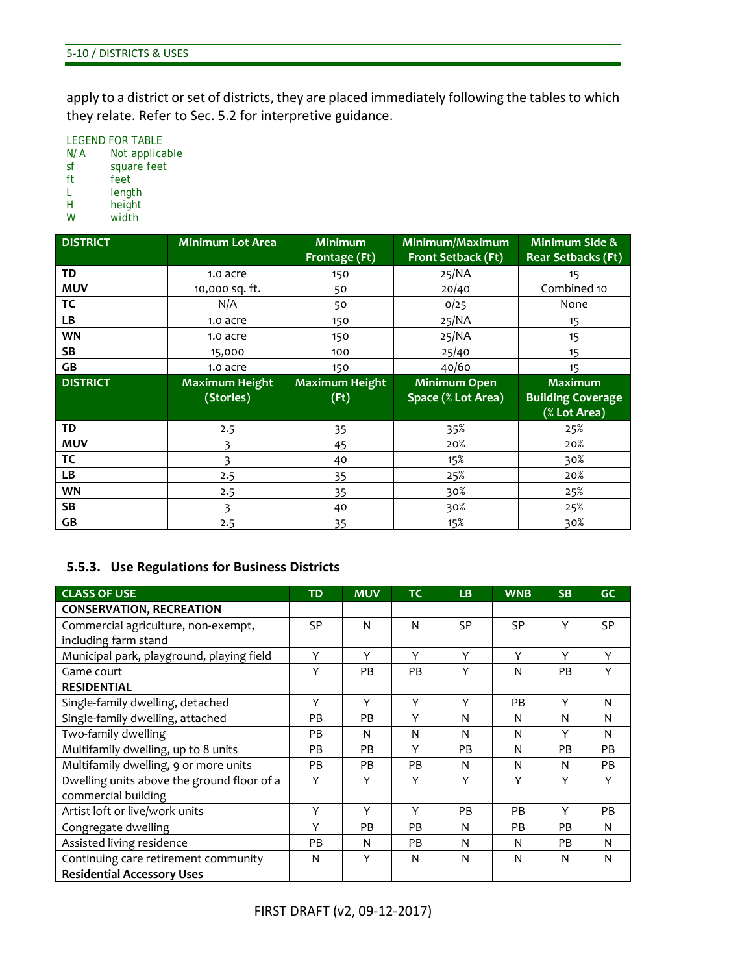apply to a district or set of districts, they are placed immediately following the tables to which they relate. Refer to Sec. 5.2 for interpretive guidance.

LEGEND FOR TABLE N/A Not applicable sf square feet ft feet L length<br>H height

- H height<br>W width
- width

| <b>DISTRICT</b> | <b>Minimum Lot Area</b> | <b>Minimum</b><br>Frontage (Ft) | Minimum/Maximum<br><b>Front Setback (Ft)</b> | Minimum Side &<br><b>Rear Setbacks (Ft)</b> |
|-----------------|-------------------------|---------------------------------|----------------------------------------------|---------------------------------------------|
| <b>TD</b>       | 1.0 acre                | 150                             | 25/NA                                        | 15                                          |
| <b>MUV</b>      | 10,000 sq. ft.          | 50                              | 20/40                                        | Combined 10                                 |
| ТC              | N/A                     | 50                              | 0/25                                         | None                                        |
| LВ              | 1.0 acre                | 150                             | 25/NA                                        | 15                                          |
| <b>WN</b>       | 1.0 acre                | 150                             | 25/NA                                        | 15                                          |
| <b>SB</b>       | 15,000                  | 100                             | 25/40                                        | 15                                          |
| GB              | 1.0 acre                | 150                             | 40/60                                        | 15                                          |
| <b>DISTRICT</b> | <b>Maximum Height</b>   | <b>Maximum Height</b>           | <b>Minimum Open</b>                          | <b>Maximum</b>                              |
|                 | (Stories)               | (Ft)                            | Space (% Lot Area)                           | <b>Building Coverage</b>                    |
|                 |                         |                                 |                                              | (% Lot Area)                                |
| TD              | 2.5                     | 35                              | 35%                                          | 25%                                         |
| <b>MUV</b>      | 3                       | 45                              | 20%                                          | 20%                                         |
| ТC              | 3                       | 40                              | 15%                                          | 30%                                         |
| LB              | 2.5                     | 35                              | 25%                                          | 20%                                         |
| <b>WN</b>       | 2.5                     | 35                              | 30%                                          | 25%                                         |
| SB              | 3                       | 40                              | 30%                                          | 25%                                         |
| GB              | 2.5                     | 35                              | 15%                                          | 30%                                         |

### **5.5.3. Use Regulations for Business Districts**

| <b>CLASS OF USE</b>                        | <b>TD</b> | <b>MUV</b> | <b>TC</b> | <b>LB</b> | <b>WNB</b> | <b>SB</b> | <b>GC</b> |
|--------------------------------------------|-----------|------------|-----------|-----------|------------|-----------|-----------|
| <b>CONSERVATION, RECREATION</b>            |           |            |           |           |            |           |           |
| Commercial agriculture, non-exempt,        | <b>SP</b> | N          | N         | <b>SP</b> | SP         | Y         | <b>SP</b> |
| including farm stand                       |           |            |           |           |            |           |           |
| Municipal park, playground, playing field  | Y         | Y          | Y         | Y         | Y          | Υ         | Y         |
| Game court                                 | Y         | <b>PB</b>  | PB        | Y         | N          | PB        | Y         |
| <b>RESIDENTIAL</b>                         |           |            |           |           |            |           |           |
| Single-family dwelling, detached           | Y         | Y          | Y         | Y         | PB         | Y         | N         |
| Single-family dwelling, attached           | <b>PB</b> | <b>PB</b>  | Υ         | N         | N          | N         | N         |
| Two-family dwelling                        | PB.       | N          | N         | N         | N          | Υ         | N         |
| Multifamily dwelling, up to 8 units        | <b>PB</b> | <b>PB</b>  | Υ         | <b>PB</b> | N          | <b>PB</b> | <b>PB</b> |
| Multifamily dwelling, 9 or more units      | <b>PB</b> | <b>PB</b>  | <b>PB</b> | N         | N          | N         | PB        |
| Dwelling units above the ground floor of a | Υ         | Υ          | Υ         | Υ         | Υ          | Υ         | Υ         |
| commercial building                        |           |            |           |           |            |           |           |
| Artist loft or live/work units             | Y         | Y          | Υ         | <b>PB</b> | PB         | Υ         | PB.       |
| Congregate dwelling                        | Y         | PB         | PB        | N         | PB         | PB        | N         |
| Assisted living residence                  | PB        | N          | PB        | N         | N          | PB        | N         |
| Continuing care retirement community       | N         | Y          | N         | N         | N          | N         | N         |
| <b>Residential Accessory Uses</b>          |           |            |           |           |            |           |           |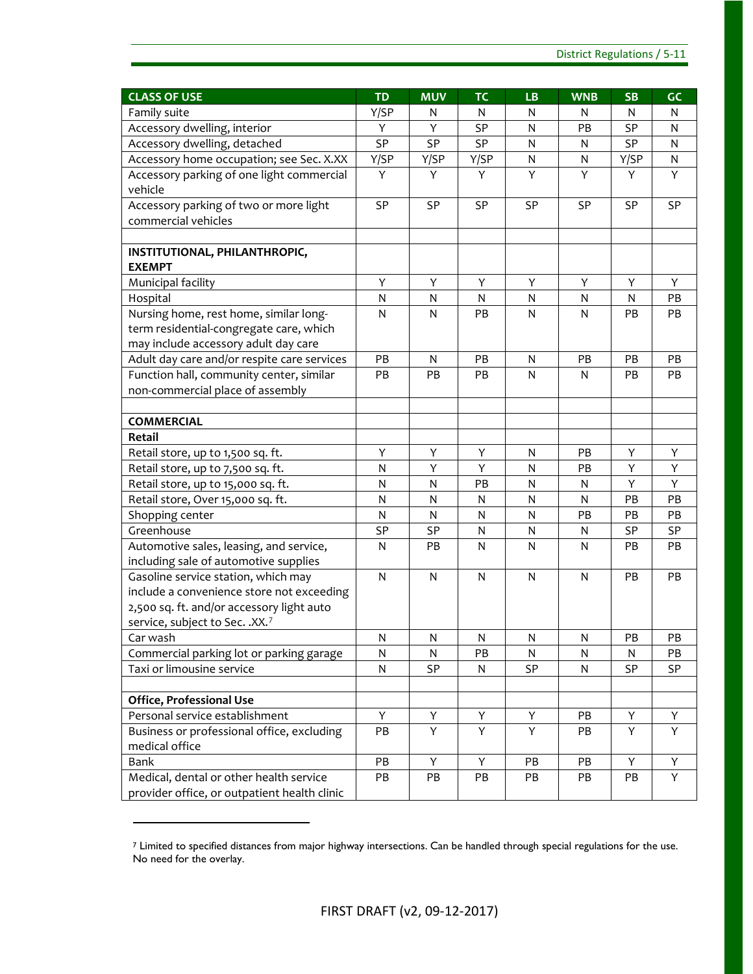| <b>CLASS OF USE</b>                          | <b>TD</b>    | <b>MUV</b>              | <b>TC</b>    | <b>LB</b>               | <b>WNB</b> | <b>SB</b> | GC        |
|----------------------------------------------|--------------|-------------------------|--------------|-------------------------|------------|-----------|-----------|
| Family suite                                 | Y/SP         | N                       | N            | N                       | N          | N         | N         |
| Accessory dwelling, interior                 | Y            | Y                       | SP           | $\mathsf{N}$            | PB         | SP        | N         |
| Accessory dwelling, detached                 | SP           | SP                      | SP           | N                       | N          | SP        | N         |
| Accessory home occupation; see Sec. X.XX     | Y/SP         | Y/SP                    | Y/SP         | $\mathsf{N}$            | ${\sf N}$  | Y/SP      | ${\sf N}$ |
| Accessory parking of one light commercial    | Y            | Y                       | Y            | Υ                       | Υ          | Υ         | Y         |
| vehicle                                      |              |                         |              |                         |            |           |           |
| Accessory parking of two or more light       | SP           | SP                      | SP           | SP                      | SP         | SP        | SP        |
| commercial vehicles                          |              |                         |              |                         |            |           |           |
|                                              |              |                         |              |                         |            |           |           |
| INSTITUTIONAL, PHILANTHROPIC,                |              |                         |              |                         |            |           |           |
| <b>EXEMPT</b>                                |              |                         |              |                         |            |           |           |
| Municipal facility                           | Υ            | Y                       | Y            | Υ                       | Υ          | Υ         | Y         |
| Hospital                                     | N            | $\mathsf{N}$            | $\mathsf{N}$ | $\mathsf{N}$            | N          | N         | PB        |
| Nursing home, rest home, similar long-       | $\mathsf{N}$ | N                       | PB           | $\mathsf{N}$            | N          | PB        | PB        |
| term residential-congregate care, which      |              |                         |              |                         |            |           |           |
| may include accessory adult day care         |              |                         |              |                         |            |           |           |
| Adult day care and/or respite care services  | PB           | N                       | PB           | ${\sf N}$               | PB         | PB        | PB        |
| Function hall, community center, similar     | PB           | PB                      | PB           | N                       | N          | PB        | PB        |
| non-commercial place of assembly             |              |                         |              |                         |            |           |           |
|                                              |              |                         |              |                         |            |           |           |
| <b>COMMERCIAL</b>                            |              |                         |              |                         |            |           |           |
| Retail                                       |              |                         |              |                         |            |           |           |
| Retail store, up to 1,500 sq. ft.            | Υ            | Y                       | Y            | $\mathsf{N}$            | PB         | Y         | Υ         |
| Retail store, up to 7,500 sq. ft.            | N            | Y                       | Y            | $\mathsf{N}$            | PB         | Υ         | Y         |
| Retail store, up to 15,000 sq. ft.           | $\mathsf{N}$ | $\overline{\mathsf{N}}$ | PB           | $\overline{\mathsf{N}}$ | N          | Y         | Υ         |
| Retail store, Over 15,000 sq. ft.            | $\mathsf{N}$ | N                       | N            | ${\sf N}$               | N          | PB        | PB        |
| Shopping center                              | $\mathsf{N}$ | N                       | N            | $\mathsf{N}$            | PB         | PB        | PB        |
| Greenhouse                                   | SP           | <b>SP</b>               | N            | N                       | N          | SP        | SP        |
| Automotive sales, leasing, and service,      | N            | PB                      | N            | $\mathsf{N}$            | N          | PB        | PB        |
| including sale of automotive supplies        |              |                         |              |                         |            |           |           |
| Gasoline service station, which may          | $\mathsf{N}$ | $\mathsf{N}$            | $\mathsf{N}$ | $\mathsf{N}$            | N          | PB        | PB        |
| include a convenience store not exceeding    |              |                         |              |                         |            |           |           |
| 2,500 sq. ft. and/or accessory light auto    |              |                         |              |                         |            |           |           |
| service, subject to Sec. . XX.7<br>Car wash  | ${\sf N}$    | ${\sf N}$               | ${\sf N}$    | ${\sf N}$               | ${\sf N}$  | PB        | PB        |
| Commercial parking lot or parking garage     | N            | N                       | PB           | N                       | N          | N         | PB        |
| Taxi or limousine service                    | ${\sf N}$    | SP                      | N            | SP                      | N          | SP        | SP        |
|                                              |              |                         |              |                         |            |           |           |
| Office, Professional Use                     |              |                         |              |                         |            |           |           |
| Personal service establishment               | Y            | Y                       | Y            | Υ                       | PB         | Υ         | Υ         |
| Business or professional office, excluding   | PB           | Y                       | Y            | Υ                       | PB         | Y         | Y         |
| medical office                               |              |                         |              |                         |            |           |           |
| Bank                                         | PB           | Y                       | Y            | PB                      | PB         | Y         | Υ         |
| Medical, dental or other health service      | PB           | PB                      | PB           | PB                      | PB         | PB        | Y         |
| provider office, or outpatient health clinic |              |                         |              |                         |            |           |           |

<span id="page-32-0"></span><sup>7</sup> Limited to specified distances from major highway intersections. Can be handled through special regulations for the use. No need for the overlay.

 $\overline{a}$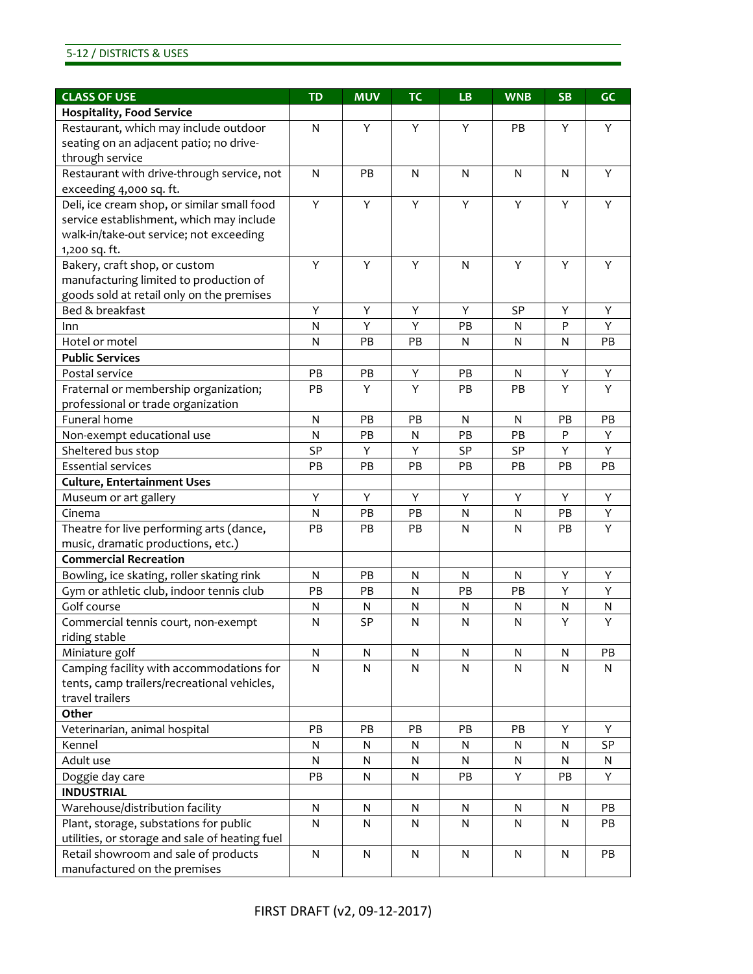#### 5-12 / DISTRICTS & USES

| <b>CLASS OF USE</b>                            | <b>TD</b>    | <b>MUV</b> | <b>TC</b> | <b>LB</b>    | <b>WNB</b> | <b>SB</b> | GC |
|------------------------------------------------|--------------|------------|-----------|--------------|------------|-----------|----|
| <b>Hospitality, Food Service</b>               |              |            |           |              |            |           |    |
| Restaurant, which may include outdoor          | N            | Y          | Y         | Y            | PB         | Y         | Y  |
| seating on an adjacent patio; no drive-        |              |            |           |              |            |           |    |
| through service                                |              |            |           |              |            |           |    |
| Restaurant with drive-through service, not     | N            | PB         | N         | N            | N          | N         | Y  |
| exceeding 4,000 sq. ft.                        |              |            |           |              |            |           |    |
| Deli, ice cream shop, or similar small food    | Y            | Y          | Y         | Y            | Υ          | Υ         | Y  |
| service establishment, which may include       |              |            |           |              |            |           |    |
| walk-in/take-out service; not exceeding        |              |            |           |              |            |           |    |
| 1,200 sq. ft.                                  |              |            |           |              |            |           |    |
| Bakery, craft shop, or custom                  | Y            | Y          | Y         | N            | Y          | Y         | Y  |
| manufacturing limited to production of         |              |            |           |              |            |           |    |
| goods sold at retail only on the premises      |              |            |           |              |            |           |    |
| Bed & breakfast                                | Υ            | Υ          | Υ         | Y            | <b>SP</b>  | Υ         | Y  |
| Inn                                            | N            | Y          | Y         | PB           | N          | P         | Y  |
| Hotel or motel                                 | N            | PB         | PB        | $\mathsf{N}$ | N          | N         | PB |
| <b>Public Services</b>                         |              |            |           |              |            |           |    |
| Postal service                                 | PB           | PB         | Y         | PB           | N          | Υ         | Y  |
| Fraternal or membership organization;          | PB           | Y          | Y         | PB           | PB         | Y         | Y  |
| professional or trade organization             |              |            |           |              |            |           |    |
| Funeral home                                   | $\mathsf{N}$ | PB         | PB        | N            | N          | PB        | PB |
| Non-exempt educational use                     | N            | PB         | N         | PB           | PB         | P         | Y  |
| Sheltered bus stop                             | SP           | Υ          | Y         | <b>SP</b>    | <b>SP</b>  | Y         | Y  |
| <b>Essential services</b>                      | PB           | PB         | PB        | PB           | PB         | PB        | PB |
| <b>Culture, Entertainment Uses</b>             |              |            |           |              |            |           |    |
| Museum or art gallery                          | Υ            | Y          | Y         | Y            | Y          | Υ         | Υ  |
| Cinema                                         | N            | PB         | PB        | N            | N          | PB        | Υ  |
| Theatre for live performing arts (dance,       | PB           | РB         | PB        | $\mathsf{N}$ | N          | PB        | Y  |
| music, dramatic productions, etc.)             |              |            |           |              |            |           |    |
| <b>Commercial Recreation</b>                   |              |            |           |              |            |           |    |
| Bowling, ice skating, roller skating rink      | N            | PB         | N         | N            | N          | Υ         | Υ  |
| Gym or athletic club, indoor tennis club       | PB           | PB         | N         | PB           | PB         | Y         | Y  |
| Golf course                                    | N            | N          | N         | N            | N          | N         | N  |
| Commercial tennis court, non-exempt            | N            | SP         | N         | N            | N          | Y         | Y  |
| riding stable                                  |              |            |           |              |            |           |    |
| Miniature golf                                 | N            | N          | N         | N            | N          | N         | PB |
| Camping facility with accommodations for       | N            | N          | N         | N            | N          | N         | N  |
| tents, camp trailers/recreational vehicles,    |              |            |           |              |            |           |    |
| travel trailers                                |              |            |           |              |            |           |    |
| Other                                          |              |            |           |              |            |           |    |
| Veterinarian, animal hospital                  | PB           | PB         | PB        | PB           | PB         | Υ         | Y  |
| Kennel                                         | N            | N          | N         | N            | N          | N         | SP |
| Adult use                                      | N            | N          | N         | N            | N          | N         | N  |
| Doggie day care                                | PB           | N          | N         | PB           | Υ          | PB        | Υ  |
| <b>INDUSTRIAL</b>                              |              |            |           |              |            |           |    |
| Warehouse/distribution facility                | N            | N          | N         | N            | N          | N         | PB |
| Plant, storage, substations for public         | N            | N          | N         | N            | N          | N         | PB |
| utilities, or storage and sale of heating fuel |              |            |           |              |            |           |    |
| Retail showroom and sale of products           | $\mathsf{N}$ | ${\sf N}$  | N         | $\mathsf{N}$ | N          | N         | PB |
| manufactured on the premises                   |              |            |           |              |            |           |    |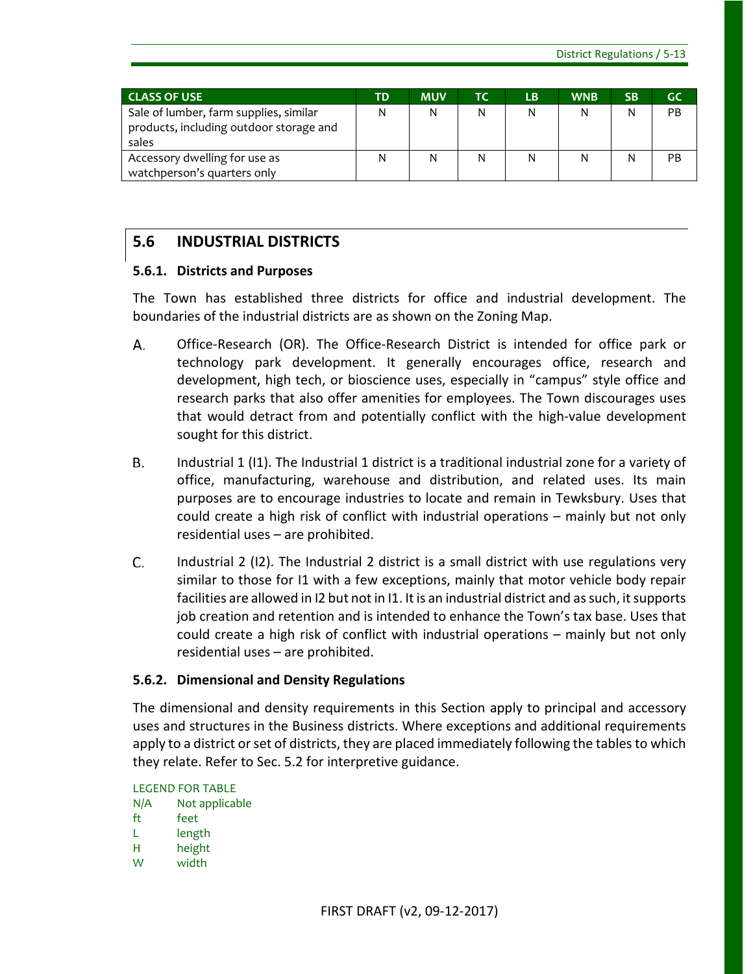| LCLASS OF USE                                                                              | TD. | <b>MUV</b> | ТС | LB. | <b>WNB</b> | <b>SB</b> | GC        |
|--------------------------------------------------------------------------------------------|-----|------------|----|-----|------------|-----------|-----------|
| Sale of lumber, farm supplies, similar<br>products, including outdoor storage and<br>sales | N   | Ν          | N  | N   | N          | N         | <b>PB</b> |
| Accessory dwelling for use as<br>watchperson's quarters only                               | N   | Ν          |    | N   | Ν          | Ν         | PB.       |

# <span id="page-34-0"></span>**5.6 INDUSTRIAL DISTRICTS**

### **5.6.1. Districts and Purposes**

The Town has established three districts for office and industrial development. The boundaries of the industrial districts are as shown on the Zoning Map.

- A. Office-Research (OR). The Office-Research District is intended for office park or technology park development. It generally encourages office, research and development, high tech, or bioscience uses, especially in "campus" style office and research parks that also offer amenities for employees. The Town discourages uses that would detract from and potentially conflict with the high-value development sought for this district.
- **B.** Industrial 1 (I1). The Industrial 1 district is a traditional industrial zone for a variety of office, manufacturing, warehouse and distribution, and related uses. Its main purposes are to encourage industries to locate and remain in Tewksbury. Uses that could create a high risk of conflict with industrial operations – mainly but not only residential uses – are prohibited.
- C. Industrial 2 (I2). The Industrial 2 district is a small district with use regulations very similar to those for I1 with a few exceptions, mainly that motor vehicle body repair facilities are allowed in I2 but not in I1. It is an industrial district and as such, it supports job creation and retention and is intended to enhance the Town's tax base. Uses that could create a high risk of conflict with industrial operations – mainly but not only residential uses – are prohibited.

### **5.6.2. Dimensional and Density Regulations**

The dimensional and density requirements in this Section apply to principal and accessory uses and structures in the Business districts. Where exceptions and additional requirements apply to a district or set of districts, they are placed immediately following the tables to which they relate. Refer to Sec. 5.2 for interpretive guidance.

LEGEND FOR TABLE N/A Not applicable

- ft feet
- L length
- H height
- W width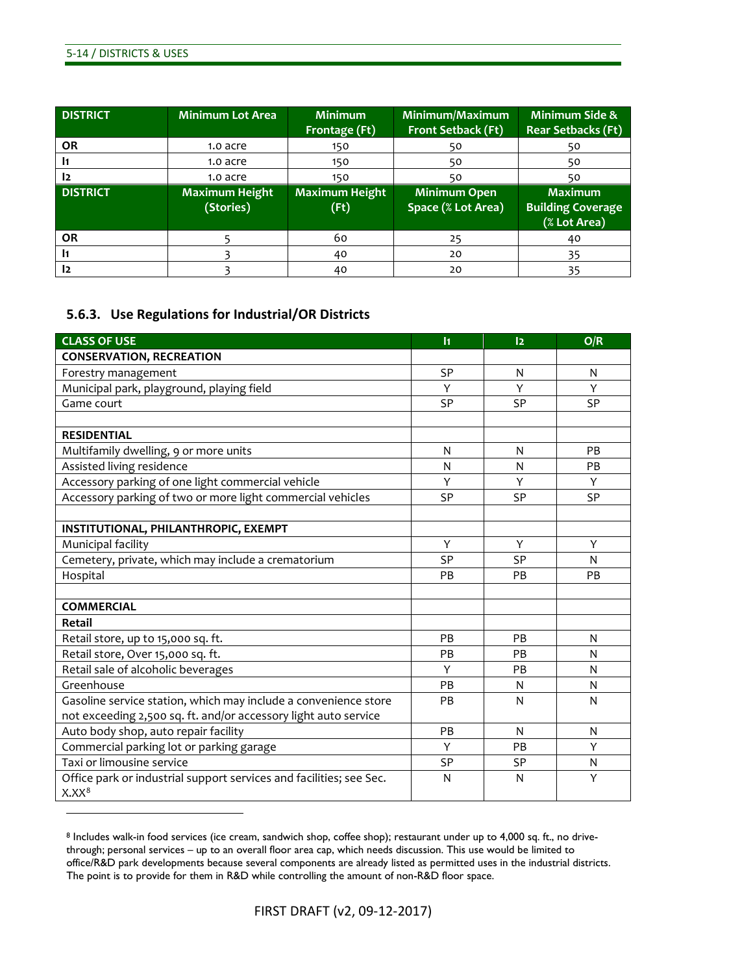$\overline{a}$ 

| <b>DISTRICT</b> | <b>Minimum Lot Area</b>            | <b>Minimum</b><br>Frontage (Ft) | Minimum/Maximum<br>Front Setback (Ft) | <b>Minimum Side &amp;</b><br><b>Rear Setbacks (Ft)</b>     |
|-----------------|------------------------------------|---------------------------------|---------------------------------------|------------------------------------------------------------|
| <b>OR</b>       | 1.0 acre                           | 150                             | 50                                    | 50                                                         |
| I1              | 1.0 acre                           | 150                             | 50                                    | 50                                                         |
| 12              | 1.0 acre                           | 150                             | 50                                    | 50                                                         |
| <b>DISTRICT</b> | <b>Maximum Height</b><br>(Stories) | <b>Maximum Height</b><br>(Ft)   | Minimum Open<br>Space (% Lot Area)    | <b>Maximum</b><br><b>Building Coverage</b><br>(% Lot Area) |
| <b>OR</b>       |                                    | 60                              | 25                                    | 40                                                         |
| $\mathbf{I}$    |                                    | 40                              | 20                                    | 35                                                         |
| I2              |                                    | 40                              | 20                                    | 35                                                         |

### **5.6.3. Use Regulations for Industrial/OR Districts**

| <b>CLASS OF USE</b>                                                 | $\overline{11}$ | 12        | O/R       |
|---------------------------------------------------------------------|-----------------|-----------|-----------|
| <b>CONSERVATION, RECREATION</b>                                     |                 |           |           |
| Forestry management                                                 | <b>SP</b>       | N         | N         |
| Municipal park, playground, playing field                           | Y               | Y         | Y         |
| Game court                                                          | <b>SP</b>       | <b>SP</b> | <b>SP</b> |
|                                                                     |                 |           |           |
| <b>RESIDENTIAL</b>                                                  |                 |           |           |
| Multifamily dwelling, 9 or more units                               | N               | N         | PB        |
| Assisted living residence                                           | N               | N         | PB        |
| Accessory parking of one light commercial vehicle                   | Y               | Υ         | Y         |
| Accessory parking of two or more light commercial vehicles          | <b>SP</b>       | <b>SP</b> | <b>SP</b> |
|                                                                     |                 |           |           |
| INSTITUTIONAL, PHILANTHROPIC, EXEMPT                                |                 |           |           |
| Municipal facility                                                  | Y               | Y         | Y         |
| Cemetery, private, which may include a crematorium                  | <b>SP</b>       | <b>SP</b> | N         |
| Hospital                                                            | PB              | PB        | PB        |
|                                                                     |                 |           |           |
| <b>COMMERCIAL</b>                                                   |                 |           |           |
| <b>Retail</b>                                                       |                 |           |           |
| Retail store, up to 15,000 sq. ft.                                  | PB              | PB        | N         |
| Retail store, Over 15,000 sq. ft.                                   | PB              | PB        | N         |
| Retail sale of alcoholic beverages                                  | Y               | PB        | N         |
| Greenhouse                                                          | PB              | N         | N         |
| Gasoline service station, which may include a convenience store     | PB              | N         | N         |
| not exceeding 2,500 sq. ft. and/or accessory light auto service     |                 |           |           |
| Auto body shop, auto repair facility                                | PB              | N         | N         |
| Commercial parking lot or parking garage                            | Y               | <b>PB</b> | Y         |
| Taxi or limousine service                                           | <b>SP</b>       | <b>SP</b> | N         |
| Office park or industrial support services and facilities; see Sec. | N               | N         | Y         |
| $X.XX^8$                                                            |                 |           |           |

<span id="page-35-0"></span><sup>8</sup> Includes walk-in food services (ice cream, sandwich shop, coffee shop); restaurant under up to 4,000 sq. ft., no drivethrough; personal services – up to an overall floor area cap, which needs discussion. This use would be limited to office/R&D park developments because several components are already listed as permitted uses in the industrial districts. The point is to provide for them in R&D while controlling the amount of non-R&D floor space.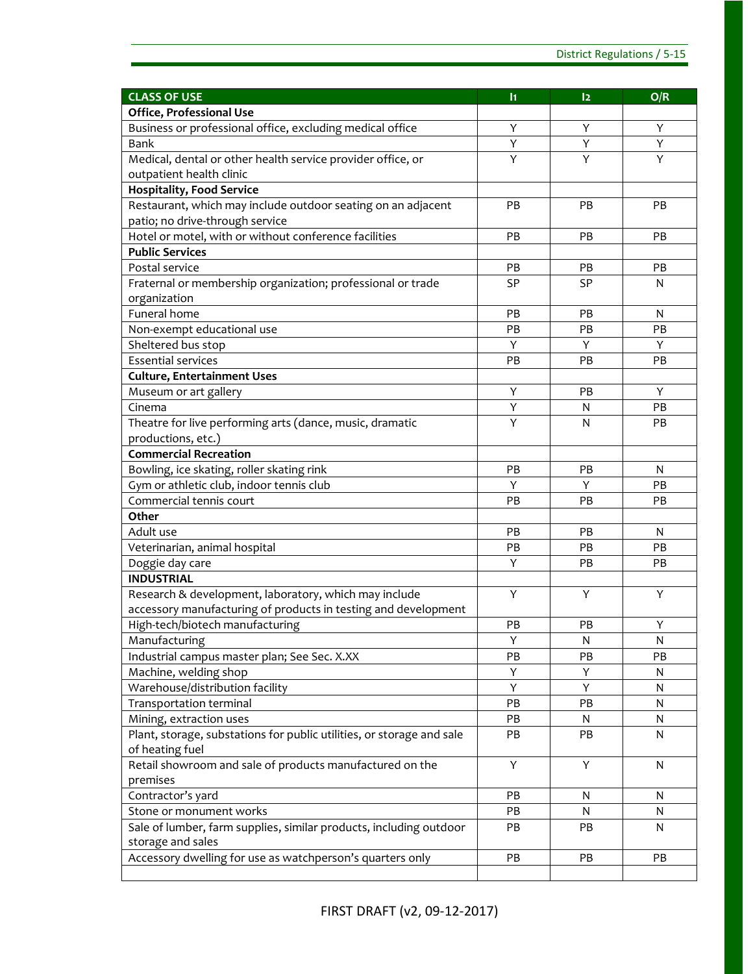| <b>CLASS OF USE</b>                                                   | $\mathbf{h}$ | 12 | O/R |
|-----------------------------------------------------------------------|--------------|----|-----|
| Office, Professional Use                                              |              |    |     |
| Business or professional office, excluding medical office             | Υ            | Υ  | Y   |
| Bank                                                                  | Y            | Υ  | Y   |
| Medical, dental or other health service provider office, or           | Y            | Y  | Y   |
| outpatient health clinic                                              |              |    |     |
| <b>Hospitality, Food Service</b>                                      |              |    |     |
| Restaurant, which may include outdoor seating on an adjacent          | PB           | PB | PB  |
| patio; no drive-through service                                       |              |    |     |
| Hotel or motel, with or without conference facilities                 | PB           | PB | PB  |
| <b>Public Services</b>                                                |              |    |     |
| Postal service                                                        | PB           | PB | PB  |
| Fraternal or membership organization; professional or trade           | <b>SP</b>    | SP | N   |
| organization                                                          |              |    |     |
| Funeral home                                                          | PB           | PB | N   |
| Non-exempt educational use                                            | PB           | PB | PB  |
| Sheltered bus stop                                                    | Υ            | Y  | Y   |
| <b>Essential services</b>                                             | PB           | PB | PB  |
| <b>Culture, Entertainment Uses</b>                                    |              |    |     |
| Museum or art gallery                                                 | Υ            | PB | Y   |
| Cinema                                                                | Υ            | N  | PB  |
| Theatre for live performing arts (dance, music, dramatic              | Y            | N  | PB  |
| productions, etc.)                                                    |              |    |     |
| <b>Commercial Recreation</b>                                          |              |    |     |
| Bowling, ice skating, roller skating rink                             | PB           | PB | N   |
| Gym or athletic club, indoor tennis club                              | Y            | Υ  | PB  |
| Commercial tennis court                                               | PB           | PB | PB  |
| Other                                                                 |              |    |     |
| Adult use                                                             | PB           | PB | N   |
| Veterinarian, animal hospital                                         | PB           | PB | PB  |
| Doggie day care                                                       | Y            | PB | PB  |
| <b>INDUSTRIAL</b>                                                     |              |    |     |
| Research & development, laboratory, which may include                 | Y            | Y  | Y   |
| accessory manufacturing of products in testing and development        |              |    |     |
| High-tech/biotech manufacturing                                       | PB           | РB | Υ   |
| Manufacturing                                                         | Υ            | N  | N   |
| Industrial campus master plan; See Sec. X.XX                          | PB           | PB | PB  |
| Machine, welding shop                                                 | Υ            | Υ  | N   |
| Warehouse/distribution facility                                       | Y            | Y  | N   |
| Transportation terminal                                               | PB           | PB | N   |
| Mining, extraction uses                                               | PB           | N  | N   |
| Plant, storage, substations for public utilities, or storage and sale | PB           | PB | N   |
| of heating fuel                                                       |              |    |     |
| Retail showroom and sale of products manufactured on the              | Υ            | Y  | N   |
| premises                                                              |              |    |     |
| Contractor's yard                                                     | PB           | N  | N   |
| Stone or monument works                                               | PB           | N  | N   |
| Sale of lumber, farm supplies, similar products, including outdoor    | PB           | PB | N   |
| storage and sales                                                     |              |    |     |
| Accessory dwelling for use as watchperson's quarters only             | PB           | PB | PB  |
|                                                                       |              |    |     |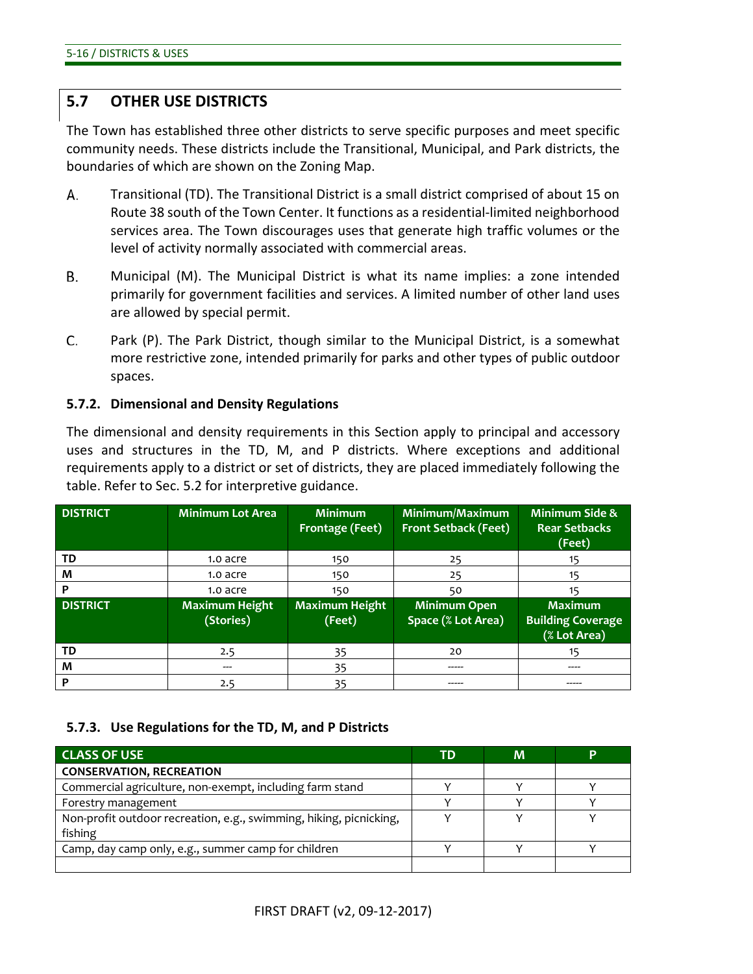# **5.7 OTHER USE DISTRICTS**

The Town has established three other districts to serve specific purposes and meet specific community needs. These districts include the Transitional, Municipal, and Park districts, the boundaries of which are shown on the Zoning Map.

- А. Transitional (TD). The Transitional District is a small district comprised of about 15 on Route 38 south of the Town Center. It functions as a residential-limited neighborhood services area. The Town discourages uses that generate high traffic volumes or the level of activity normally associated with commercial areas.
- В. Municipal (M). The Municipal District is what its name implies: a zone intended primarily for government facilities and services. A limited number of other land uses are allowed by special permit.
- C. Park (P). The Park District, though similar to the Municipal District, is a somewhat more restrictive zone, intended primarily for parks and other types of public outdoor spaces.

#### **5.7.2. Dimensional and Density Regulations**

The dimensional and density requirements in this Section apply to principal and accessory uses and structures in the TD, M, and P districts. Where exceptions and additional requirements apply to a district or set of districts, they are placed immediately following the table. Refer to Sec. 5.2 for interpretive guidance.

| <b>DISTRICT</b> | <b>Minimum Lot Area</b>            | <b>Minimum</b><br><b>Frontage (Feet)</b> | Minimum/Maximum<br><b>Front Setback (Feet)</b> | <b>Minimum Side &amp;</b><br><b>Rear Setbacks</b><br>(Feet) |
|-----------------|------------------------------------|------------------------------------------|------------------------------------------------|-------------------------------------------------------------|
| TD              | 1.0 acre                           | 150                                      | 25                                             | 15                                                          |
| M               | 1.0 acre                           | 150                                      | 25                                             | 15                                                          |
| P               | 1.0 acre                           | 150                                      | 50                                             | 15                                                          |
| <b>DISTRICT</b> | <b>Maximum Height</b><br>(Stories) | <b>Maximum Height</b><br>(Feet)          | <b>Minimum Open</b><br>Space (% Lot Area)      | <b>Maximum</b><br><b>Building Coverage</b><br>(% Lot Area)  |
| TD              | 2.5                                | 35                                       | 20                                             |                                                             |
| M               | ---                                | 35                                       | -----                                          | ----                                                        |
| P               | 2.5                                | 35                                       |                                                |                                                             |

#### **5.7.3. Use Regulations for the TD, M, and P Districts**

| <b>CLASS OF USE</b>                                                | TD | M | P |
|--------------------------------------------------------------------|----|---|---|
| <b>CONSERVATION, RECREATION</b>                                    |    |   |   |
| Commercial agriculture, non-exempt, including farm stand           |    |   |   |
| Forestry management                                                |    |   |   |
| Non-profit outdoor recreation, e.g., swimming, hiking, picnicking, |    |   |   |
| fishing                                                            |    |   |   |
| Camp, day camp only, e.g., summer camp for children                |    |   |   |
|                                                                    |    |   |   |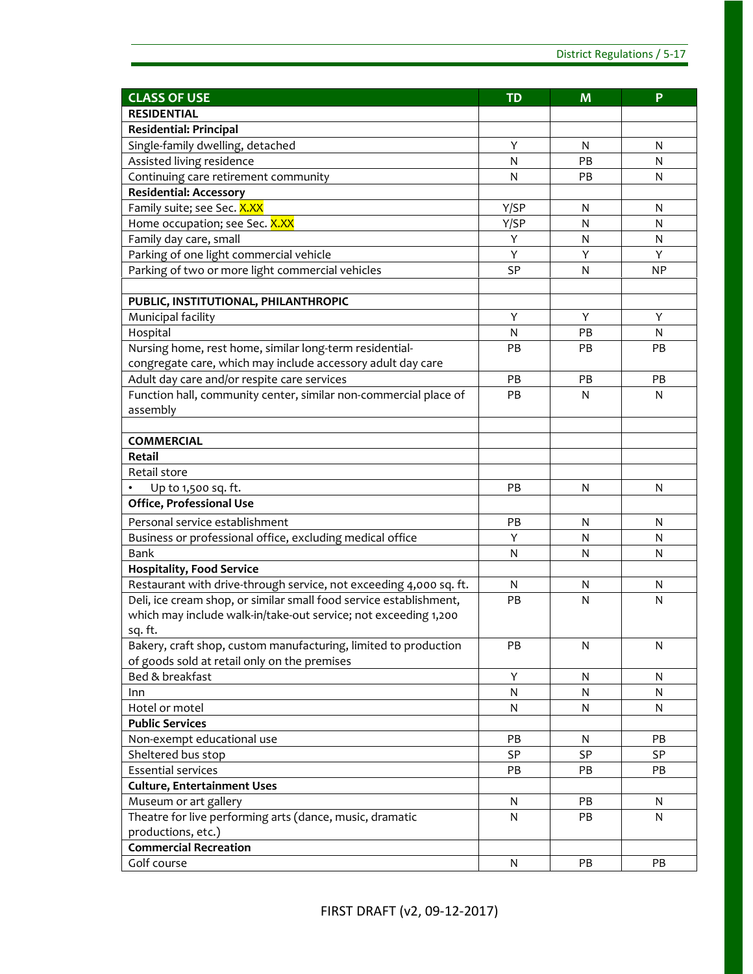| <b>CLASS OF USE</b>                                                | <b>TD</b> | M         | P         |
|--------------------------------------------------------------------|-----------|-----------|-----------|
| <b>RESIDENTIAL</b>                                                 |           |           |           |
| Residential: Principal                                             |           |           |           |
| Single-family dwelling, detached                                   | Y         | N         | N         |
| Assisted living residence                                          | N         | PB        | N         |
| Continuing care retirement community                               | N         | PB        | N         |
| <b>Residential: Accessory</b>                                      |           |           |           |
| Family suite; see Sec. X.XX                                        | Y/SP      | N         | N         |
| Home occupation; see Sec. X.XX                                     | Y/SP      | N         | N         |
| Family day care, small                                             | Υ         | N         | N         |
| Parking of one light commercial vehicle                            | Y         | Y         | Y         |
| Parking of two or more light commercial vehicles                   | <b>SP</b> | N         | <b>NP</b> |
|                                                                    |           |           |           |
| PUBLIC, INSTITUTIONAL, PHILANTHROPIC                               |           |           |           |
| Municipal facility                                                 | Y         | Y         | Y         |
| Hospital                                                           | N         | PB        | N         |
| Nursing home, rest home, similar long-term residential-            | PB        | PB        | <b>PB</b> |
| congregate care, which may include accessory adult day care        |           |           |           |
| Adult day care and/or respite care services                        | PB        | PB        | PB        |
| Function hall, community center, similar non-commercial place of   | PB        | N         | N         |
| assembly                                                           |           |           |           |
|                                                                    |           |           |           |
| <b>COMMERCIAL</b>                                                  |           |           |           |
| Retail                                                             |           |           |           |
| Retail store                                                       |           |           |           |
| Up to 1,500 sq. ft.                                                | PB        | N         | N         |
| Office, Professional Use                                           |           |           |           |
| Personal service establishment                                     | PB        | N         | N         |
| Business or professional office, excluding medical office          | Y         | N         | N         |
| Bank                                                               | N         | N         | N         |
| <b>Hospitality, Food Service</b>                                   |           |           |           |
| Restaurant with drive-through service, not exceeding 4,000 sq. ft. | N         | N         | N         |
| Deli, ice cream shop, or similar small food service establishment, | PB        | N         | N         |
| which may include walk-in/take-out service; not exceeding 1,200    |           |           |           |
| sq. ft.                                                            |           |           |           |
| Bakery, craft shop, custom manufacturing, limited to production    | PB        | ${\sf N}$ | N         |
| of goods sold at retail only on the premises                       |           |           |           |
| Bed & breakfast                                                    | Y         | N         | ${\sf N}$ |
| Inn                                                                | N         | N         | N         |
| Hotel or motel                                                     | N         | N         | N         |
| <b>Public Services</b>                                             |           |           |           |
| Non-exempt educational use                                         | PB.       | N         | <b>PB</b> |
| Sheltered bus stop                                                 | SP        | SP        | <b>SP</b> |
| <b>Essential services</b>                                          | <b>PB</b> | PB        | PB        |
| <b>Culture, Entertainment Uses</b>                                 |           |           |           |
| Museum or art gallery                                              | N         | PB        | N         |
| Theatre for live performing arts (dance, music, dramatic           | N         | PB        | N         |
| productions, etc.)                                                 |           |           |           |
| <b>Commercial Recreation</b>                                       |           |           |           |
| Golf course                                                        | N         | PB        | PB        |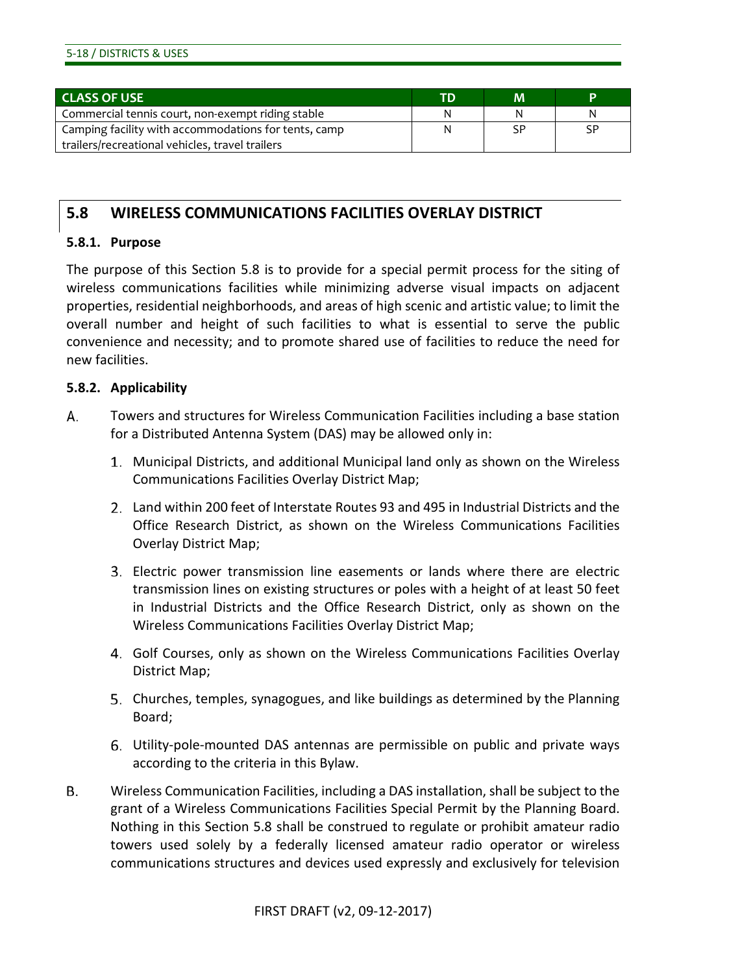| 5-18 / DISTRICTS & USES |  |
|-------------------------|--|
|-------------------------|--|

| <b>CLASS OF USE</b>                                  | <b>TD</b> | м  | Þ  |
|------------------------------------------------------|-----------|----|----|
| Commercial tennis court, non-exempt riding stable    | N         | N  | N  |
| Camping facility with accommodations for tents, camp |           | SP | SP |
| trailers/recreational vehicles, travel trailers      |           |    |    |

# **5.8 WIRELESS COMMUNICATIONS FACILITIES OVERLAY DISTRICT**

#### **5.8.1. Purpose**

The purpose of this Section 5.8 is to provide for a special permit process for the siting of wireless communications facilities while minimizing adverse visual impacts on adjacent properties, residential neighborhoods, and areas of high scenic and artistic value; to limit the overall number and height of such facilities to what is essential to serve the public convenience and necessity; and to promote shared use of facilities to reduce the need for new facilities.

# **5.8.2. Applicability**

- А. Towers and structures for Wireless Communication Facilities including a base station for a Distributed Antenna System (DAS) may be allowed only in:
	- Municipal Districts, and additional Municipal land only as shown on the Wireless Communications Facilities Overlay District Map;
	- Land within 200 feet of Interstate Routes 93 and 495 in Industrial Districts and the Office Research District, as shown on the Wireless Communications Facilities Overlay District Map;
	- Electric power transmission line easements or lands where there are electric transmission lines on existing structures or poles with a height of at least 50 feet in Industrial Districts and the Office Research District, only as shown on the Wireless Communications Facilities Overlay District Map;
	- Golf Courses, only as shown on the Wireless Communications Facilities Overlay District Map;
	- Churches, temples, synagogues, and like buildings as determined by the Planning Board;
	- Utility-pole-mounted DAS antennas are permissible on public and private ways according to the criteria in this Bylaw.
- Β. Wireless Communication Facilities, including a DAS installation, shall be subject to the grant of a Wireless Communications Facilities Special Permit by the Planning Board. Nothing in this Section 5.8 shall be construed to regulate or prohibit amateur radio towers used solely by a federally licensed amateur radio operator or wireless communications structures and devices used expressly and exclusively for television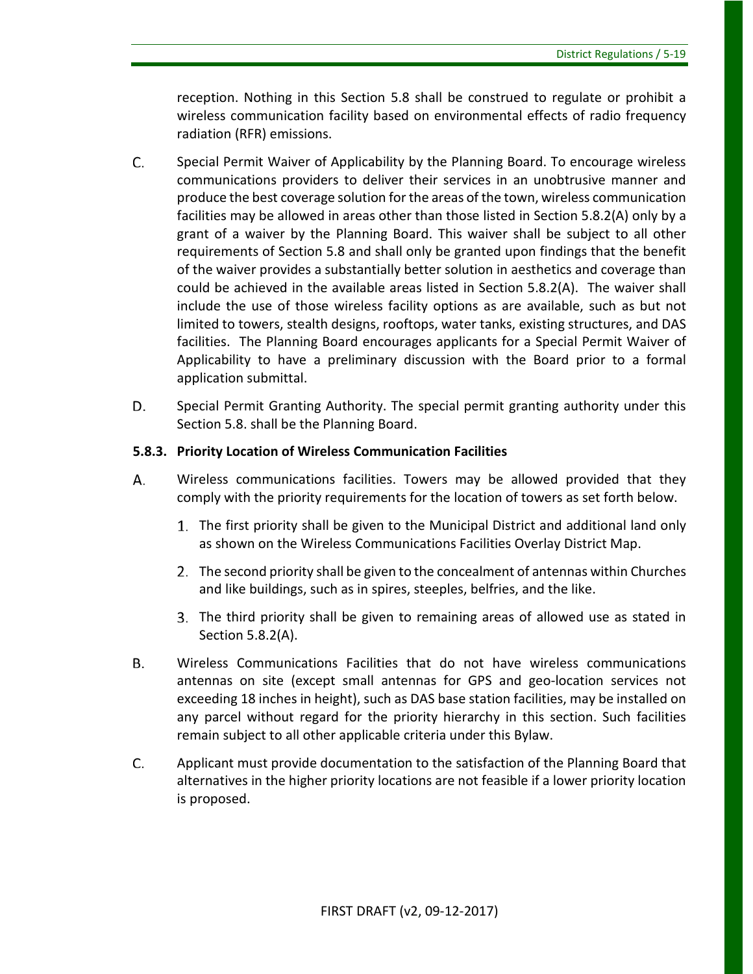reception. Nothing in this Section 5.8 shall be construed to regulate or prohibit a wireless communication facility based on environmental effects of radio frequency radiation (RFR) emissions.

- C. Special Permit Waiver of Applicability by the Planning Board. To encourage wireless communications providers to deliver their services in an unobtrusive manner and produce the best coverage solution for the areas of the town, wireless communication facilities may be allowed in areas other than those listed in Section 5.8.2(A) only by a grant of a waiver by the Planning Board. This waiver shall be subject to all other requirements of Section 5.8 and shall only be granted upon findings that the benefit of the waiver provides a substantially better solution in aesthetics and coverage than could be achieved in the available areas listed in Section 5.8.2(A). The waiver shall include the use of those wireless facility options as are available, such as but not limited to towers, stealth designs, rooftops, water tanks, existing structures, and DAS facilities. The Planning Board encourages applicants for a Special Permit Waiver of Applicability to have a preliminary discussion with the Board prior to a formal application submittal.
- D. Special Permit Granting Authority. The special permit granting authority under this Section 5.8. shall be the Planning Board.

# **5.8.3. Priority Location of Wireless Communication Facilities**

- А. Wireless communications facilities. Towers may be allowed provided that they comply with the priority requirements for the location of towers as set forth below.
	- The first priority shall be given to the Municipal District and additional land only as shown on the Wireless Communications Facilities Overlay District Map.
	- The second priority shall be given to the concealment of antennas within Churches and like buildings, such as in spires, steeples, belfries, and the like.
	- The third priority shall be given to remaining areas of allowed use as stated in Section 5.8.2(A).
- В. Wireless Communications Facilities that do not have wireless communications antennas on site (except small antennas for GPS and geo-location services not exceeding 18 inches in height), such as DAS base station facilities, may be installed on any parcel without regard for the priority hierarchy in this section. Such facilities remain subject to all other applicable criteria under this Bylaw.
- C. Applicant must provide documentation to the satisfaction of the Planning Board that alternatives in the higher priority locations are not feasible if a lower priority location is proposed.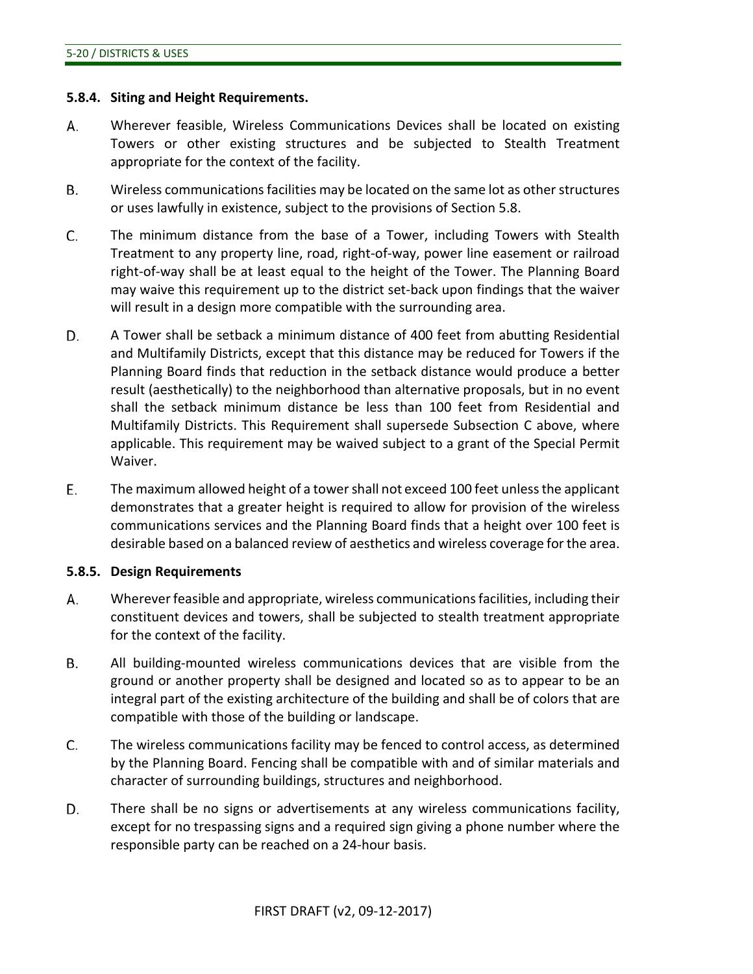#### **5.8.4. Siting and Height Requirements.**

- А. Wherever feasible, Wireless Communications Devices shall be located on existing Towers or other existing structures and be subjected to Stealth Treatment appropriate for the context of the facility.
- В. Wireless communications facilities may be located on the same lot as other structures or uses lawfully in existence, subject to the provisions of Section 5.8.
- C. The minimum distance from the base of a Tower, including Towers with Stealth Treatment to any property line, road, right-of-way, power line easement or railroad right-of-way shall be at least equal to the height of the Tower. The Planning Board may waive this requirement up to the district set-back upon findings that the waiver will result in a design more compatible with the surrounding area.
- D. A Tower shall be setback a minimum distance of 400 feet from abutting Residential and Multifamily Districts, except that this distance may be reduced for Towers if the Planning Board finds that reduction in the setback distance would produce a better result (aesthetically) to the neighborhood than alternative proposals, but in no event shall the setback minimum distance be less than 100 feet from Residential and Multifamily Districts. This Requirement shall supersede Subsection C above, where applicable. This requirement may be waived subject to a grant of the Special Permit Waiver.
- Ε. The maximum allowed height of a towershall not exceed 100 feet unless the applicant demonstrates that a greater height is required to allow for provision of the wireless communications services and the Planning Board finds that a height over 100 feet is desirable based on a balanced review of aesthetics and wireless coverage for the area.

#### **5.8.5. Design Requirements**

- А. Wherever feasible and appropriate, wireless communications facilities, including their constituent devices and towers, shall be subjected to stealth treatment appropriate for the context of the facility.
- В. All building-mounted wireless communications devices that are visible from the ground or another property shall be designed and located so as to appear to be an integral part of the existing architecture of the building and shall be of colors that are compatible with those of the building or landscape.
- C. The wireless communications facility may be fenced to control access, as determined by the Planning Board. Fencing shall be compatible with and of similar materials and character of surrounding buildings, structures and neighborhood.
- D. There shall be no signs or advertisements at any wireless communications facility, except for no trespassing signs and a required sign giving a phone number where the responsible party can be reached on a 24-hour basis.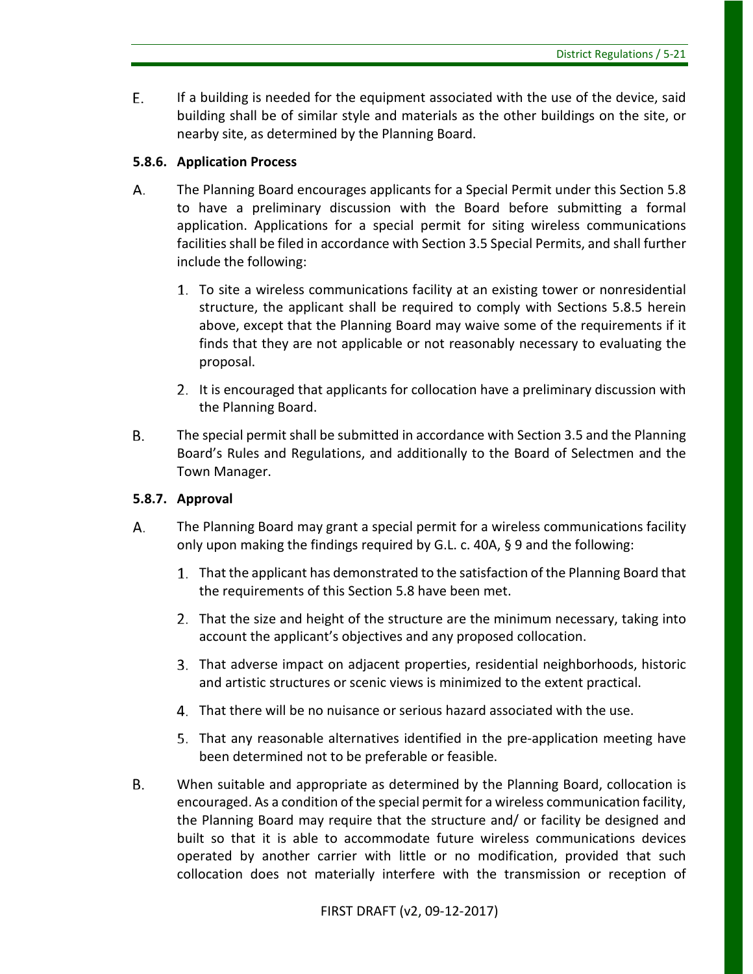E. If a building is needed for the equipment associated with the use of the device, said building shall be of similar style and materials as the other buildings on the site, or nearby site, as determined by the Planning Board.

# **5.8.6. Application Process**

- А. The Planning Board encourages applicants for a Special Permit under this Section 5.8 to have a preliminary discussion with the Board before submitting a formal application. Applications for a special permit for siting wireless communications facilities shall be filed in accordance with Section 3.5 Special Permits, and shall further include the following:
	- To site a wireless communications facility at an existing tower or nonresidential structure, the applicant shall be required to comply with Sections 5.8.5 herein above, except that the Planning Board may waive some of the requirements if it finds that they are not applicable or not reasonably necessary to evaluating the proposal.
	- It is encouraged that applicants for collocation have a preliminary discussion with the Planning Board.
- **B.** The special permit shall be submitted in accordance with Section 3.5 and the Planning Board's Rules and Regulations, and additionally to the Board of Selectmen and the Town Manager.

# **5.8.7. Approval**

- А. The Planning Board may grant a special permit for a wireless communications facility only upon making the findings required by G.L. c. 40A, § 9 and the following:
	- That the applicant has demonstrated to the satisfaction of the Planning Board that the requirements of this Section 5.8 have been met.
	- That the size and height of the structure are the minimum necessary, taking into account the applicant's objectives and any proposed collocation.
	- That adverse impact on adjacent properties, residential neighborhoods, historic and artistic structures or scenic views is minimized to the extent practical.
	- That there will be no nuisance or serious hazard associated with the use.
	- That any reasonable alternatives identified in the pre-application meeting have been determined not to be preferable or feasible.
- В. When suitable and appropriate as determined by the Planning Board, collocation is encouraged. As a condition of the special permit for a wireless communication facility, the Planning Board may require that the structure and/ or facility be designed and built so that it is able to accommodate future wireless communications devices operated by another carrier with little or no modification, provided that such collocation does not materially interfere with the transmission or reception of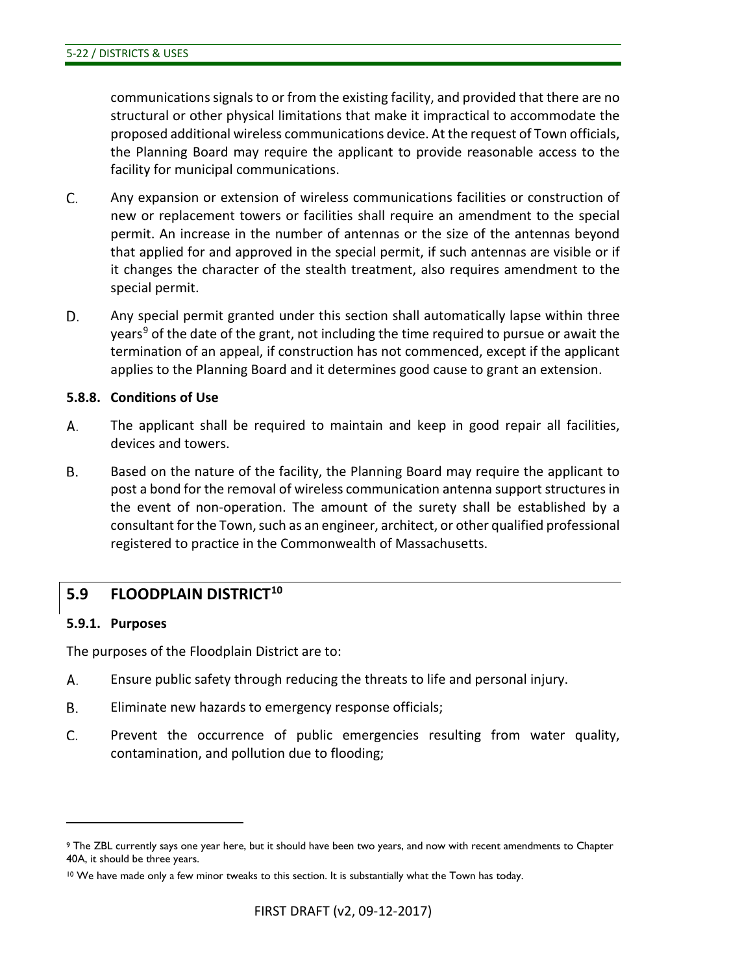communications signals to or from the existing facility, and provided that there are no structural or other physical limitations that make it impractical to accommodate the proposed additional wireless communications device. At the request of Town officials, the Planning Board may require the applicant to provide reasonable access to the facility for municipal communications.

- C. Any expansion or extension of wireless communications facilities or construction of new or replacement towers or facilities shall require an amendment to the special permit. An increase in the number of antennas or the size of the antennas beyond that applied for and approved in the special permit, if such antennas are visible or if it changes the character of the stealth treatment, also requires amendment to the special permit.
- D. Any special permit granted under this section shall automatically lapse within three years<sup>[9](#page-43-0)</sup> of the date of the grant, not including the time required to pursue or await the termination of an appeal, if construction has not commenced, except if the applicant applies to the Planning Board and it determines good cause to grant an extension.

#### **5.8.8. Conditions of Use**

- А. The applicant shall be required to maintain and keep in good repair all facilities, devices and towers.
- **B.** Based on the nature of the facility, the Planning Board may require the applicant to post a bond for the removal of wireless communication antenna support structures in the event of non-operation. The amount of the surety shall be established by a consultant for the Town, such as an engineer, architect, or other qualified professional registered to practice in the Commonwealth of Massachusetts.

# **5.9 FLOODPLAIN DISTRICT[10](#page-43-1)**

#### **5.9.1. Purposes**

 $\overline{a}$ 

The purposes of the Floodplain District are to:

- А. Ensure public safety through reducing the threats to life and personal injury.
- Β. Eliminate new hazards to emergency response officials;
- C. Prevent the occurrence of public emergencies resulting from water quality, contamination, and pollution due to flooding;

<span id="page-43-0"></span><sup>9</sup> The ZBL currently says one year here, but it should have been two years, and now with recent amendments to Chapter 40A, it should be three years.

<span id="page-43-1"></span> $10$  We have made only a few minor tweaks to this section. It is substantially what the Town has today.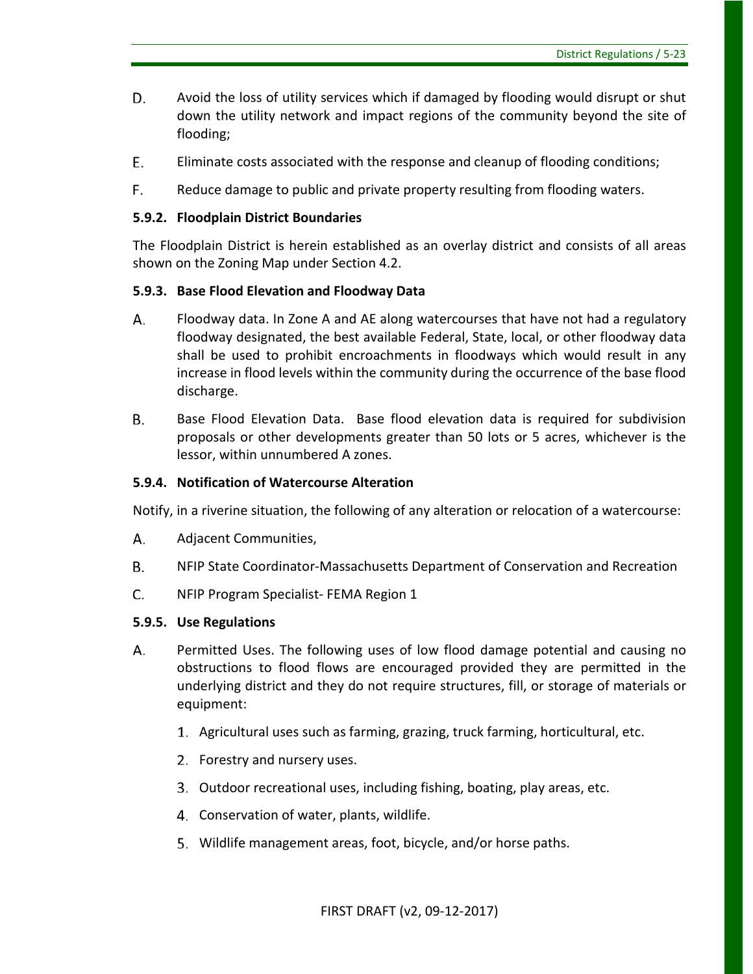- D. Avoid the loss of utility services which if damaged by flooding would disrupt or shut down the utility network and impact regions of the community beyond the site of flooding;
- E. Eliminate costs associated with the response and cleanup of flooding conditions;
- F. Reduce damage to public and private property resulting from flooding waters.

#### **5.9.2. Floodplain District Boundaries**

The Floodplain District is herein established as an overlay district and consists of all areas shown on the Zoning Map under Section 4.2.

#### **5.9.3. Base Flood Elevation and Floodway Data**

- А. Floodway data. In Zone A and AE along watercourses that have not had a regulatory floodway designated, the best available Federal, State, local, or other floodway data shall be used to prohibit encroachments in floodways which would result in any increase in flood levels within the community during the occurrence of the base flood discharge.
- **B.** Base Flood Elevation Data. Base flood elevation data is required for subdivision proposals or other developments greater than 50 lots or 5 acres, whichever is the lessor, within unnumbered A zones.

#### **5.9.4. Notification of Watercourse Alteration**

Notify, in a riverine situation, the following of any alteration or relocation of a watercourse:

- А. Adjacent Communities,
- **B.** NFIP State Coordinator-Massachusetts Department of Conservation and Recreation
- C. NFIP Program Specialist- FEMA Region 1

#### **5.9.5. Use Regulations**

- Permitted Uses. The following uses of low flood damage potential and causing no А. obstructions to flood flows are encouraged provided they are permitted in the underlying district and they do not require structures, fill, or storage of materials or equipment:
	- Agricultural uses such as farming, grazing, truck farming, horticultural, etc.
	- 2. Forestry and nursery uses.
	- Outdoor recreational uses, including fishing, boating, play areas, etc.
	- Conservation of water, plants, wildlife.
	- 5. Wildlife management areas, foot, bicycle, and/or horse paths.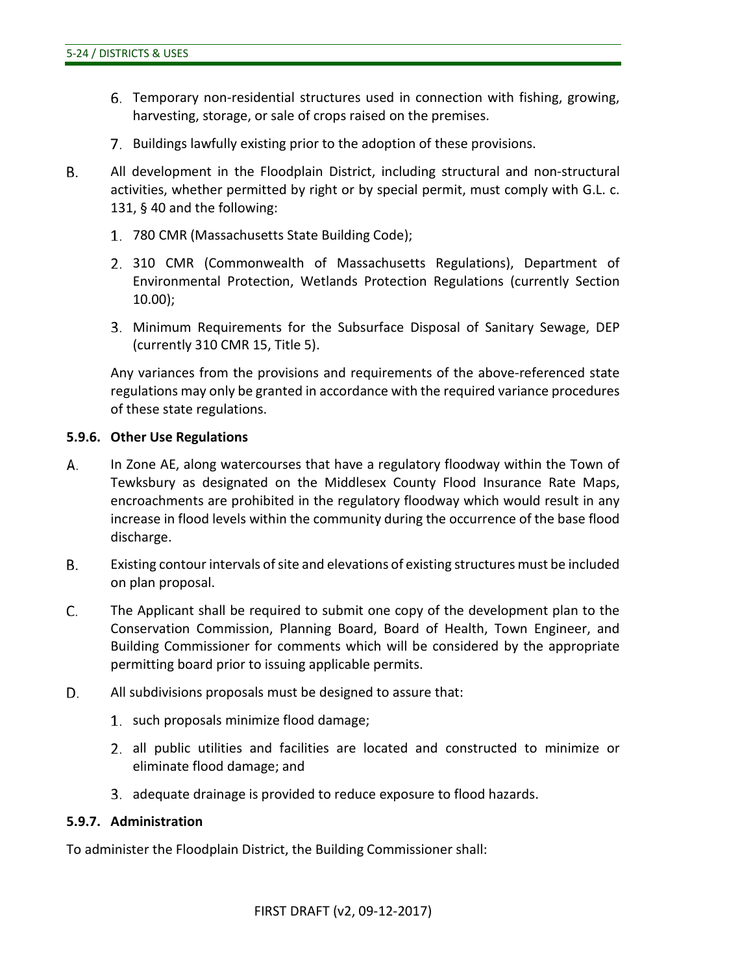- Temporary non-residential structures used in connection with fishing, growing, harvesting, storage, or sale of crops raised on the premises.
- 7. Buildings lawfully existing prior to the adoption of these provisions.
- **B.** All development in the Floodplain District, including structural and non-structural activities, whether permitted by right or by special permit, must comply with G.L. c. 131, § 40 and the following:
	- 780 CMR (Massachusetts State Building Code);
	- 310 CMR (Commonwealth of Massachusetts Regulations), Department of Environmental Protection, Wetlands Protection Regulations (currently Section 10.00);
	- Minimum Requirements for the Subsurface Disposal of Sanitary Sewage, DEP (currently 310 CMR 15, Title 5).

Any variances from the provisions and requirements of the above-referenced state regulations may only be granted in accordance with the required variance procedures of these state regulations.

#### **5.9.6. Other Use Regulations**

- А. In Zone AE, along watercourses that have a regulatory floodway within the Town of Tewksbury as designated on the Middlesex County Flood Insurance Rate Maps, encroachments are prohibited in the regulatory floodway which would result in any increase in flood levels within the community during the occurrence of the base flood discharge.
- **B.** Existing contour intervals of site and elevations of existing structures must be included on plan proposal.
- C. The Applicant shall be required to submit one copy of the development plan to the Conservation Commission, Planning Board, Board of Health, Town Engineer, and Building Commissioner for comments which will be considered by the appropriate permitting board prior to issuing applicable permits.
- D. All subdivisions proposals must be designed to assure that:
	- 1. such proposals minimize flood damage;
	- all public utilities and facilities are located and constructed to minimize or eliminate flood damage; and
	- adequate drainage is provided to reduce exposure to flood hazards.

#### **5.9.7. Administration**

To administer the Floodplain District, the Building Commissioner shall: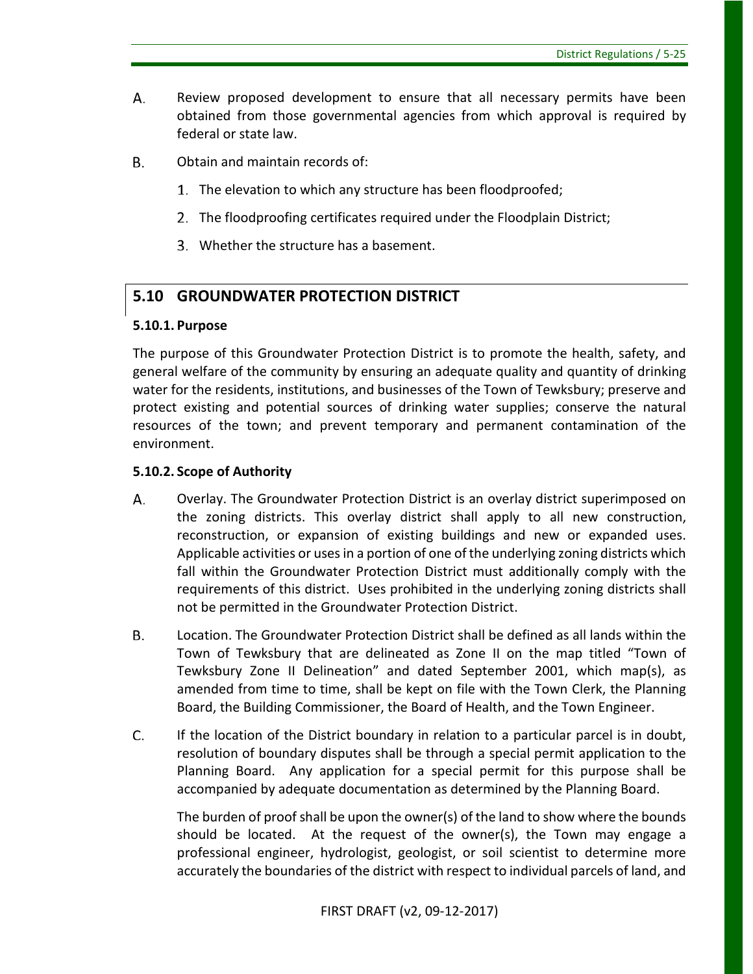- А. Review proposed development to ensure that all necessary permits have been obtained from those governmental agencies from which approval is required by federal or state law.
- В. Obtain and maintain records of:
	- 1. The elevation to which any structure has been floodproofed;
	- 2. The floodproofing certificates required under the Floodplain District;
	- Whether the structure has a basement.

# **5.10 GROUNDWATER PROTECTION DISTRICT**

# **5.10.1. Purpose**

The purpose of this Groundwater Protection District is to promote the health, safety, and general welfare of the community by ensuring an adequate quality and quantity of drinking water for the residents, institutions, and businesses of the Town of Tewksbury; preserve and protect existing and potential sources of drinking water supplies; conserve the natural resources of the town; and prevent temporary and permanent contamination of the environment.

# **5.10.2. Scope of Authority**

- А. Overlay. The Groundwater Protection District is an overlay district superimposed on the zoning districts. This overlay district shall apply to all new construction, reconstruction, or expansion of existing buildings and new or expanded uses. Applicable activities or uses in a portion of one of the underlying zoning districts which fall within the Groundwater Protection District must additionally comply with the requirements of this district. Uses prohibited in the underlying zoning districts shall not be permitted in the Groundwater Protection District.
- Location. The Groundwater Protection District shall be defined as all lands within the В. Town of Tewksbury that are delineated as Zone II on the map titled "Town of Tewksbury Zone II Delineation" and dated September 2001, which map(s), as amended from time to time, shall be kept on file with the Town Clerk, the Planning Board, the Building Commissioner, the Board of Health, and the Town Engineer.
- C. If the location of the District boundary in relation to a particular parcel is in doubt, resolution of boundary disputes shall be through a special permit application to the Planning Board. Any application for a special permit for this purpose shall be accompanied by adequate documentation as determined by the Planning Board.

The burden of proof shall be upon the owner(s) of the land to show where the bounds should be located. At the request of the owner(s), the Town may engage a professional engineer, hydrologist, geologist, or soil scientist to determine more accurately the boundaries of the district with respect to individual parcels of land, and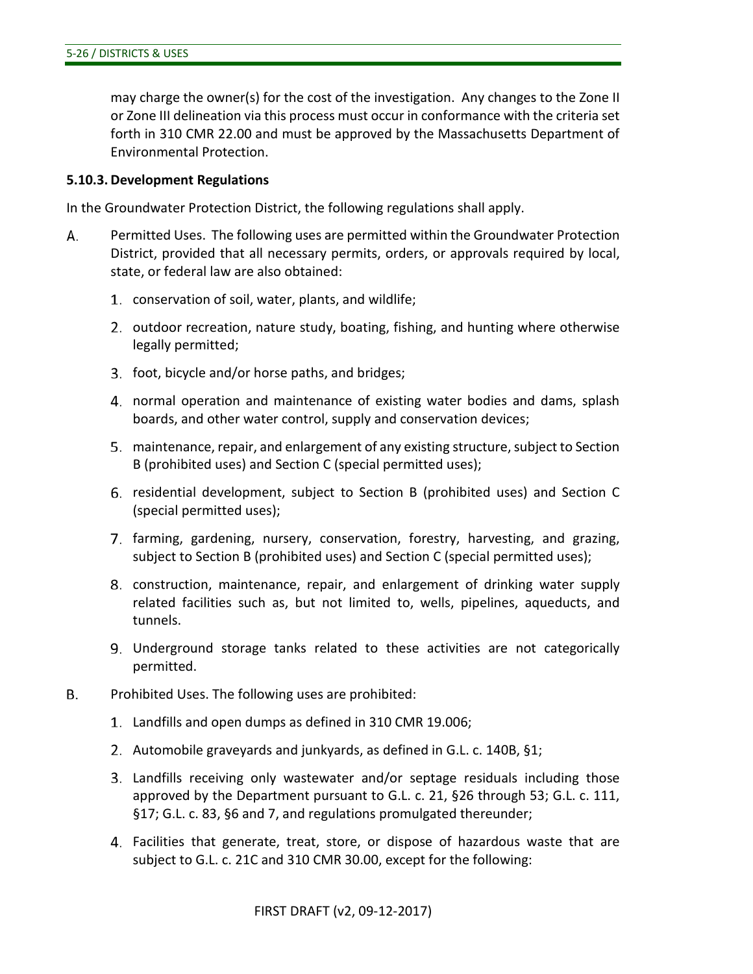may charge the owner(s) for the cost of the investigation. Any changes to the Zone II or Zone III delineation via this process must occur in conformance with the criteria set forth in 310 CMR 22.00 and must be approved by the Massachusetts Department of Environmental Protection.

#### **5.10.3. Development Regulations**

In the Groundwater Protection District, the following regulations shall apply.

- А. Permitted Uses. The following uses are permitted within the Groundwater Protection District, provided that all necessary permits, orders, or approvals required by local, state, or federal law are also obtained:
	- conservation of soil, water, plants, and wildlife;
	- 2. outdoor recreation, nature study, boating, fishing, and hunting where otherwise legally permitted;
	- 3. foot, bicycle and/or horse paths, and bridges;
	- normal operation and maintenance of existing water bodies and dams, splash boards, and other water control, supply and conservation devices;
	- maintenance, repair, and enlargement of any existing structure, subject to Section B (prohibited uses) and Section C (special permitted uses);
	- residential development, subject to Section B (prohibited uses) and Section C (special permitted uses);
	- 7. farming, gardening, nursery, conservation, forestry, harvesting, and grazing, subject to Section B (prohibited uses) and Section C (special permitted uses);
	- construction, maintenance, repair, and enlargement of drinking water supply related facilities such as, but not limited to, wells, pipelines, aqueducts, and tunnels.
	- Underground storage tanks related to these activities are not categorically permitted.
- В. Prohibited Uses. The following uses are prohibited:
	- Landfills and open dumps as defined in 310 CMR 19.006;
	- 2. Automobile graveyards and junkyards, as defined in G.L. c. 140B, §1;
	- Landfills receiving only wastewater and/or septage residuals including those approved by the Department pursuant to G.L. c. 21, §26 through 53; G.L. c. 111, §17; G.L. c. 83, §6 and 7, and regulations promulgated thereunder;
	- Facilities that generate, treat, store, or dispose of hazardous waste that are subject to G.L. c. 21C and 310 CMR 30.00, except for the following: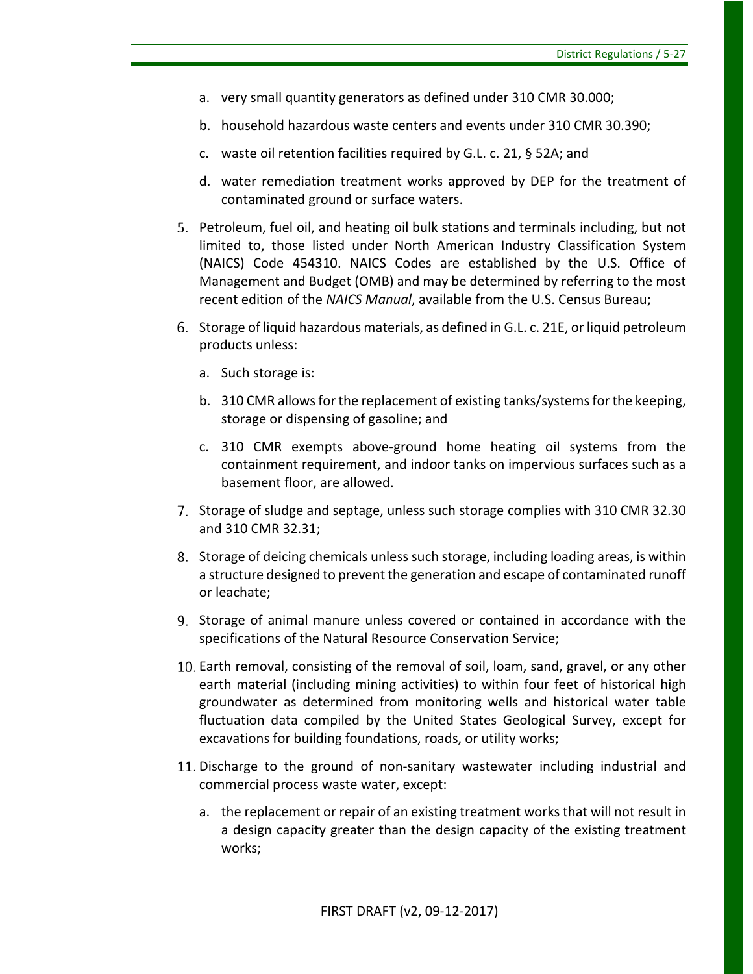- a. very small quantity generators as defined under 310 CMR 30.000;
- b. household hazardous waste centers and events under 310 CMR 30.390;
- c. waste oil retention facilities required by G.L. c. 21, § 52A; and
- d. water remediation treatment works approved by DEP for the treatment of contaminated ground or surface waters.
- Petroleum, fuel oil, and heating oil bulk stations and terminals including, but not limited to, those listed under North American Industry Classification System (NAICS) Code 454310. NAICS Codes are established by the U.S. Office of Management and Budget (OMB) and may be determined by referring to the most recent edition of the *NAICS Manual*, available from the U.S. Census Bureau;
- Storage of liquid hazardous materials, as defined in G.L. c. 21E, or liquid petroleum products unless:
	- a. Such storage is:
	- b. 310 CMR allows for the replacement of existing tanks/systems for the keeping, storage or dispensing of gasoline; and
	- c. 310 CMR exempts above-ground home heating oil systems from the containment requirement, and indoor tanks on impervious surfaces such as a basement floor, are allowed.
- 7. Storage of sludge and septage, unless such storage complies with 310 CMR 32.30 and 310 CMR 32.31;
- Storage of deicing chemicals unless such storage, including loading areas, is within a structure designed to prevent the generation and escape of contaminated runoff or leachate;
- Storage of animal manure unless covered or contained in accordance with the specifications of the Natural Resource Conservation Service;
- Earth removal, consisting of the removal of soil, loam, sand, gravel, or any other earth material (including mining activities) to within four feet of historical high groundwater as determined from monitoring wells and historical water table fluctuation data compiled by the United States Geological Survey, except for excavations for building foundations, roads, or utility works;
- 11. Discharge to the ground of non-sanitary wastewater including industrial and commercial process waste water, except:
	- a. the replacement or repair of an existing treatment works that will not result in a design capacity greater than the design capacity of the existing treatment works;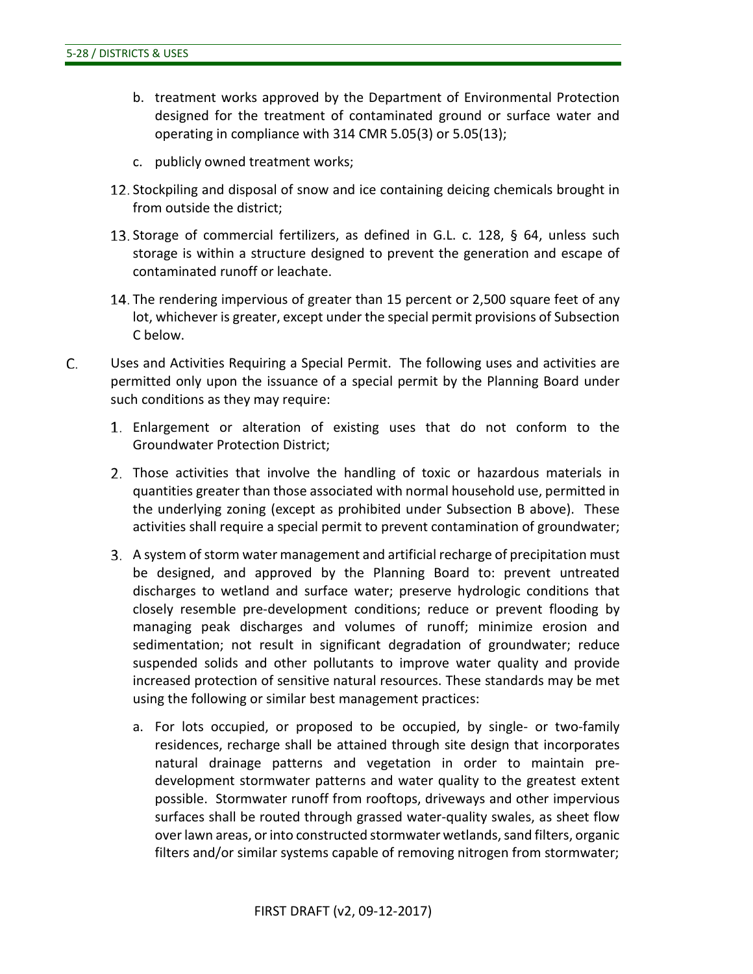- b. treatment works approved by the Department of Environmental Protection designed for the treatment of contaminated ground or surface water and operating in compliance with 314 CMR 5.05(3) or 5.05(13);
- c. publicly owned treatment works;
- 12. Stockpiling and disposal of snow and ice containing deicing chemicals brought in from outside the district;
- 13. Storage of commercial fertilizers, as defined in G.L. c. 128,  $\S$  64, unless such storage is within a structure designed to prevent the generation and escape of contaminated runoff or leachate.
- 14. The rendering impervious of greater than 15 percent or 2,500 square feet of any lot, whichever is greater, except under the special permit provisions of Subsection C below.
- C. Uses and Activities Requiring a Special Permit. The following uses and activities are permitted only upon the issuance of a special permit by the Planning Board under such conditions as they may require:
	- Enlargement or alteration of existing uses that do not conform to the Groundwater Protection District;
	- Those activities that involve the handling of toxic or hazardous materials in quantities greater than those associated with normal household use, permitted in the underlying zoning (except as prohibited under Subsection B above). These activities shall require a special permit to prevent contamination of groundwater;
	- A system of storm water management and artificial recharge of precipitation must be designed, and approved by the Planning Board to: prevent untreated discharges to wetland and surface water; preserve hydrologic conditions that closely resemble pre-development conditions; reduce or prevent flooding by managing peak discharges and volumes of runoff; minimize erosion and sedimentation; not result in significant degradation of groundwater; reduce suspended solids and other pollutants to improve water quality and provide increased protection of sensitive natural resources. These standards may be met using the following or similar best management practices:
		- a. For lots occupied, or proposed to be occupied, by single- or two-family residences, recharge shall be attained through site design that incorporates natural drainage patterns and vegetation in order to maintain predevelopment stormwater patterns and water quality to the greatest extent possible. Stormwater runoff from rooftops, driveways and other impervious surfaces shall be routed through grassed water-quality swales, as sheet flow over lawn areas, or into constructed stormwater wetlands, sand filters, organic filters and/or similar systems capable of removing nitrogen from stormwater;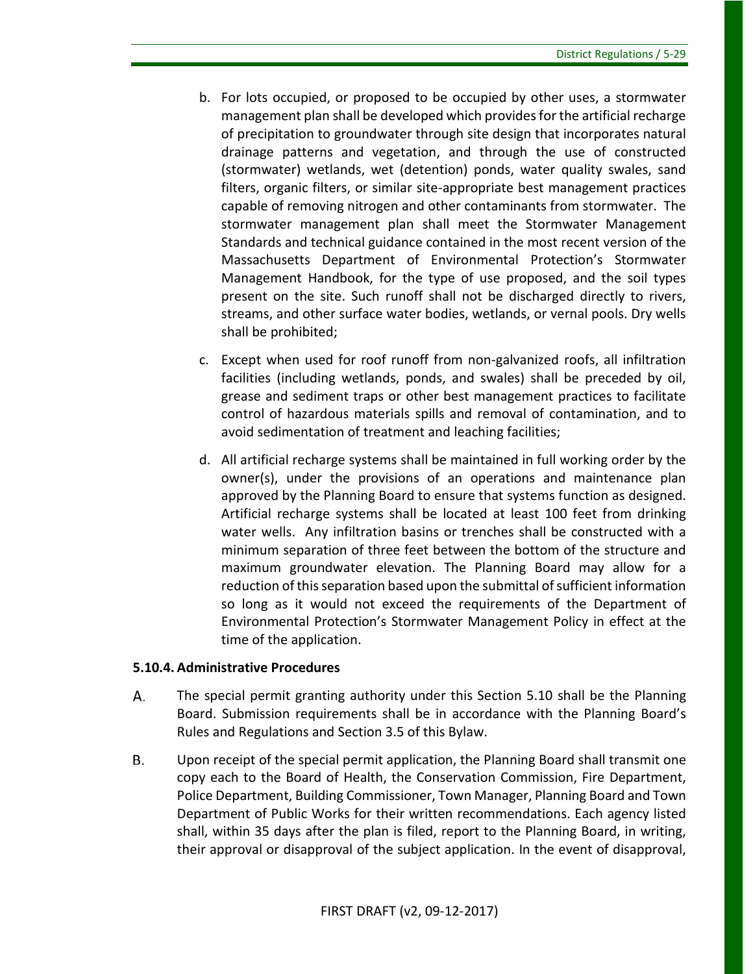- b. For lots occupied, or proposed to be occupied by other uses, a stormwater management plan shall be developed which provides for the artificial recharge of precipitation to groundwater through site design that incorporates natural drainage patterns and vegetation, and through the use of constructed (stormwater) wetlands, wet (detention) ponds, water quality swales, sand filters, organic filters, or similar site-appropriate best management practices capable of removing nitrogen and other contaminants from stormwater. The stormwater management plan shall meet the Stormwater Management Standards and technical guidance contained in the most recent version of the Massachusetts Department of Environmental Protection's Stormwater Management Handbook, for the type of use proposed, and the soil types present on the site. Such runoff shall not be discharged directly to rivers, streams, and other surface water bodies, wetlands, or vernal pools. Dry wells shall be prohibited;
- c. Except when used for roof runoff from non-galvanized roofs, all infiltration facilities (including wetlands, ponds, and swales) shall be preceded by oil, grease and sediment traps or other best management practices to facilitate control of hazardous materials spills and removal of contamination, and to avoid sedimentation of treatment and leaching facilities;
- d. All artificial recharge systems shall be maintained in full working order by the owner(s), under the provisions of an operations and maintenance plan approved by the Planning Board to ensure that systems function as designed. Artificial recharge systems shall be located at least 100 feet from drinking water wells. Any infiltration basins or trenches shall be constructed with a minimum separation of three feet between the bottom of the structure and maximum groundwater elevation. The Planning Board may allow for a reduction of this separation based upon the submittal of sufficient information so long as it would not exceed the requirements of the Department of Environmental Protection's Stormwater Management Policy in effect at the time of the application.

# **5.10.4. Administrative Procedures**

- А. The special permit granting authority under this Section 5.10 shall be the Planning Board. Submission requirements shall be in accordance with the Planning Board's Rules and Regulations and Section 3.5 of this Bylaw.
- **B.** Upon receipt of the special permit application, the Planning Board shall transmit one copy each to the Board of Health, the Conservation Commission, Fire Department, Police Department, Building Commissioner, Town Manager, Planning Board and Town Department of Public Works for their written recommendations. Each agency listed shall, within 35 days after the plan is filed, report to the Planning Board, in writing, their approval or disapproval of the subject application. In the event of disapproval,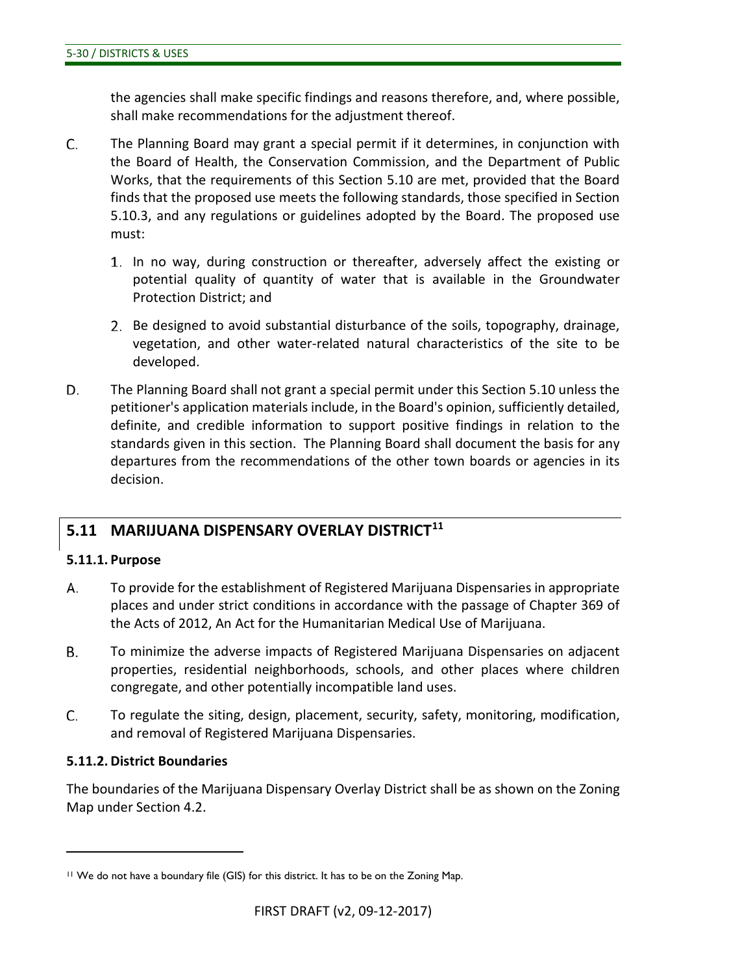the agencies shall make specific findings and reasons therefore, and, where possible, shall make recommendations for the adjustment thereof.

- C. The Planning Board may grant a special permit if it determines, in conjunction with the Board of Health, the Conservation Commission, and the Department of Public Works, that the requirements of this Section 5.10 are met, provided that the Board finds that the proposed use meets the following standards, those specified in Section 5.10.3, and any regulations or guidelines adopted by the Board. The proposed use must:
	- In no way, during construction or thereafter, adversely affect the existing or potential quality of quantity of water that is available in the Groundwater Protection District; and
	- 2. Be designed to avoid substantial disturbance of the soils, topography, drainage, vegetation, and other water-related natural characteristics of the site to be developed.
- D. The Planning Board shall not grant a special permit under this Section 5.10 unless the petitioner's application materials include, in the Board's opinion, sufficiently detailed, definite, and credible information to support positive findings in relation to the standards given in this section. The Planning Board shall document the basis for any departures from the recommendations of the other town boards or agencies in its decision.

# **5.11 MARIJUANA DISPENSARY OVERLAY DISTRICT[11](#page-51-0)**

#### **5.11.1. Purpose**

- А. To provide for the establishment of Registered Marijuana Dispensaries in appropriate places and under strict conditions in accordance with the passage of Chapter 369 of the Acts of 2012, An Act for the Humanitarian Medical Use of Marijuana.
- **B.** To minimize the adverse impacts of Registered Marijuana Dispensaries on adjacent properties, residential neighborhoods, schools, and other places where children congregate, and other potentially incompatible land uses.
- C. To regulate the siting, design, placement, security, safety, monitoring, modification, and removal of Registered Marijuana Dispensaries.

# **5.11.2. District Boundaries**

 $\overline{a}$ 

The boundaries of the Marijuana Dispensary Overlay District shall be as shown on the Zoning Map under Section 4.2.

<span id="page-51-0"></span><sup>11</sup> We do not have a boundary file (GIS) for this district. It has to be on the Zoning Map.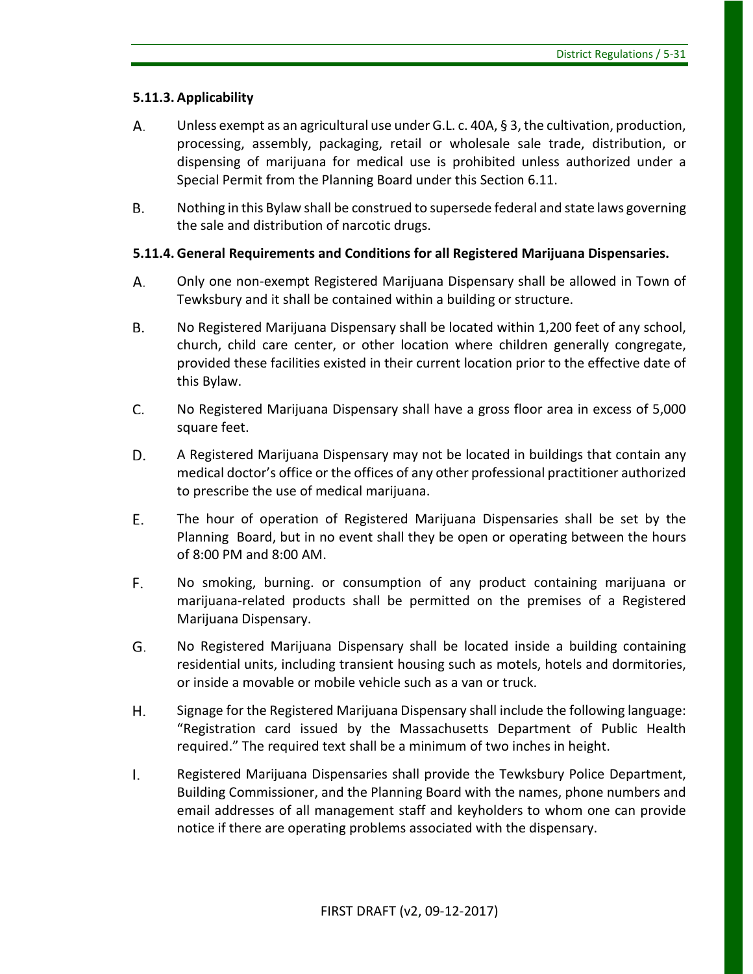# **5.11.3. Applicability**

- Unless exempt as an agricultural use under G.L. c. 40A, § 3, the cultivation, production, А. processing, assembly, packaging, retail or wholesale sale trade, distribution, or dispensing of marijuana for medical use is prohibited unless authorized under a Special Permit from the Planning Board under this Section 6.11.
- **B.** Nothing in this Bylaw shall be construed to supersede federal and state laws governing the sale and distribution of narcotic drugs.

#### **5.11.4. General Requirements and Conditions for all Registered Marijuana Dispensaries.**

- А. Only one non-exempt Registered Marijuana Dispensary shall be allowed in Town of Tewksbury and it shall be contained within a building or structure.
- **B.** No Registered Marijuana Dispensary shall be located within 1,200 feet of any school, church, child care center, or other location where children generally congregate, provided these facilities existed in their current location prior to the effective date of this Bylaw.
- C. No Registered Marijuana Dispensary shall have a gross floor area in excess of 5,000 square feet.
- D. A Registered Marijuana Dispensary may not be located in buildings that contain any medical doctor's office or the offices of any other professional practitioner authorized to prescribe the use of medical marijuana.
- E. The hour of operation of Registered Marijuana Dispensaries shall be set by the Planning Board, but in no event shall they be open or operating between the hours of 8:00 PM and 8:00 AM.
- F. No smoking, burning. or consumption of any product containing marijuana or marijuana-related products shall be permitted on the premises of a Registered Marijuana Dispensary.
- G. No Registered Marijuana Dispensary shall be located inside a building containing residential units, including transient housing such as motels, hotels and dormitories, or inside a movable or mobile vehicle such as a van or truck.
- H. Signage for the Registered Marijuana Dispensary shall include the following language: "Registration card issued by the Massachusetts Department of Public Health required." The required text shall be a minimum of two inches in height.
- $\mathsf{L}$ Registered Marijuana Dispensaries shall provide the Tewksbury Police Department, Building Commissioner, and the Planning Board with the names, phone numbers and email addresses of all management staff and keyholders to whom one can provide notice if there are operating problems associated with the dispensary.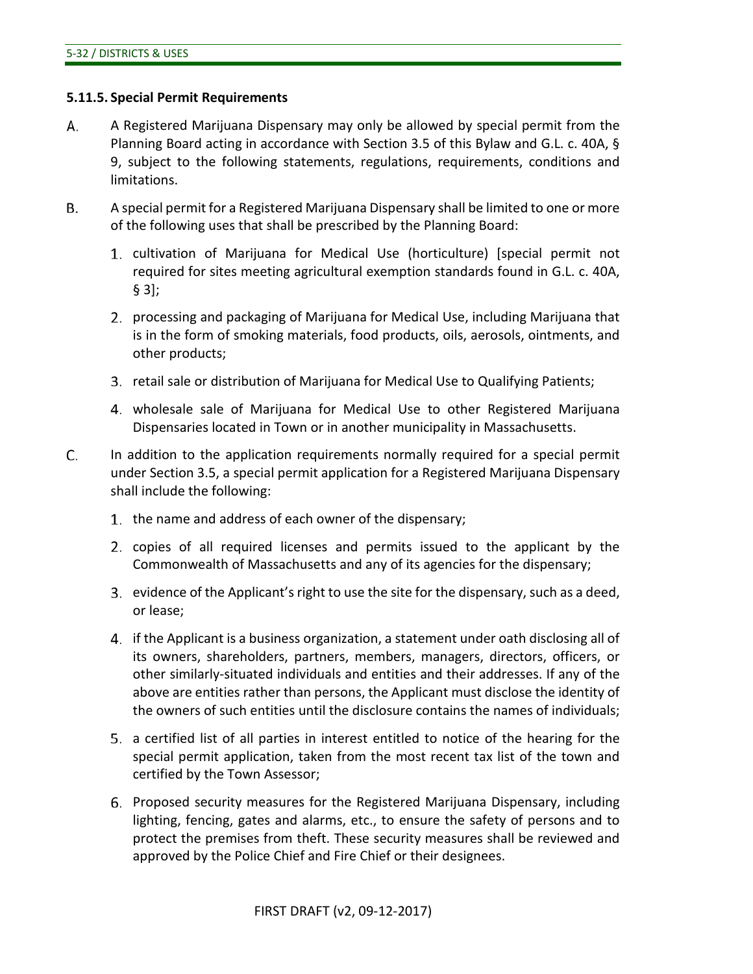#### **5.11.5. Special Permit Requirements**

- А. A Registered Marijuana Dispensary may only be allowed by special permit from the Planning Board acting in accordance with Section 3.5 of this Bylaw and G.L. c. 40A, § 9, subject to the following statements, regulations, requirements, conditions and limitations.
- A special permit for a Registered Marijuana Dispensary shall be limited to one or more **B.** of the following uses that shall be prescribed by the Planning Board:
	- cultivation of Marijuana for Medical Use (horticulture) [special permit not required for sites meeting agricultural exemption standards found in G.L. c. 40A, § 3];
	- processing and packaging of Marijuana for Medical Use, including Marijuana that is in the form of smoking materials, food products, oils, aerosols, ointments, and other products;
	- retail sale or distribution of Marijuana for Medical Use to Qualifying Patients;
	- wholesale sale of Marijuana for Medical Use to other Registered Marijuana Dispensaries located in Town or in another municipality in Massachusetts.
- C. In addition to the application requirements normally required for a special permit under Section 3.5, a special permit application for a Registered Marijuana Dispensary shall include the following:
	- 1. the name and address of each owner of the dispensary;
	- 2. copies of all required licenses and permits issued to the applicant by the Commonwealth of Massachusetts and any of its agencies for the dispensary;
	- evidence of the Applicant's right to use the site for the dispensary, such as a deed, or lease;
	- if the Applicant is a business organization, a statement under oath disclosing all of its owners, shareholders, partners, members, managers, directors, officers, or other similarly-situated individuals and entities and their addresses. If any of the above are entities rather than persons, the Applicant must disclose the identity of the owners of such entities until the disclosure contains the names of individuals;
	- a certified list of all parties in interest entitled to notice of the hearing for the special permit application, taken from the most recent tax list of the town and certified by the Town Assessor;
	- Proposed security measures for the Registered Marijuana Dispensary, including lighting, fencing, gates and alarms, etc., to ensure the safety of persons and to protect the premises from theft. These security measures shall be reviewed and approved by the Police Chief and Fire Chief or their designees.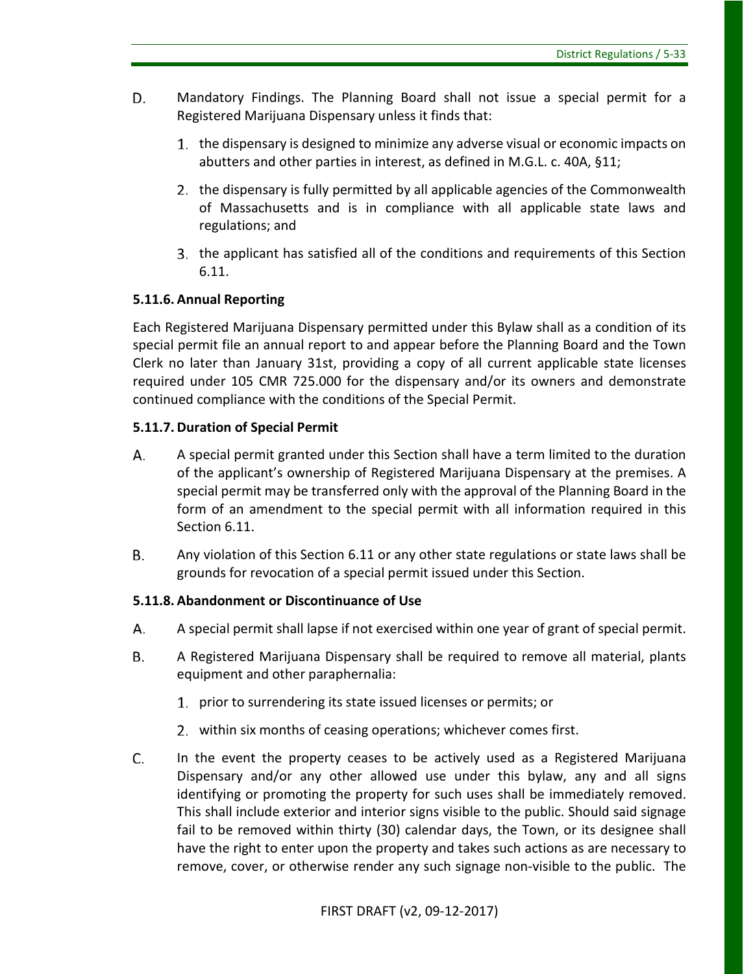- D. Mandatory Findings. The Planning Board shall not issue a special permit for a Registered Marijuana Dispensary unless it finds that:
	- 1. the dispensary is designed to minimize any adverse visual or economic impacts on abutters and other parties in interest, as defined in M.G.L. c. 40A, §11;
	- 2. the dispensary is fully permitted by all applicable agencies of the Commonwealth of Massachusetts and is in compliance with all applicable state laws and regulations; and
	- the applicant has satisfied all of the conditions and requirements of this Section 6.11.

# **5.11.6. Annual Reporting**

Each Registered Marijuana Dispensary permitted under this Bylaw shall as a condition of its special permit file an annual report to and appear before the Planning Board and the Town Clerk no later than January 31st, providing a copy of all current applicable state licenses required under 105 CMR 725.000 for the dispensary and/or its owners and demonstrate continued compliance with the conditions of the Special Permit.

# **5.11.7. Duration of Special Permit**

- А. A special permit granted under this Section shall have a term limited to the duration of the applicant's ownership of Registered Marijuana Dispensary at the premises. A special permit may be transferred only with the approval of the Planning Board in the form of an amendment to the special permit with all information required in this Section 6.11.
- В. Any violation of this Section 6.11 or any other state regulations or state laws shall be grounds for revocation of a special permit issued under this Section.

# **5.11.8. Abandonment or Discontinuance of Use**

- А. A special permit shall lapse if not exercised within one year of grant of special permit.
- В. A Registered Marijuana Dispensary shall be required to remove all material, plants equipment and other paraphernalia:
	- 1. prior to surrendering its state issued licenses or permits; or
	- 2. within six months of ceasing operations; whichever comes first.
- C. In the event the property ceases to be actively used as a Registered Marijuana Dispensary and/or any other allowed use under this bylaw, any and all signs identifying or promoting the property for such uses shall be immediately removed. This shall include exterior and interior signs visible to the public. Should said signage fail to be removed within thirty (30) calendar days, the Town, or its designee shall have the right to enter upon the property and takes such actions as are necessary to remove, cover, or otherwise render any such signage non-visible to the public. The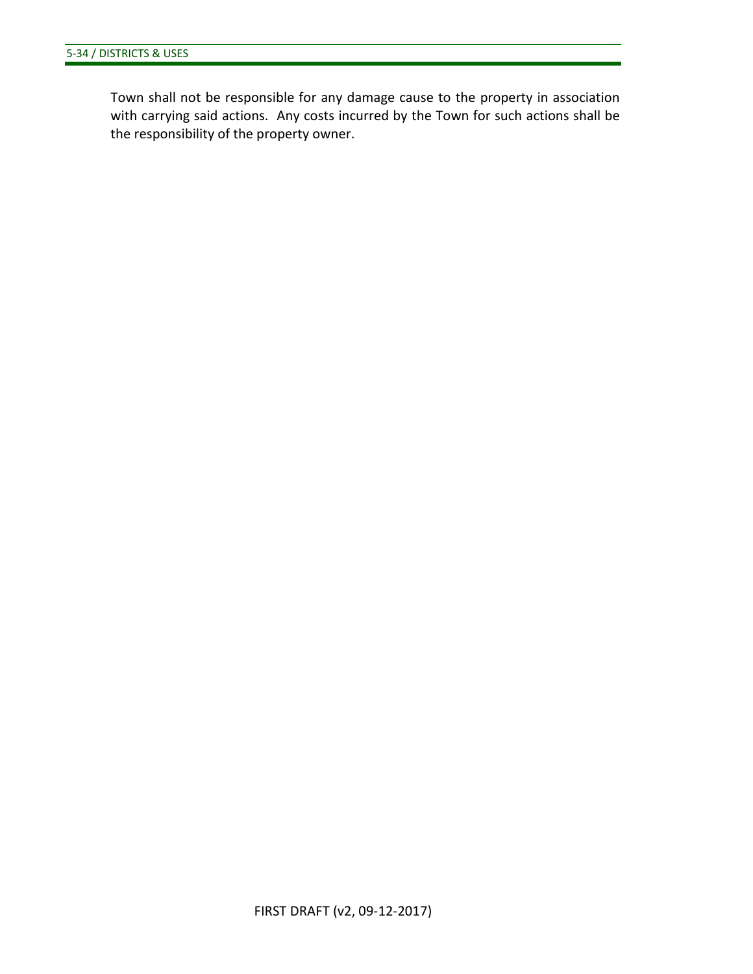Town shall not be responsible for any damage cause to the property in association with carrying said actions. Any costs incurred by the Town for such actions shall be the responsibility of the property owner.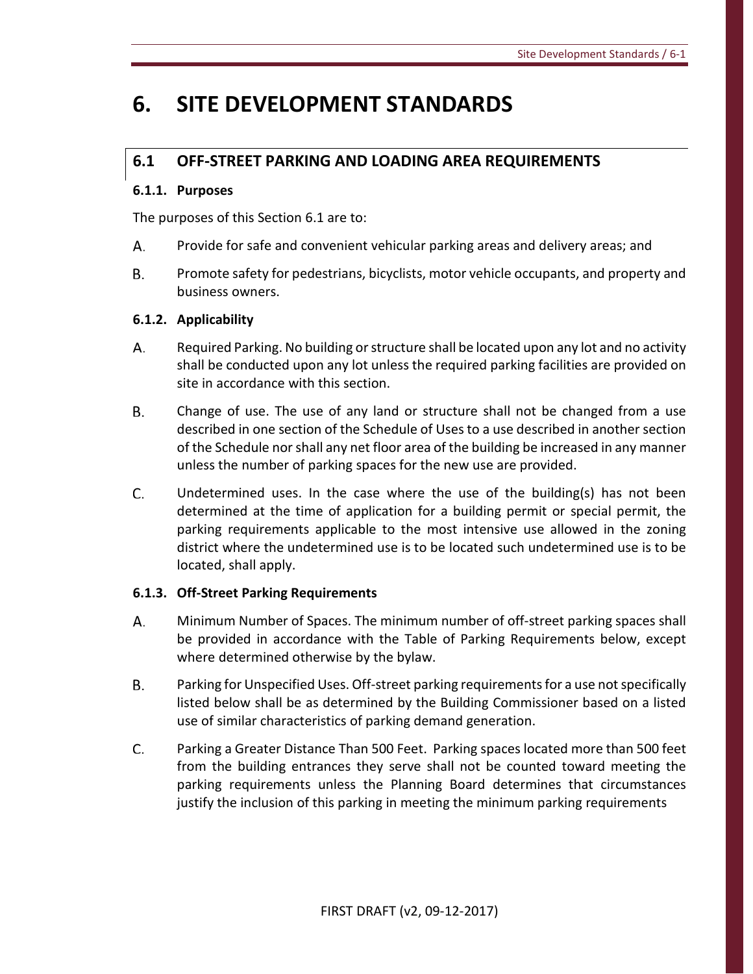# **6. SITE DEVELOPMENT STANDARDS**

# **6.1 OFF-STREET PARKING AND LOADING AREA REQUIREMENTS**

# **6.1.1. Purposes**

The purposes of this Section 6.1 are to:

- А. Provide for safe and convenient vehicular parking areas and delivery areas; and
- **B.** Promote safety for pedestrians, bicyclists, motor vehicle occupants, and property and business owners.

# **6.1.2. Applicability**

- А. Required Parking. No building or structure shall be located upon any lot and no activity shall be conducted upon any lot unless the required parking facilities are provided on site in accordance with this section.
- В. Change of use. The use of any land or structure shall not be changed from a use described in one section of the Schedule of Uses to a use described in another section of the Schedule nor shall any net floor area of the building be increased in any manner unless the number of parking spaces for the new use are provided.
- C. Undetermined uses. In the case where the use of the building(s) has not been determined at the time of application for a building permit or special permit, the parking requirements applicable to the most intensive use allowed in the zoning district where the undetermined use is to be located such undetermined use is to be located, shall apply.

# **6.1.3. Off-Street Parking Requirements**

- А. Minimum Number of Spaces. The minimum number of off-street parking spaces shall be provided in accordance with the Table of Parking Requirements below, except where determined otherwise by the bylaw.
- Β. Parking for Unspecified Uses. Off-street parking requirements for a use not specifically listed below shall be as determined by the Building Commissioner based on a listed use of similar characteristics of parking demand generation.
- C. Parking a Greater Distance Than 500 Feet. Parking spaces located more than 500 feet from the building entrances they serve shall not be counted toward meeting the parking requirements unless the Planning Board determines that circumstances justify the inclusion of this parking in meeting the minimum parking requirements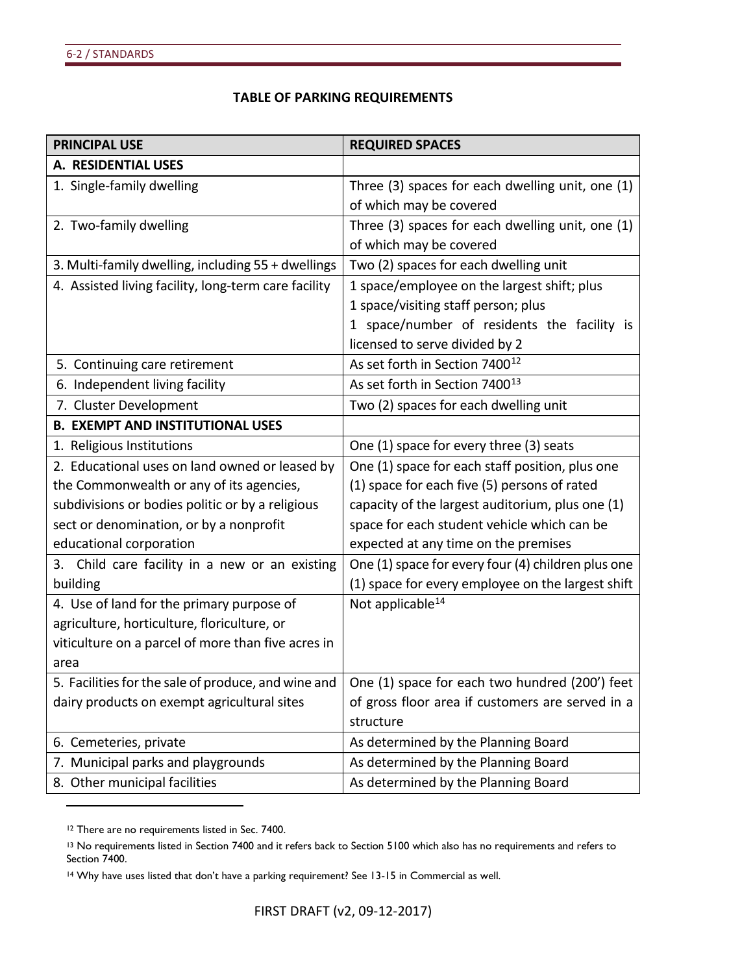#### **TABLE OF PARKING REQUIREMENTS**

| <b>PRINCIPAL USE</b>                                 | <b>REQUIRED SPACES</b>                             |
|------------------------------------------------------|----------------------------------------------------|
| A. RESIDENTIAL USES                                  |                                                    |
| 1. Single-family dwelling                            | Three (3) spaces for each dwelling unit, one (1)   |
|                                                      | of which may be covered                            |
| 2. Two-family dwelling                               | Three (3) spaces for each dwelling unit, one (1)   |
|                                                      | of which may be covered                            |
| 3. Multi-family dwelling, including 55 + dwellings   | Two (2) spaces for each dwelling unit              |
| 4. Assisted living facility, long-term care facility | 1 space/employee on the largest shift; plus        |
|                                                      | 1 space/visiting staff person; plus                |
|                                                      | 1 space/number of residents the facility is        |
|                                                      | licensed to serve divided by 2                     |
| 5. Continuing care retirement                        | As set forth in Section 7400 <sup>12</sup>         |
| 6. Independent living facility                       | As set forth in Section 7400 <sup>13</sup>         |
| 7. Cluster Development                               | Two (2) spaces for each dwelling unit              |
| <b>B. EXEMPT AND INSTITUTIONAL USES</b>              |                                                    |
| 1. Religious Institutions                            | One (1) space for every three (3) seats            |
| 2. Educational uses on land owned or leased by       | One (1) space for each staff position, plus one    |
| the Commonwealth or any of its agencies,             | (1) space for each five (5) persons of rated       |
| subdivisions or bodies politic or by a religious     | capacity of the largest auditorium, plus one (1)   |
| sect or denomination, or by a nonprofit              | space for each student vehicle which can be        |
| educational corporation                              | expected at any time on the premises               |
| 3. Child care facility in a new or an existing       | One (1) space for every four (4) children plus one |
| building                                             | (1) space for every employee on the largest shift  |
| 4. Use of land for the primary purpose of            | Not applicable <sup>14</sup>                       |
| agriculture, horticulture, floriculture, or          |                                                    |
| viticulture on a parcel of more than five acres in   |                                                    |
| area                                                 |                                                    |
| 5. Facilities for the sale of produce, and wine and  | One (1) space for each two hundred (200') feet     |
| dairy products on exempt agricultural sites          | of gross floor area if customers are served in a   |
|                                                      | structure                                          |
| 6. Cemeteries, private                               | As determined by the Planning Board                |
| 7. Municipal parks and playgrounds                   | As determined by the Planning Board                |
| 8. Other municipal facilities                        | As determined by the Planning Board                |

<span id="page-57-0"></span><sup>&</sup>lt;sup>12</sup> There are no requirements listed in Sec. 7400.

<span id="page-57-1"></span><sup>&</sup>lt;sup>13</sup> No requirements listed in Section 7400 and it refers back to Section 5100 which also has no requirements and refers to Section 7400.

<span id="page-57-2"></span><sup>14</sup> Why have uses listed that don't have a parking requirement? See 13-15 in Commercial as well.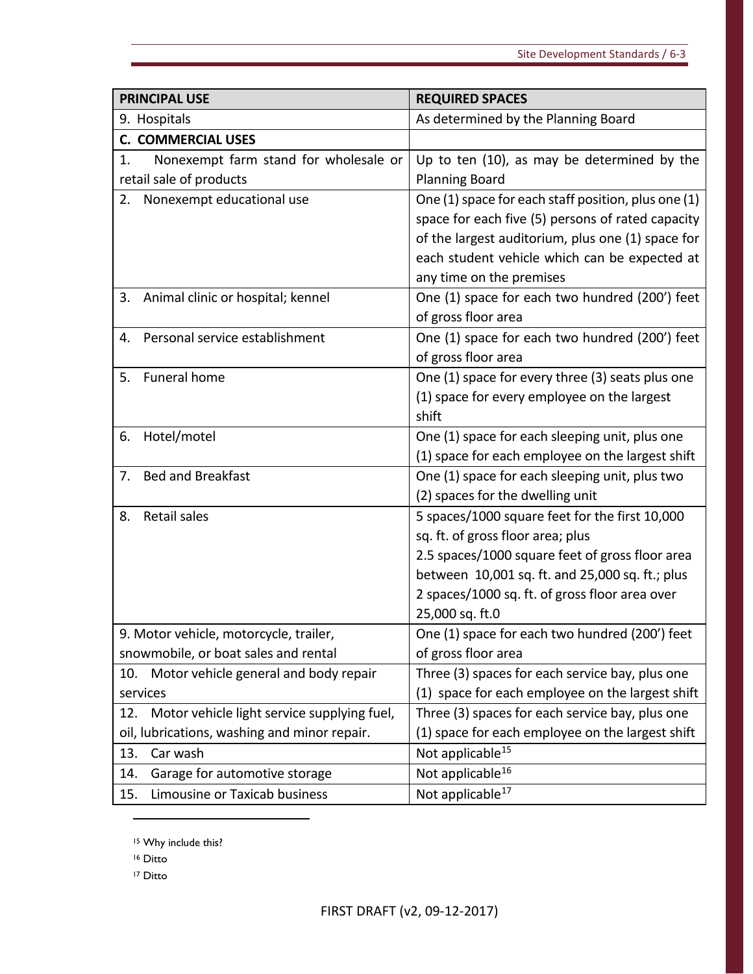| <b>PRINCIPAL USE</b>                               | <b>REQUIRED SPACES</b>                              |
|----------------------------------------------------|-----------------------------------------------------|
| 9. Hospitals                                       | As determined by the Planning Board                 |
| <b>C. COMMERCIAL USES</b>                          |                                                     |
| Nonexempt farm stand for wholesale or<br>1.        | Up to ten (10), as may be determined by the         |
| retail sale of products                            | <b>Planning Board</b>                               |
| Nonexempt educational use<br>2.                    | One (1) space for each staff position, plus one (1) |
|                                                    | space for each five (5) persons of rated capacity   |
|                                                    | of the largest auditorium, plus one (1) space for   |
|                                                    | each student vehicle which can be expected at       |
|                                                    | any time on the premises                            |
| Animal clinic or hospital; kennel<br>3.            | One (1) space for each two hundred (200') feet      |
|                                                    | of gross floor area                                 |
| Personal service establishment<br>4.               | One (1) space for each two hundred (200') feet      |
|                                                    | of gross floor area                                 |
| Funeral home<br>5.                                 | One (1) space for every three (3) seats plus one    |
|                                                    | (1) space for every employee on the largest         |
|                                                    | shift                                               |
| Hotel/motel<br>6.                                  | One (1) space for each sleeping unit, plus one      |
|                                                    | (1) space for each employee on the largest shift    |
| <b>Bed and Breakfast</b><br>7.                     | One (1) space for each sleeping unit, plus two      |
|                                                    | (2) spaces for the dwelling unit                    |
| <b>Retail sales</b><br>8.                          | 5 spaces/1000 square feet for the first 10,000      |
|                                                    | sq. ft. of gross floor area; plus                   |
|                                                    | 2.5 spaces/1000 square feet of gross floor area     |
|                                                    | between 10,001 sq. ft. and 25,000 sq. ft.; plus     |
|                                                    | 2 spaces/1000 sq. ft. of gross floor area over      |
|                                                    | 25,000 sq. ft.0                                     |
| 9. Motor vehicle, motorcycle, trailer,             | One (1) space for each two hundred (200') feet      |
| snowmobile, or boat sales and rental               | of gross floor area                                 |
| Motor vehicle general and body repair<br>10.       | Three (3) spaces for each service bay, plus one     |
| services                                           | (1) space for each employee on the largest shift    |
| Motor vehicle light service supplying fuel,<br>12. | Three (3) spaces for each service bay, plus one     |
| oil, lubrications, washing and minor repair.       | (1) space for each employee on the largest shift    |
| 13.<br>Car wash                                    | Not applicable <sup>15</sup>                        |
| Garage for automotive storage<br>14.               | Not applicable <sup>16</sup>                        |
| Limousine or Taxicab business<br>15.               | Not applicable <sup>17</sup>                        |

<span id="page-58-0"></span><sup>15</sup> Why include this?

<span id="page-58-1"></span><sup>16</sup> Ditto

<span id="page-58-2"></span><sup>17</sup> Ditto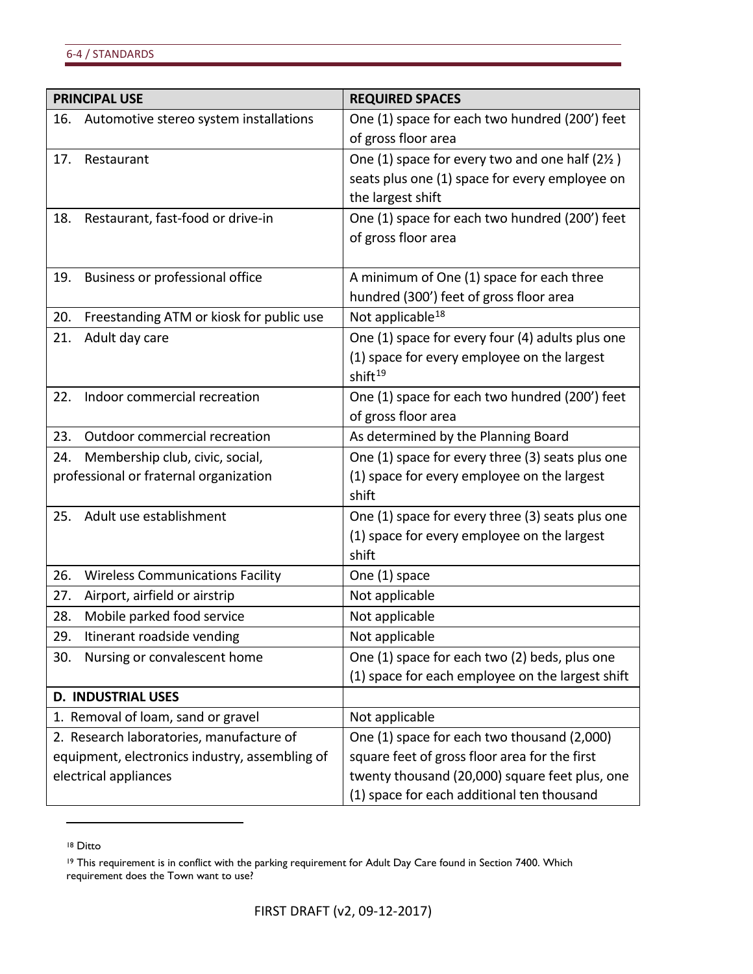| <b>PRINCIPAL USE</b>                                                    | <b>REQUIRED SPACES</b>                                                                          |
|-------------------------------------------------------------------------|-------------------------------------------------------------------------------------------------|
| 16.<br>Automotive stereo system installations                           | One (1) space for each two hundred (200') feet                                                  |
|                                                                         | of gross floor area                                                                             |
| 17.<br>Restaurant                                                       | One (1) space for every two and one half (21/2)                                                 |
|                                                                         | seats plus one (1) space for every employee on                                                  |
|                                                                         | the largest shift                                                                               |
| Restaurant, fast-food or drive-in<br>18.                                | One (1) space for each two hundred (200') feet                                                  |
|                                                                         | of gross floor area                                                                             |
|                                                                         |                                                                                                 |
| Business or professional office<br>19.                                  | A minimum of One (1) space for each three                                                       |
|                                                                         | hundred (300') feet of gross floor area                                                         |
| Freestanding ATM or kiosk for public use<br>20.                         | Not applicable <sup>18</sup>                                                                    |
| 21.<br>Adult day care                                                   | One (1) space for every four (4) adults plus one                                                |
|                                                                         | (1) space for every employee on the largest                                                     |
|                                                                         | shift <sup>19</sup>                                                                             |
| Indoor commercial recreation<br>22.                                     | One (1) space for each two hundred (200') feet                                                  |
|                                                                         | of gross floor area                                                                             |
| 23.<br>Outdoor commercial recreation                                    | As determined by the Planning Board                                                             |
| Membership club, civic, social,<br>24.                                  | One (1) space for every three (3) seats plus one                                                |
| professional or fraternal organization                                  | (1) space for every employee on the largest                                                     |
|                                                                         | shift                                                                                           |
| Adult use establishment<br>25.                                          | One (1) space for every three (3) seats plus one                                                |
|                                                                         | (1) space for every employee on the largest                                                     |
|                                                                         | shift                                                                                           |
| 26.<br><b>Wireless Communications Facility</b>                          | One (1) space                                                                                   |
| Airport, airfield or airstrip<br>27.                                    | Not applicable                                                                                  |
| Mobile parked food service<br>28.                                       | Not applicable                                                                                  |
| 29.<br>Itinerant roadside vending                                       | Not applicable                                                                                  |
| Nursing or convalescent home<br>30.                                     | One (1) space for each two (2) beds, plus one                                                   |
|                                                                         | (1) space for each employee on the largest shift                                                |
| <b>D. INDUSTRIAL USES</b>                                               |                                                                                                 |
| 1. Removal of loam, sand or gravel                                      | Not applicable                                                                                  |
| 2. Research laboratories, manufacture of                                | One (1) space for each two thousand (2,000)                                                     |
| equipment, electronics industry, assembling of<br>electrical appliances | square feet of gross floor area for the first<br>twenty thousand (20,000) square feet plus, one |
|                                                                         |                                                                                                 |

<span id="page-59-0"></span><sup>18</sup> Ditto

<span id="page-59-1"></span><sup>&</sup>lt;sup>19</sup> This requirement is in conflict with the parking requirement for Adult Day Care found in Section 7400. Which requirement does the Town want to use?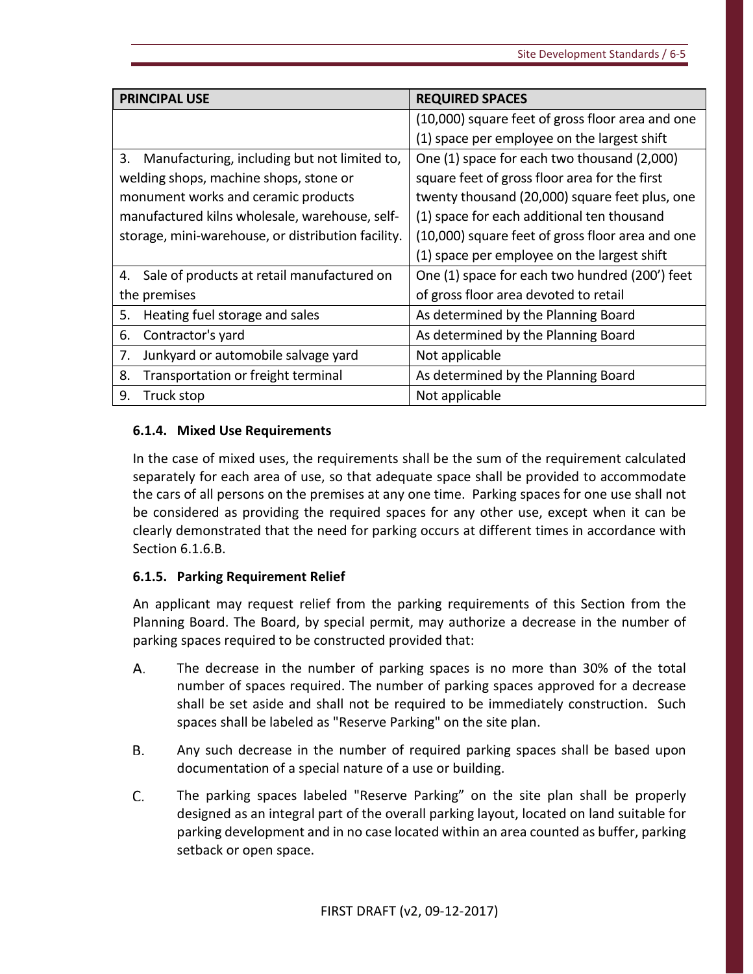| <b>PRINCIPAL USE</b>                               | <b>REQUIRED SPACES</b>                           |
|----------------------------------------------------|--------------------------------------------------|
|                                                    | (10,000) square feet of gross floor area and one |
|                                                    | (1) space per employee on the largest shift      |
| 3.<br>Manufacturing, including but not limited to, | One (1) space for each two thousand (2,000)      |
| welding shops, machine shops, stone or             | square feet of gross floor area for the first    |
| monument works and ceramic products                | twenty thousand (20,000) square feet plus, one   |
| manufactured kilns wholesale, warehouse, self-     | (1) space for each additional ten thousand       |
| storage, mini-warehouse, or distribution facility. | (10,000) square feet of gross floor area and one |
|                                                    | (1) space per employee on the largest shift      |
| Sale of products at retail manufactured on<br>4.   | One (1) space for each two hundred (200') feet   |
| the premises                                       | of gross floor area devoted to retail            |
| 5.<br>Heating fuel storage and sales               | As determined by the Planning Board              |
| 6.<br>Contractor's yard                            | As determined by the Planning Board              |
| Junkyard or automobile salvage yard<br>7.          | Not applicable                                   |
| 8.<br>Transportation or freight terminal           | As determined by the Planning Board              |
| 9.<br>Truck stop                                   | Not applicable                                   |

# **6.1.4. Mixed Use Requirements**

In the case of mixed uses, the requirements shall be the sum of the requirement calculated separately for each area of use, so that adequate space shall be provided to accommodate the cars of all persons on the premises at any one time. Parking spaces for one use shall not be considered as providing the required spaces for any other use, except when it can be clearly demonstrated that the need for parking occurs at different times in accordance with Section 6.1.6.B.

# **6.1.5. Parking Requirement Relief**

An applicant may request relief from the parking requirements of this Section from the Planning Board. The Board, by special permit, may authorize a decrease in the number of parking spaces required to be constructed provided that:

- А. The decrease in the number of parking spaces is no more than 30% of the total number of spaces required. The number of parking spaces approved for a decrease shall be set aside and shall not be required to be immediately construction. Such spaces shall be labeled as "Reserve Parking" on the site plan.
- Any such decrease in the number of required parking spaces shall be based upon **B.** documentation of a special nature of a use or building.
- C. The parking spaces labeled "Reserve Parking" on the site plan shall be properly designed as an integral part of the overall parking layout, located on land suitable for parking development and in no case located within an area counted as buffer, parking setback or open space.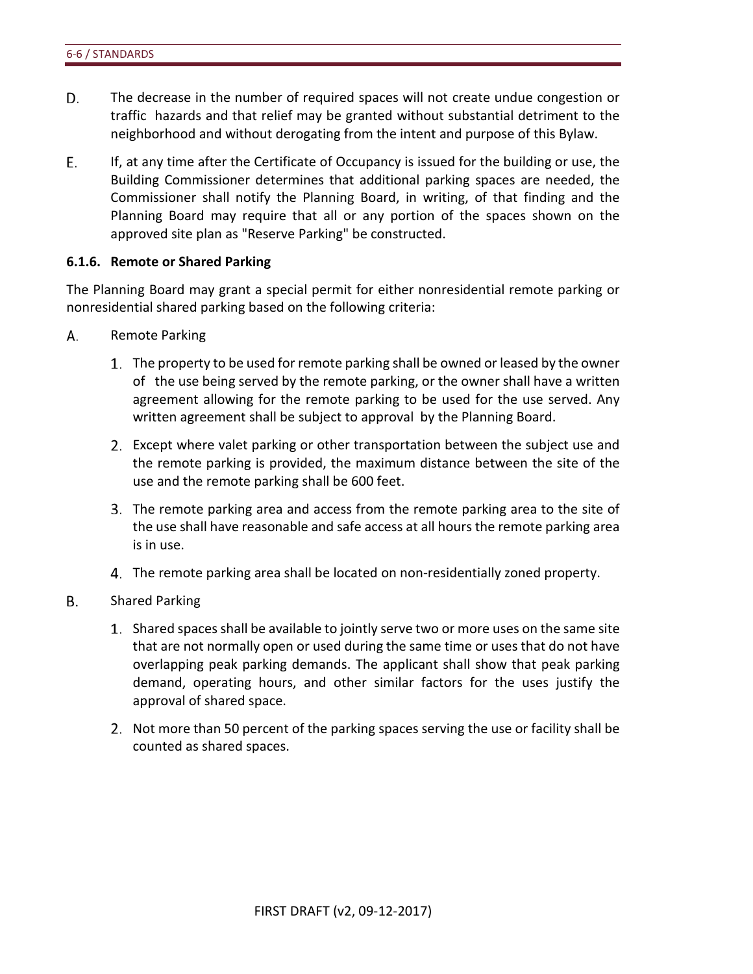- D. The decrease in the number of required spaces will not create undue congestion or traffic hazards and that relief may be granted without substantial detriment to the neighborhood and without derogating from the intent and purpose of this Bylaw.
- Е. If, at any time after the Certificate of Occupancy is issued for the building or use, the Building Commissioner determines that additional parking spaces are needed, the Commissioner shall notify the Planning Board, in writing, of that finding and the Planning Board may require that all or any portion of the spaces shown on the approved site plan as "Reserve Parking" be constructed.

#### **6.1.6. Remote or Shared Parking**

The Planning Board may grant a special permit for either nonresidential remote parking or nonresidential shared parking based on the following criteria:

- А. Remote Parking
	- The property to be used for remote parking shall be owned or leased by the owner of the use being served by the remote parking, or the owner shall have a written agreement allowing for the remote parking to be used for the use served. Any written agreement shall be subject to approval by the Planning Board.
	- Except where valet parking or other transportation between the subject use and the remote parking is provided, the maximum distance between the site of the use and the remote parking shall be 600 feet.
	- The remote parking area and access from the remote parking area to the site of the use shall have reasonable and safe access at all hours the remote parking area is in use.
	- The remote parking area shall be located on non-residentially zoned property.
- **B.** Shared Parking
	- Shared spaces shall be available to jointly serve two or more uses on the same site that are not normally open or used during the same time or uses that do not have overlapping peak parking demands. The applicant shall show that peak parking demand, operating hours, and other similar factors for the uses justify the approval of shared space.
	- 2. Not more than 50 percent of the parking spaces serving the use or facility shall be counted as shared spaces.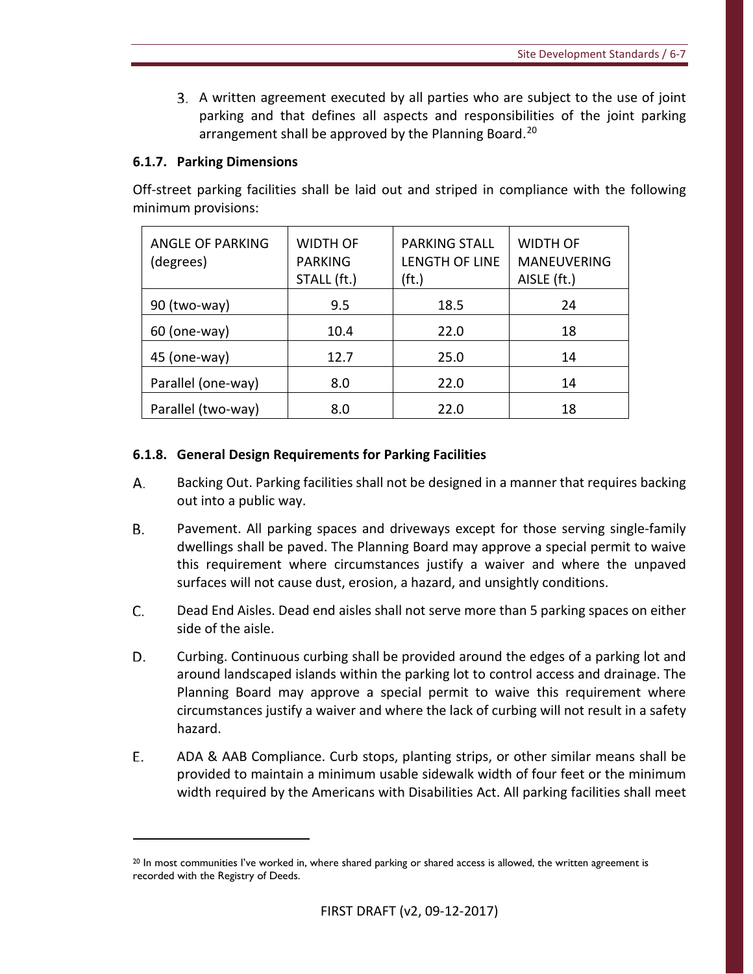A written agreement executed by all parties who are subject to the use of joint parking and that defines all aspects and responsibilities of the joint parking arrangement shall be approved by the Planning Board. [20](#page-62-0)

# **6.1.7. Parking Dimensions**

 $\overline{a}$ 

Off-street parking facilities shall be laid out and striped in compliance with the following minimum provisions:

| <b>ANGLE OF PARKING</b><br>(degrees) | <b>WIDTH OF</b><br><b>PARKING</b><br>STALL (ft.) | <b>PARKING STALL</b><br>LENGTH OF LINE<br>(ft.) | <b>WIDTH OF</b><br><b>MANEUVERING</b><br>AISLE (ft.) |
|--------------------------------------|--------------------------------------------------|-------------------------------------------------|------------------------------------------------------|
| 90 (two-way)                         | 9.5                                              | 18.5                                            | 24                                                   |
| $60$ (one-way)                       | 10.4                                             | 22.0                                            | 18                                                   |
| 45 (one-way)                         | 12.7                                             | 25.0                                            | 14                                                   |
| Parallel (one-way)                   | 8.0                                              | 22.0                                            | 14                                                   |
| Parallel (two-way)                   | 8.0                                              | 22.0                                            | 18                                                   |

# **6.1.8. General Design Requirements for Parking Facilities**

- А. Backing Out. Parking facilities shall not be designed in a manner that requires backing out into a public way.
- В. Pavement. All parking spaces and driveways except for those serving single-family dwellings shall be paved. The Planning Board may approve a special permit to waive this requirement where circumstances justify a waiver and where the unpaved surfaces will not cause dust, erosion, a hazard, and unsightly conditions.
- C. Dead End Aisles. Dead end aisles shall not serve more than 5 parking spaces on either side of the aisle.
- D. Curbing. Continuous curbing shall be provided around the edges of a parking lot and around landscaped islands within the parking lot to control access and drainage. The Planning Board may approve a special permit to waive this requirement where circumstances justify a waiver and where the lack of curbing will not result in a safety hazard.
- E. ADA & AAB Compliance. Curb stops, planting strips, or other similar means shall be provided to maintain a minimum usable sidewalk width of four feet or the minimum width required by the Americans with Disabilities Act. All parking facilities shall meet

<span id="page-62-0"></span> $20$  In most communities I've worked in, where shared parking or shared access is allowed, the written agreement is recorded with the Registry of Deeds.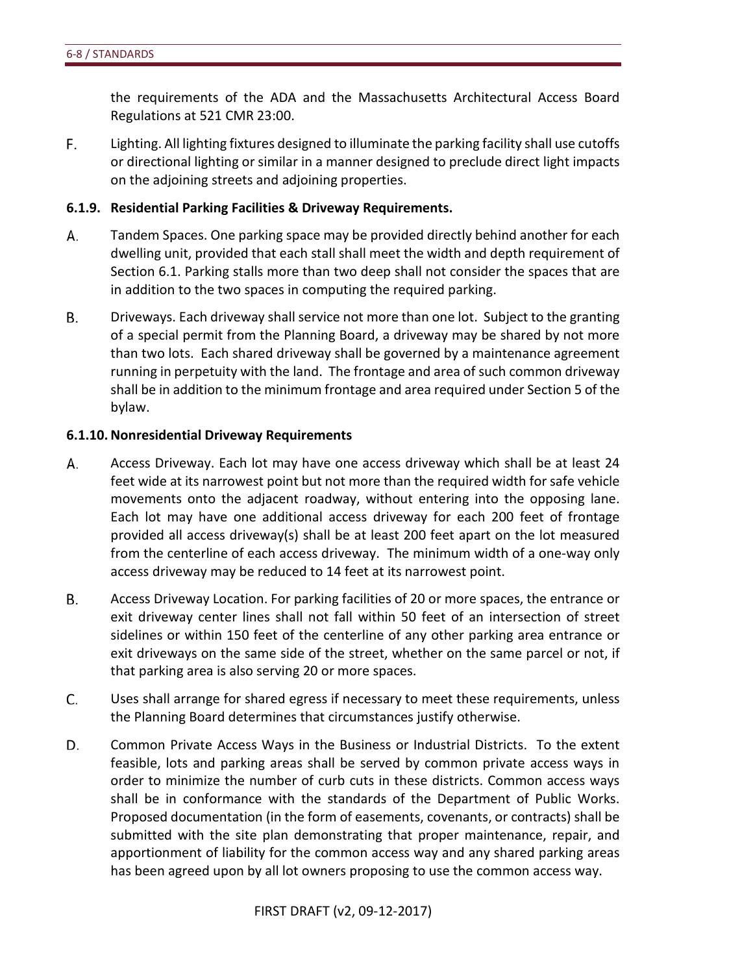the requirements of the ADA and the Massachusetts Architectural Access Board Regulations at 521 CMR 23:00.

F. Lighting. All lighting fixtures designed to illuminate the parking facility shall use cutoffs or directional lighting or similar in a manner designed to preclude direct light impacts on the adjoining streets and adjoining properties.

#### **6.1.9. Residential Parking Facilities & Driveway Requirements.**

- А. Tandem Spaces. One parking space may be provided directly behind another for each dwelling unit, provided that each stall shall meet the width and depth requirement of Section 6.1. Parking stalls more than two deep shall not consider the spaces that are in addition to the two spaces in computing the required parking.
- В. Driveways. Each driveway shall service not more than one lot. Subject to the granting of a special permit from the Planning Board, a driveway may be shared by not more than two lots. Each shared driveway shall be governed by a maintenance agreement running in perpetuity with the land. The frontage and area of such common driveway shall be in addition to the minimum frontage and area required under Section 5 of the bylaw.

#### **6.1.10.Nonresidential Driveway Requirements**

- Access Driveway. Each lot may have one access driveway which shall be at least 24 А. feet wide at its narrowest point but not more than the required width for safe vehicle movements onto the adjacent roadway, without entering into the opposing lane. Each lot may have one additional access driveway for each 200 feet of frontage provided all access driveway(s) shall be at least 200 feet apart on the lot measured from the centerline of each access driveway. The minimum width of a one-way only access driveway may be reduced to 14 feet at its narrowest point.
- В. Access Driveway Location. For parking facilities of 20 or more spaces, the entrance or exit driveway center lines shall not fall within 50 feet of an intersection of street sidelines or within 150 feet of the centerline of any other parking area entrance or exit driveways on the same side of the street, whether on the same parcel or not, if that parking area is also serving 20 or more spaces.
- C. Uses shall arrange for shared egress if necessary to meet these requirements, unless the Planning Board determines that circumstances justify otherwise.
- D. Common Private Access Ways in the Business or Industrial Districts. To the extent feasible, lots and parking areas shall be served by common private access ways in order to minimize the number of curb cuts in these districts. Common access ways shall be in conformance with the standards of the Department of Public Works. Proposed documentation (in the form of easements, covenants, or contracts) shall be submitted with the site plan demonstrating that proper maintenance, repair, and apportionment of liability for the common access way and any shared parking areas has been agreed upon by all lot owners proposing to use the common access way.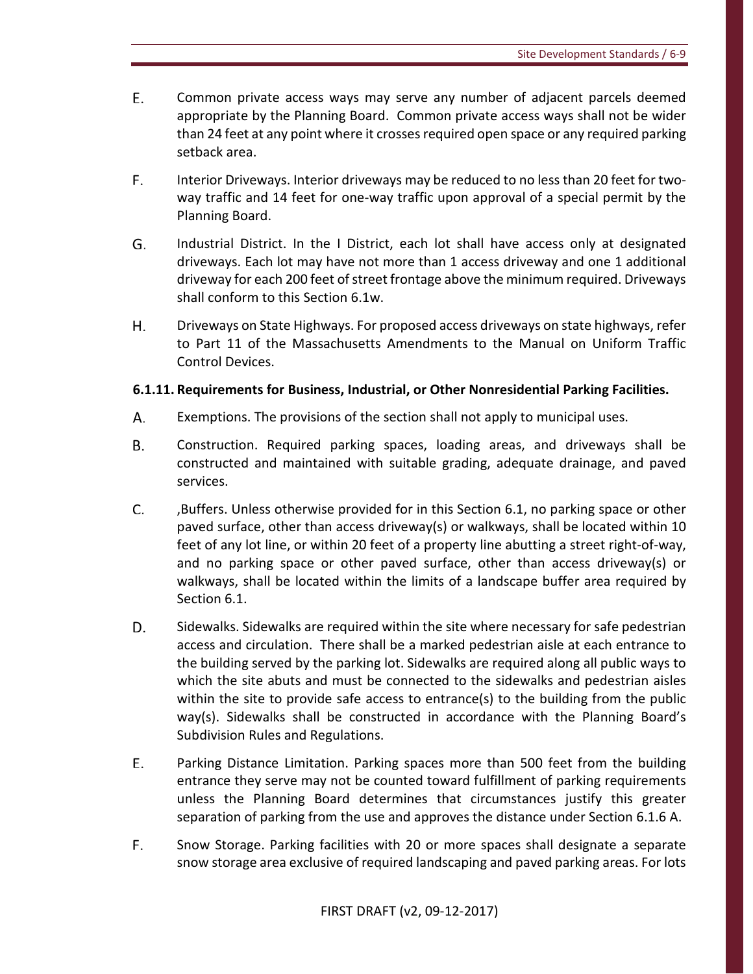- E. Common private access ways may serve any number of adjacent parcels deemed appropriate by the Planning Board. Common private access ways shall not be wider than 24 feet at any point where it crosses required open space or any required parking setback area.
- F. Interior Driveways. Interior driveways may be reduced to no less than 20 feet for twoway traffic and 14 feet for one-way traffic upon approval of a special permit by the Planning Board.
- G. Industrial District. In the I District, each lot shall have access only at designated driveways. Each lot may have not more than 1 access driveway and one 1 additional driveway for each 200 feet of street frontage above the minimum required. Driveways shall conform to this Section 6.1w.
- Η. Driveways on State Highways. For proposed access driveways on state highways, refer to Part 11 of the Massachusetts Amendments to the Manual on Uniform Traffic Control Devices.

# **6.1.11. Requirements for Business, Industrial, or Other Nonresidential Parking Facilities.**

- А. Exemptions. The provisions of the section shall not apply to municipal uses.
- **B.** Construction. Required parking spaces, loading areas, and driveways shall be constructed and maintained with suitable grading, adequate drainage, and paved services.
- C. ,Buffers. Unless otherwise provided for in this Section 6.1, no parking space or other paved surface, other than access driveway(s) or walkways, shall be located within 10 feet of any lot line, or within 20 feet of a property line abutting a street right-of-way, and no parking space or other paved surface, other than access driveway(s) or walkways, shall be located within the limits of a landscape buffer area required by Section 6.1.
- D. Sidewalks. Sidewalks are required within the site where necessary for safe pedestrian access and circulation. There shall be a marked pedestrian aisle at each entrance to the building served by the parking lot. Sidewalks are required along all public ways to which the site abuts and must be connected to the sidewalks and pedestrian aisles within the site to provide safe access to entrance(s) to the building from the public way(s). Sidewalks shall be constructed in accordance with the Planning Board's Subdivision Rules and Regulations.
- E. Parking Distance Limitation. Parking spaces more than 500 feet from the building entrance they serve may not be counted toward fulfillment of parking requirements unless the Planning Board determines that circumstances justify this greater separation of parking from the use and approves the distance under Section 6.1.6 A.
- F. Snow Storage. Parking facilities with 20 or more spaces shall designate a separate snow storage area exclusive of required landscaping and paved parking areas. For lots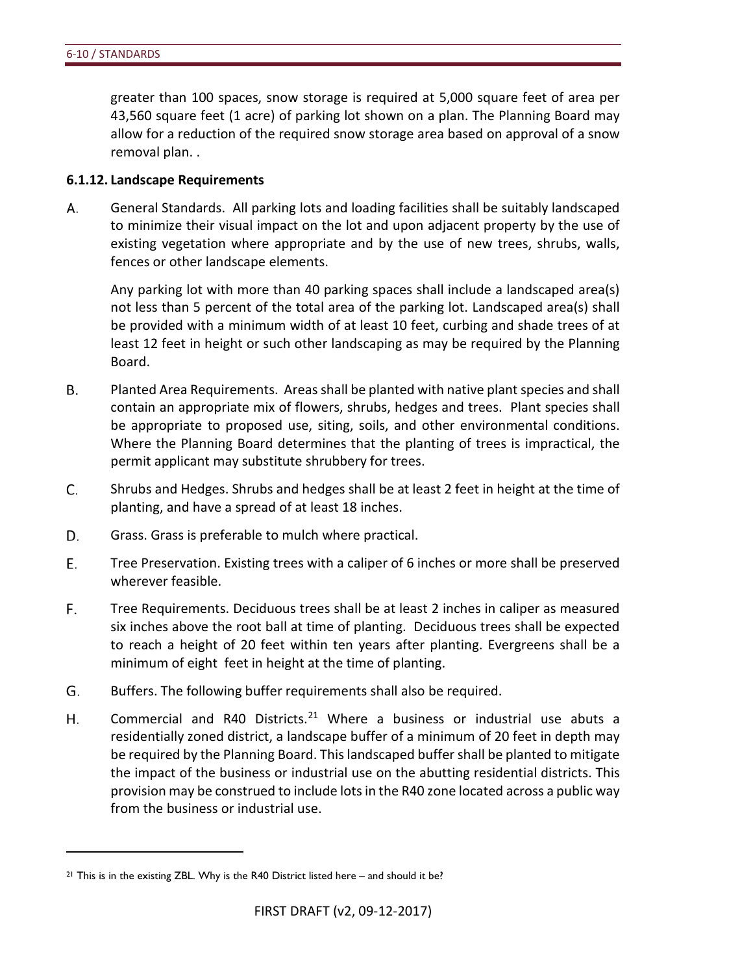greater than 100 spaces, snow storage is required at 5,000 square feet of area per 43,560 square feet (1 acre) of parking lot shown on a plan. The Planning Board may allow for a reduction of the required snow storage area based on approval of a snow removal plan. .

#### **6.1.12. Landscape Requirements**

А. General Standards. All parking lots and loading facilities shall be suitably landscaped to minimize their visual impact on the lot and upon adjacent property by the use of existing vegetation where appropriate and by the use of new trees, shrubs, walls, fences or other landscape elements.

Any parking lot with more than 40 parking spaces shall include a landscaped area(s) not less than 5 percent of the total area of the parking lot. Landscaped area(s) shall be provided with a minimum width of at least 10 feet, curbing and shade trees of at least 12 feet in height or such other landscaping as may be required by the Planning Board.

- **B.** Planted Area Requirements. Areas shall be planted with native plant species and shall contain an appropriate mix of flowers, shrubs, hedges and trees. Plant species shall be appropriate to proposed use, siting, soils, and other environmental conditions. Where the Planning Board determines that the planting of trees is impractical, the permit applicant may substitute shrubbery for trees.
- C. Shrubs and Hedges. Shrubs and hedges shall be at least 2 feet in height at the time of planting, and have a spread of at least 18 inches.
- D. Grass. Grass is preferable to mulch where practical.
- Ε. Tree Preservation. Existing trees with a caliper of 6 inches or more shall be preserved wherever feasible.
- F. Tree Requirements. Deciduous trees shall be at least 2 inches in caliper as measured six inches above the root ball at time of planting. Deciduous trees shall be expected to reach a height of 20 feet within ten years after planting. Evergreens shall be a minimum of eight feet in height at the time of planting.
- G. Buffers. The following buffer requirements shall also be required.
- Commercial and R40 Districts.<sup>[21](#page-65-0)</sup> Where a business or industrial use abuts a Η. residentially zoned district, a landscape buffer of a minimum of 20 feet in depth may be required by the Planning Board. This landscaped buffer shall be planted to mitigate the impact of the business or industrial use on the abutting residential districts. This provision may be construed to include lots in the R40 zone located across a public way from the business or industrial use.

<span id="page-65-0"></span><sup>&</sup>lt;sup>21</sup> This is in the existing ZBL. Why is the R40 District listed here – and should it be?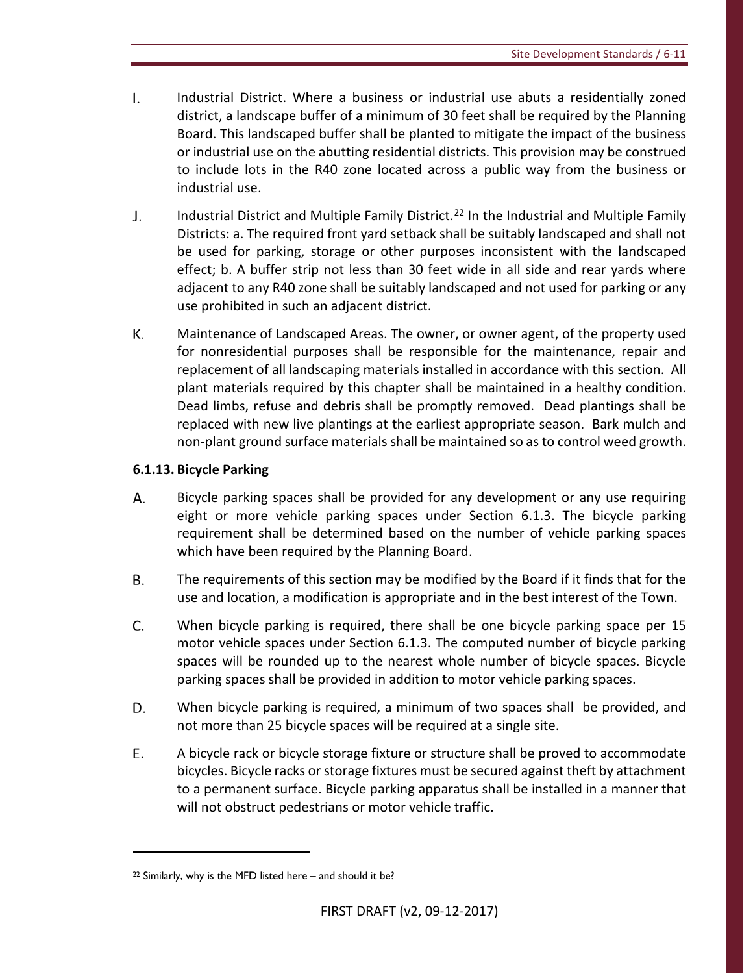- $\mathbf{L}$ Industrial District. Where a business or industrial use abuts a residentially zoned district, a landscape buffer of a minimum of 30 feet shall be required by the Planning Board. This landscaped buffer shall be planted to mitigate the impact of the business or industrial use on the abutting residential districts. This provision may be construed to include lots in the R40 zone located across a public way from the business or industrial use.
- J. Industrial District and Multiple Family District.<sup>22</sup> In the Industrial and Multiple Family Districts: a. The required front yard setback shall be suitably landscaped and shall not be used for parking, storage or other purposes inconsistent with the landscaped effect; b. A buffer strip not less than 30 feet wide in all side and rear yards where adjacent to any R40 zone shall be suitably landscaped and not used for parking or any use prohibited in such an adjacent district.
- К. Maintenance of Landscaped Areas. The owner, or owner agent, of the property used for nonresidential purposes shall be responsible for the maintenance, repair and replacement of all landscaping materials installed in accordance with this section. All plant materials required by this chapter shall be maintained in a healthy condition. Dead limbs, refuse and debris shall be promptly removed. Dead plantings shall be replaced with new live plantings at the earliest appropriate season. Bark mulch and non-plant ground surface materials shall be maintained so as to control weed growth.

# **6.1.13. Bicycle Parking**

- А. Bicycle parking spaces shall be provided for any development or any use requiring eight or more vehicle parking spaces under Section 6.1.3. The bicycle parking requirement shall be determined based on the number of vehicle parking spaces which have been required by the Planning Board.
- В. The requirements of this section may be modified by the Board if it finds that for the use and location, a modification is appropriate and in the best interest of the Town.
- C. When bicycle parking is required, there shall be one bicycle parking space per 15 motor vehicle spaces under Section 6.1.3. The computed number of bicycle parking spaces will be rounded up to the nearest whole number of bicycle spaces. Bicycle parking spaces shall be provided in addition to motor vehicle parking spaces.
- D. When bicycle parking is required, a minimum of two spaces shall be provided, and not more than 25 bicycle spaces will be required at a single site.
- E. A bicycle rack or bicycle storage fixture or structure shall be proved to accommodate bicycles. Bicycle racks or storage fixtures must be secured against theft by attachment to a permanent surface. Bicycle parking apparatus shall be installed in a manner that will not obstruct pedestrians or motor vehicle traffic.

<span id="page-66-0"></span> $22$  Similarly, why is the MFD listed here – and should it be?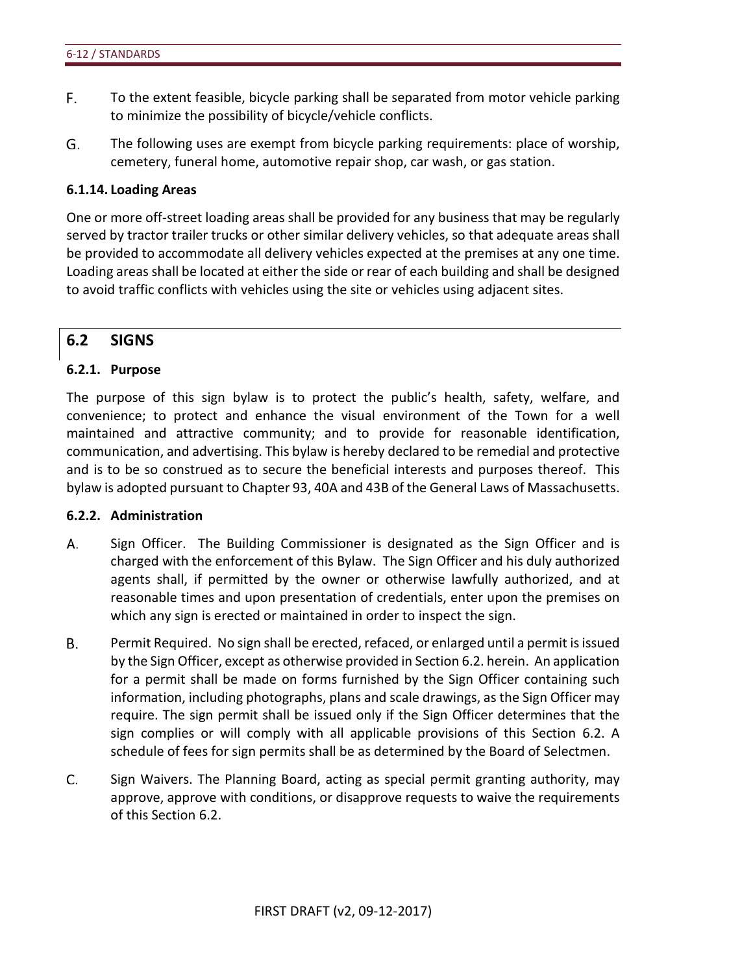- F. To the extent feasible, bicycle parking shall be separated from motor vehicle parking to minimize the possibility of bicycle/vehicle conflicts.
- G. The following uses are exempt from bicycle parking requirements: place of worship, cemetery, funeral home, automotive repair shop, car wash, or gas station.

#### **6.1.14. Loading Areas**

One or more off-street loading areas shall be provided for any business that may be regularly served by tractor trailer trucks or other similar delivery vehicles, so that adequate areas shall be provided to accommodate all delivery vehicles expected at the premises at any one time. Loading areas shall be located at either the side or rear of each building and shall be designed to avoid traffic conflicts with vehicles using the site or vehicles using adjacent sites.

# **6.2 SIGNS**

#### **6.2.1. Purpose**

The purpose of this sign bylaw is to protect the public's health, safety, welfare, and convenience; to protect and enhance the visual environment of the Town for a well maintained and attractive community; and to provide for reasonable identification, communication, and advertising. This bylaw is hereby declared to be remedial and protective and is to be so construed as to secure the beneficial interests and purposes thereof. This bylaw is adopted pursuant to Chapter 93, 40A and 43B of the General Laws of Massachusetts.

#### **6.2.2. Administration**

- А. Sign Officer. The Building Commissioner is designated as the Sign Officer and is charged with the enforcement of this Bylaw. The Sign Officer and his duly authorized agents shall, if permitted by the owner or otherwise lawfully authorized, and at reasonable times and upon presentation of credentials, enter upon the premises on which any sign is erected or maintained in order to inspect the sign.
- В. Permit Required. No sign shall be erected, refaced, or enlarged until a permit is issued by the Sign Officer, except as otherwise provided in Section 6.2. herein. An application for a permit shall be made on forms furnished by the Sign Officer containing such information, including photographs, plans and scale drawings, as the Sign Officer may require. The sign permit shall be issued only if the Sign Officer determines that the sign complies or will comply with all applicable provisions of this Section 6.2. A schedule of fees for sign permits shall be as determined by the Board of Selectmen.
- C. Sign Waivers. The Planning Board, acting as special permit granting authority, may approve, approve with conditions, or disapprove requests to waive the requirements of this Section 6.2.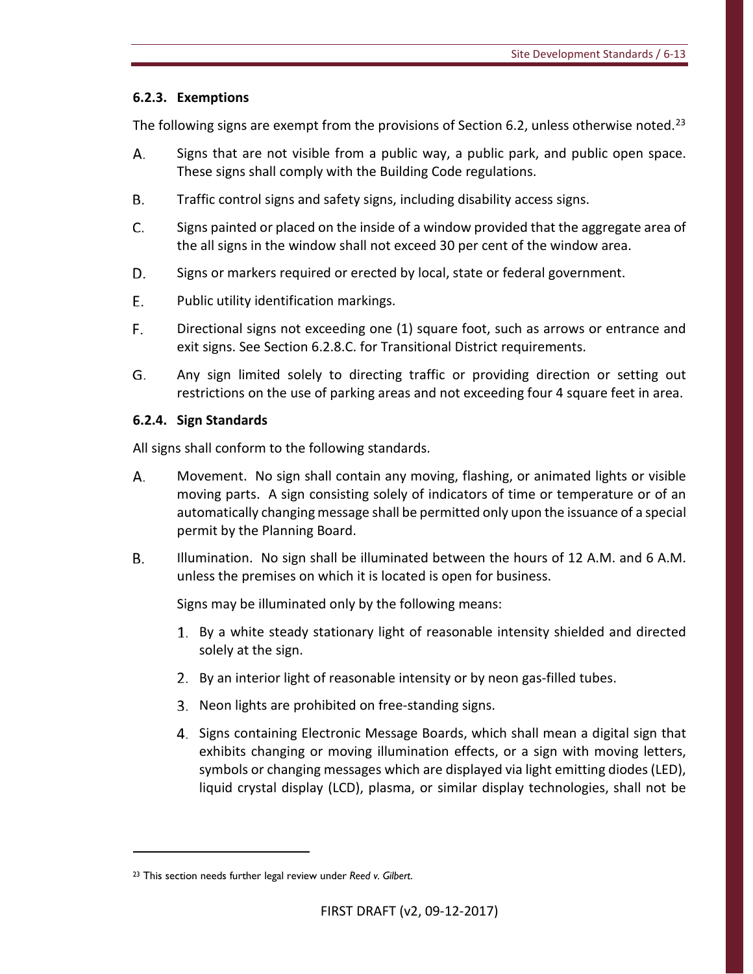# **6.2.3. Exemptions**

The following signs are exempt from the provisions of Section 6.2, unless otherwise noted.<sup>[23](#page-68-0)</sup>

- А. Signs that are not visible from a public way, a public park, and public open space. These signs shall comply with the Building Code regulations.
- **B.** Traffic control signs and safety signs, including disability access signs.
- C. Signs painted or placed on the inside of a window provided that the aggregate area of the all signs in the window shall not exceed 30 per cent of the window area.
- D. Signs or markers required or erected by local, state or federal government.
- E. Public utility identification markings.
- F. Directional signs not exceeding one (1) square foot, such as arrows or entrance and exit signs. See Section 6.2.8.C. for Transitional District requirements.
- G. Any sign limited solely to directing traffic or providing direction or setting out restrictions on the use of parking areas and not exceeding four 4 square feet in area.

# **6.2.4. Sign Standards**

All signs shall conform to the following standards.

- А. Movement. No sign shall contain any moving, flashing, or animated lights or visible moving parts. A sign consisting solely of indicators of time or temperature or of an automatically changing message shall be permitted only upon the issuance of a special permit by the Planning Board.
- **B.** Illumination. No sign shall be illuminated between the hours of 12 A.M. and 6 A.M. unless the premises on which it is located is open for business.

Signs may be illuminated only by the following means:

- 1. By a white steady stationary light of reasonable intensity shielded and directed solely at the sign.
- 2. By an interior light of reasonable intensity or by neon gas-filled tubes.
- 3. Neon lights are prohibited on free-standing signs.
- Signs containing Electronic Message Boards, which shall mean a digital sign that exhibits changing or moving illumination effects, or a sign with moving letters, symbols or changing messages which are displayed via light emitting diodes (LED), liquid crystal display (LCD), plasma, or similar display technologies, shall not be

<span id="page-68-0"></span><sup>23</sup> This section needs further legal review under *Reed v. Gilbert*.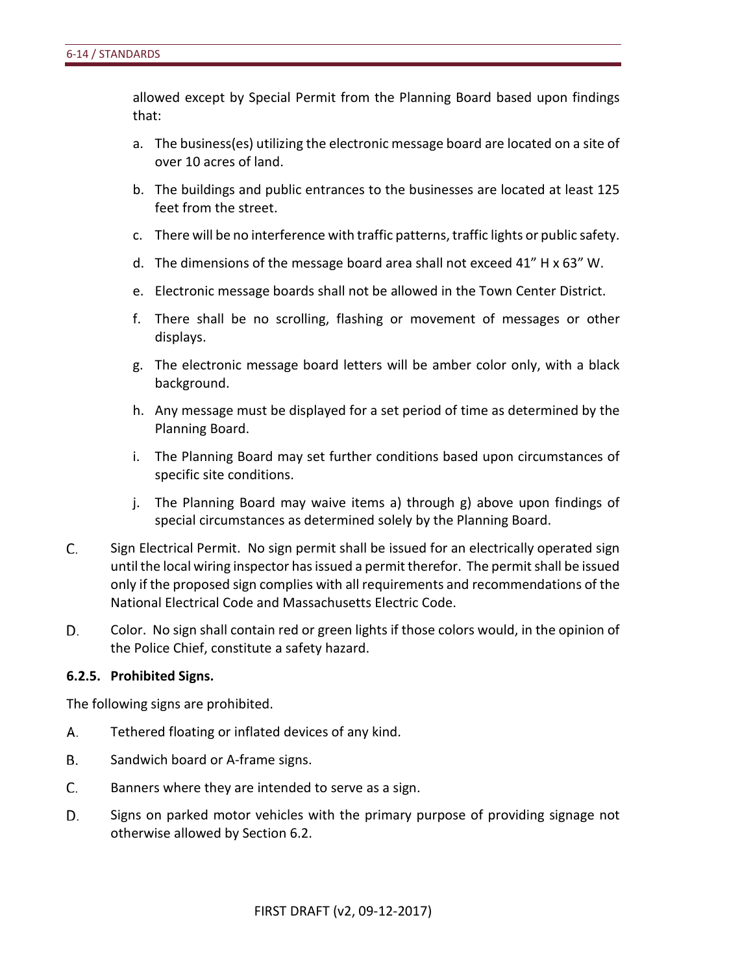allowed except by Special Permit from the Planning Board based upon findings that:

- a. The business(es) utilizing the electronic message board are located on a site of over 10 acres of land.
- b. The buildings and public entrances to the businesses are located at least 125 feet from the street.
- c. There will be no interference with traffic patterns, traffic lights or public safety.
- d. The dimensions of the message board area shall not exceed 41" H x 63" W.
- e. Electronic message boards shall not be allowed in the Town Center District.
- f. There shall be no scrolling, flashing or movement of messages or other displays.
- g. The electronic message board letters will be amber color only, with a black background.
- h. Any message must be displayed for a set period of time as determined by the Planning Board.
- i. The Planning Board may set further conditions based upon circumstances of specific site conditions.
- j. The Planning Board may waive items a) through g) above upon findings of special circumstances as determined solely by the Planning Board.
- C. Sign Electrical Permit. No sign permit shall be issued for an electrically operated sign until the local wiring inspector has issued a permit therefor. The permit shall be issued only if the proposed sign complies with all requirements and recommendations of the National Electrical Code and Massachusetts Electric Code.
- D. Color. No sign shall contain red or green lights if those colors would, in the opinion of the Police Chief, constitute a safety hazard.

# **6.2.5. Prohibited Signs.**

The following signs are prohibited.

- А. Tethered floating or inflated devices of any kind.
- **B.** Sandwich board or A-frame signs.
- C. Banners where they are intended to serve as a sign.
- D. Signs on parked motor vehicles with the primary purpose of providing signage not otherwise allowed by Section 6.2.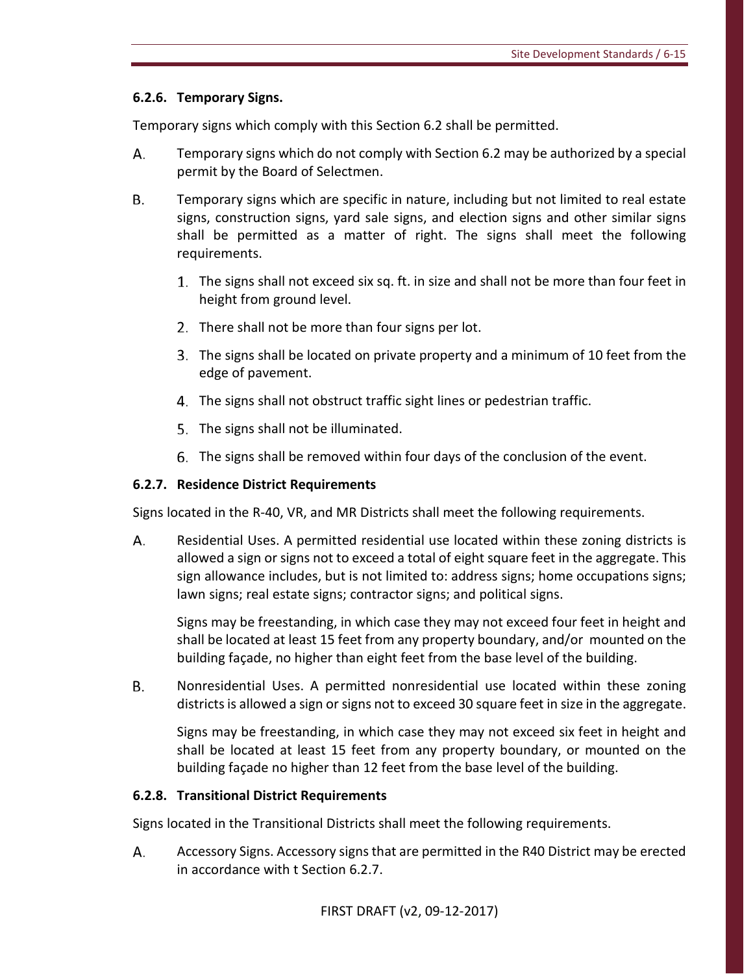# **6.2.6. Temporary Signs.**

Temporary signs which comply with this Section 6.2 shall be permitted.

- А. Temporary signs which do not comply with Section 6.2 may be authorized by a special permit by the Board of Selectmen.
- **B.** Temporary signs which are specific in nature, including but not limited to real estate signs, construction signs, yard sale signs, and election signs and other similar signs shall be permitted as a matter of right. The signs shall meet the following requirements.
	- 1. The signs shall not exceed six sq. ft. in size and shall not be more than four feet in height from ground level.
	- 2. There shall not be more than four signs per lot.
	- The signs shall be located on private property and a minimum of 10 feet from the edge of pavement.
	- The signs shall not obstruct traffic sight lines or pedestrian traffic.
	- 5. The signs shall not be illuminated.
	- The signs shall be removed within four days of the conclusion of the event.

# **6.2.7. Residence District Requirements**

Signs located in the R-40, VR, and MR Districts shall meet the following requirements.

А. Residential Uses. A permitted residential use located within these zoning districts is allowed a sign or signs not to exceed a total of eight square feet in the aggregate. This sign allowance includes, but is not limited to: address signs; home occupations signs; lawn signs; real estate signs; contractor signs; and political signs.

Signs may be freestanding, in which case they may not exceed four feet in height and shall be located at least 15 feet from any property boundary, and/or mounted on the building façade, no higher than eight feet from the base level of the building.

В. Nonresidential Uses. A permitted nonresidential use located within these zoning districts is allowed a sign or signs not to exceed 30 square feet in size in the aggregate.

Signs may be freestanding, in which case they may not exceed six feet in height and shall be located at least 15 feet from any property boundary, or mounted on the building façade no higher than 12 feet from the base level of the building.

# **6.2.8. Transitional District Requirements**

Signs located in the Transitional Districts shall meet the following requirements.

А. Accessory Signs. Accessory signs that are permitted in the R40 District may be erected in accordance with t Section 6.2.7.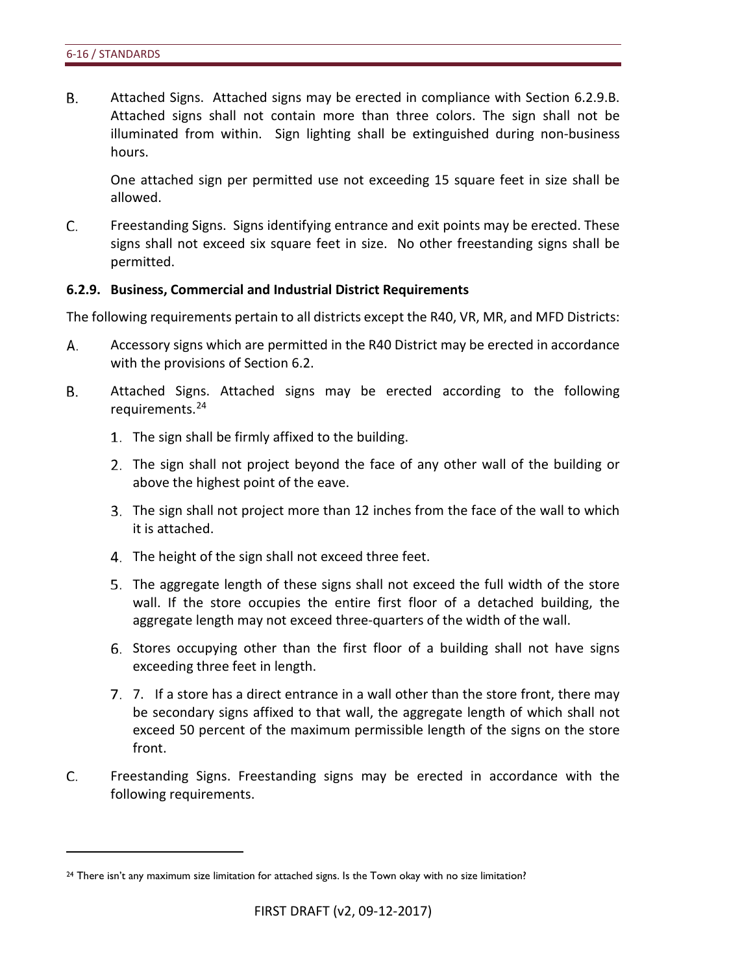$\overline{a}$ 

**B.** Attached Signs. Attached signs may be erected in compliance with Section 6.2.9.B. Attached signs shall not contain more than three colors. The sign shall not be illuminated from within. Sign lighting shall be extinguished during non-business hours.

One attached sign per permitted use not exceeding 15 square feet in size shall be allowed.

C. Freestanding Signs. Signs identifying entrance and exit points may be erected. These signs shall not exceed six square feet in size. No other freestanding signs shall be permitted.

#### **6.2.9. Business, Commercial and Industrial District Requirements**

The following requirements pertain to all districts except the R40, VR, MR, and MFD Districts:

- А. Accessory signs which are permitted in the R40 District may be erected in accordance with the provisions of Section 6.2.
- В. Attached Signs. Attached signs may be erected according to the following requirements.[24](#page-71-0)
	- 1. The sign shall be firmly affixed to the building.
	- The sign shall not project beyond the face of any other wall of the building or above the highest point of the eave.
	- The sign shall not project more than 12 inches from the face of the wall to which it is attached.
	- 4. The height of the sign shall not exceed three feet.
	- The aggregate length of these signs shall not exceed the full width of the store wall. If the store occupies the entire first floor of a detached building, the aggregate length may not exceed three-quarters of the width of the wall.
	- Stores occupying other than the first floor of a building shall not have signs exceeding three feet in length.
	- 7. If a store has a direct entrance in a wall other than the store front, there may be secondary signs affixed to that wall, the aggregate length of which shall not exceed 50 percent of the maximum permissible length of the signs on the store front.
- C. Freestanding Signs. Freestanding signs may be erected in accordance with the following requirements.

<span id="page-71-0"></span><sup>&</sup>lt;sup>24</sup> There isn't any maximum size limitation for attached signs. Is the Town okay with no size limitation?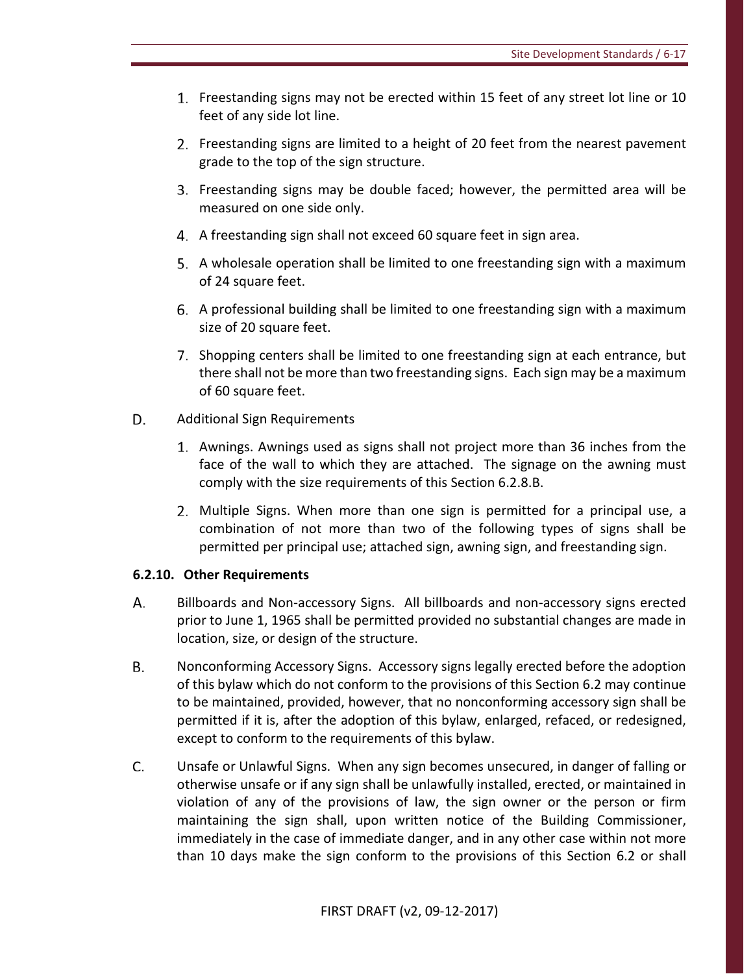- 1. Freestanding signs may not be erected within 15 feet of any street lot line or 10 feet of any side lot line.
- 2. Freestanding signs are limited to a height of 20 feet from the nearest pavement grade to the top of the sign structure.
- Freestanding signs may be double faced; however, the permitted area will be measured on one side only.
- A freestanding sign shall not exceed 60 square feet in sign area.
- A wholesale operation shall be limited to one freestanding sign with a maximum of 24 square feet.
- A professional building shall be limited to one freestanding sign with a maximum size of 20 square feet.
- 7. Shopping centers shall be limited to one freestanding sign at each entrance, but there shall not be more than two freestanding signs. Each sign may be a maximum of 60 square feet.
- D. Additional Sign Requirements
	- Awnings. Awnings used as signs shall not project more than 36 inches from the face of the wall to which they are attached. The signage on the awning must comply with the size requirements of this Section 6.2.8.B.
	- Multiple Signs. When more than one sign is permitted for a principal use, a combination of not more than two of the following types of signs shall be permitted per principal use; attached sign, awning sign, and freestanding sign.

### **6.2.10. Other Requirements**

- А. Billboards and Non-accessory Signs. All billboards and non-accessory signs erected prior to June 1, 1965 shall be permitted provided no substantial changes are made in location, size, or design of the structure.
- В. Nonconforming Accessory Signs. Accessory signs legally erected before the adoption of this bylaw which do not conform to the provisions of this Section 6.2 may continue to be maintained, provided, however, that no nonconforming accessory sign shall be permitted if it is, after the adoption of this bylaw, enlarged, refaced, or redesigned, except to conform to the requirements of this bylaw.
- C. Unsafe or Unlawful Signs. When any sign becomes unsecured, in danger of falling or otherwise unsafe or if any sign shall be unlawfully installed, erected, or maintained in violation of any of the provisions of law, the sign owner or the person or firm maintaining the sign shall, upon written notice of the Building Commissioner, immediately in the case of immediate danger, and in any other case within not more than 10 days make the sign conform to the provisions of this Section 6.2 or shall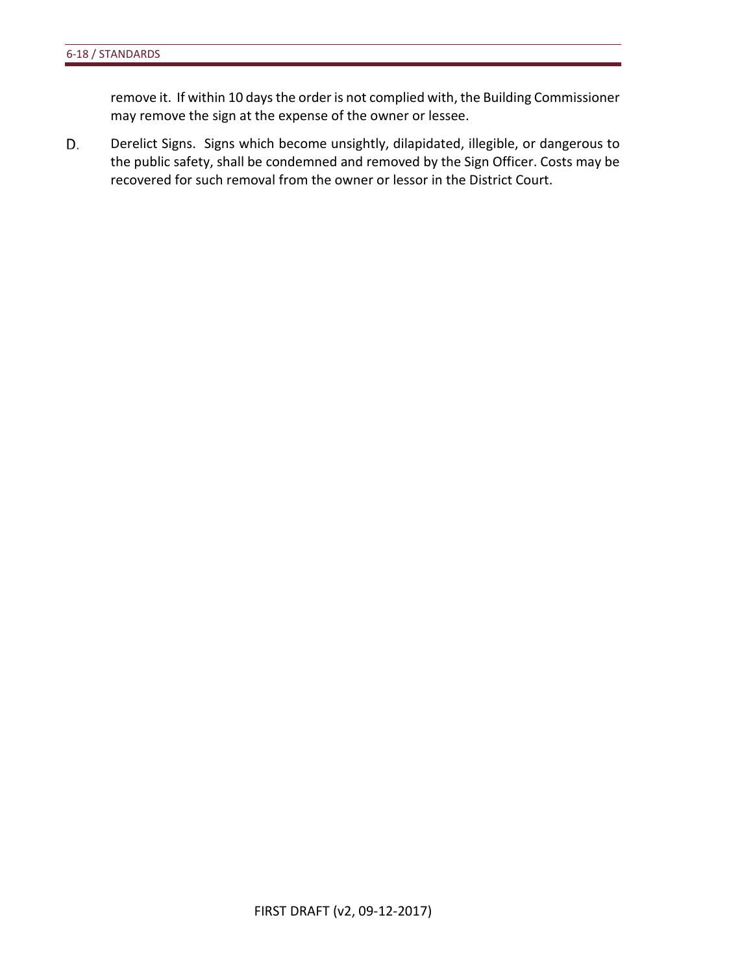remove it. If within 10 days the order is not complied with, the Building Commissioner may remove the sign at the expense of the owner or lessee.

D. Derelict Signs. Signs which become unsightly, dilapidated, illegible, or dangerous to the public safety, shall be condemned and removed by the Sign Officer. Costs may be recovered for such removal from the owner or lessor in the District Court.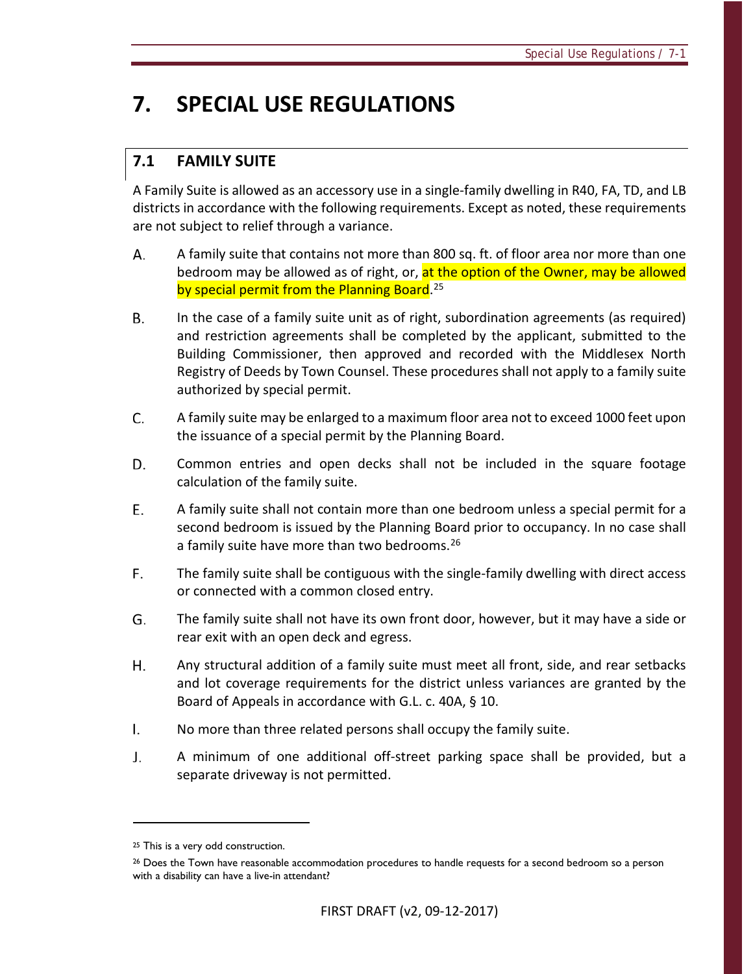# **7. SPECIAL USE REGULATIONS**

# **7.1 FAMILY SUITE**

A Family Suite is allowed as an accessory use in a single-family dwelling in R40, FA, TD, and LB districts in accordance with the following requirements. Except as noted, these requirements are not subject to relief through a variance.

- А. A family suite that contains not more than 800 sq. ft. of floor area nor more than one bedroom may be allowed as of right, or, at the option of the Owner, may be allowed by special permit from the Planning Board.<sup>[25](#page-74-0)</sup>
- В. In the case of a family suite unit as of right, subordination agreements (as required) and restriction agreements shall be completed by the applicant, submitted to the Building Commissioner, then approved and recorded with the Middlesex North Registry of Deeds by Town Counsel. These procedures shall not apply to a family suite authorized by special permit.
- C. A family suite may be enlarged to a maximum floor area not to exceed 1000 feet upon the issuance of a special permit by the Planning Board.
- D. Common entries and open decks shall not be included in the square footage calculation of the family suite.
- E. A family suite shall not contain more than one bedroom unless a special permit for a second bedroom is issued by the Planning Board prior to occupancy. In no case shall a family suite have more than two bedrooms.<sup>26</sup>
- F. The family suite shall be contiguous with the single-family dwelling with direct access or connected with a common closed entry.
- G. The family suite shall not have its own front door, however, but it may have a side or rear exit with an open deck and egress.
- H. Any structural addition of a family suite must meet all front, side, and rear setbacks and lot coverage requirements for the district unless variances are granted by the Board of Appeals in accordance with G.L. c. 40A, § 10.
- $\mathsf{L}$ No more than three related persons shall occupy the family suite.
- J. A minimum of one additional off-street parking space shall be provided, but a separate driveway is not permitted.

 $\overline{a}$ 

<span id="page-74-0"></span><sup>&</sup>lt;sup>25</sup> This is a very odd construction.

<span id="page-74-1"></span><sup>&</sup>lt;sup>26</sup> Does the Town have reasonable accommodation procedures to handle requests for a second bedroom so a person with a disability can have a live-in attendant?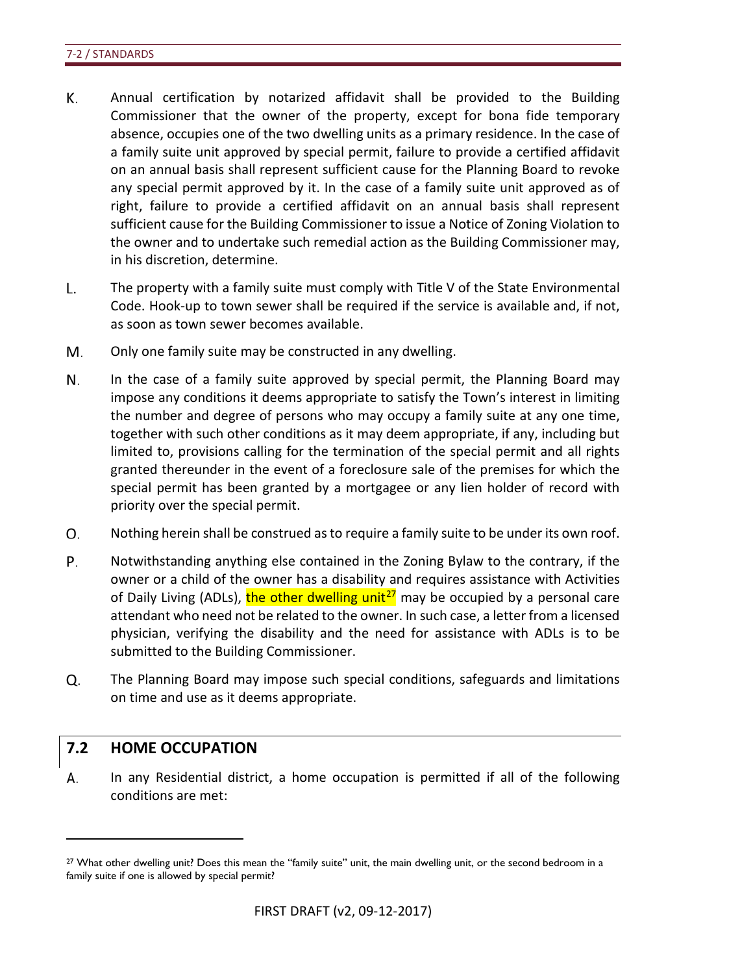- К. Annual certification by notarized affidavit shall be provided to the Building Commissioner that the owner of the property, except for bona fide temporary absence, occupies one of the two dwelling units as a primary residence. In the case of a family suite unit approved by special permit, failure to provide a certified affidavit on an annual basis shall represent sufficient cause for the Planning Board to revoke any special permit approved by it. In the case of a family suite unit approved as of right, failure to provide a certified affidavit on an annual basis shall represent sufficient cause for the Building Commissioner to issue a Notice of Zoning Violation to the owner and to undertake such remedial action as the Building Commissioner may, in his discretion, determine.
- L. The property with a family suite must comply with Title V of the State Environmental Code. Hook-up to town sewer shall be required if the service is available and, if not, as soon as town sewer becomes available.
- M. Only one family suite may be constructed in any dwelling.
- N. In the case of a family suite approved by special permit, the Planning Board may impose any conditions it deems appropriate to satisfy the Town's interest in limiting the number and degree of persons who may occupy a family suite at any one time, together with such other conditions as it may deem appropriate, if any, including but limited to, provisions calling for the termination of the special permit and all rights granted thereunder in the event of a foreclosure sale of the premises for which the special permit has been granted by a mortgagee or any lien holder of record with priority over the special permit.
- О. Nothing herein shall be construed as to require a family suite to be under its own roof.
- Ρ. Notwithstanding anything else contained in the Zoning Bylaw to the contrary, if the owner or a child of the owner has a disability and requires assistance with Activities of Daily Living (ADLs), the other dwelling unit<sup>[27](#page-75-0)</sup> may be occupied by a personal care attendant who need not be related to the owner. In such case, a letter from a licensed physician, verifying the disability and the need for assistance with ADLs is to be submitted to the Building Commissioner.
- Q. The Planning Board may impose such special conditions, safeguards and limitations on time and use as it deems appropriate.

# **7.2 HOME OCCUPATION**

 $\overline{a}$ 

А. In any Residential district, a home occupation is permitted if all of the following conditions are met:

<span id="page-75-0"></span><sup>&</sup>lt;sup>27</sup> What other dwelling unit? Does this mean the "family suite" unit, the main dwelling unit, or the second bedroom in a family suite if one is allowed by special permit?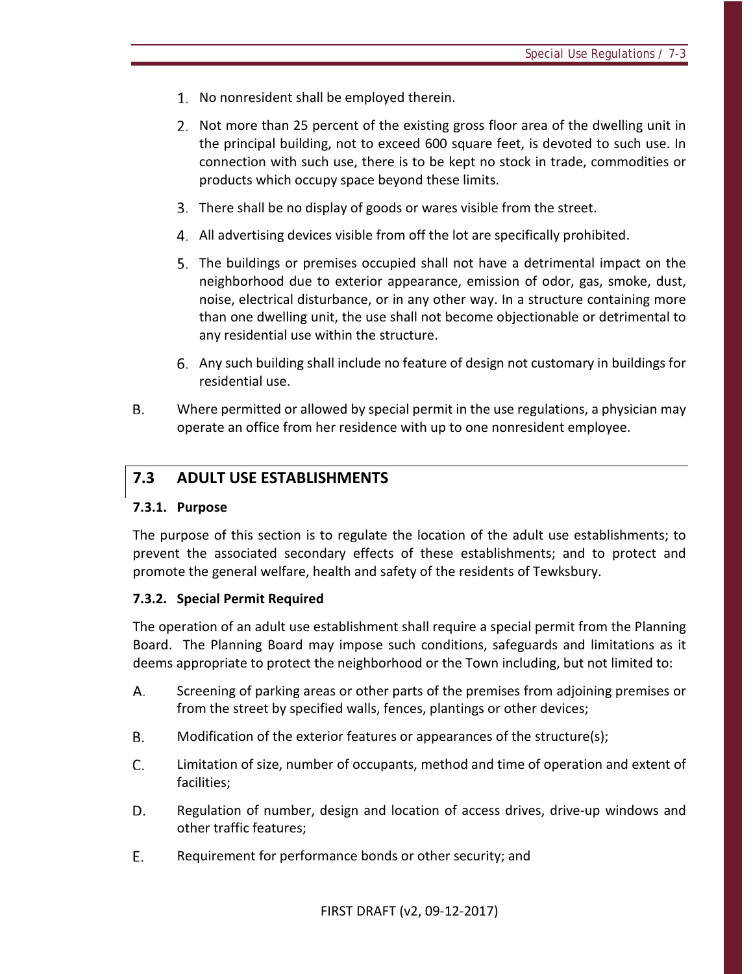- 1. No nonresident shall be employed therein.
- 2. Not more than 25 percent of the existing gross floor area of the dwelling unit in the principal building, not to exceed 600 square feet, is devoted to such use. In connection with such use, there is to be kept no stock in trade, commodities or products which occupy space beyond these limits.
- There shall be no display of goods or wares visible from the street.
- All advertising devices visible from off the lot are specifically prohibited.
- The buildings or premises occupied shall not have a detrimental impact on the neighborhood due to exterior appearance, emission of odor, gas, smoke, dust, noise, electrical disturbance, or in any other way. In a structure containing more than one dwelling unit, the use shall not become objectionable or detrimental to any residential use within the structure.
- Any such building shall include no feature of design not customary in buildings for residential use.
- В. Where permitted or allowed by special permit in the use regulations, a physician may operate an office from her residence with up to one nonresident employee.

# **7.3 ADULT USE ESTABLISHMENTS**

### **7.3.1. Purpose**

The purpose of this section is to regulate the location of the adult use establishments; to prevent the associated secondary effects of these establishments; and to protect and promote the general welfare, health and safety of the residents of Tewksbury.

### **7.3.2. Special Permit Required**

The operation of an adult use establishment shall require a special permit from the Planning Board. The Planning Board may impose such conditions, safeguards and limitations as it deems appropriate to protect the neighborhood or the Town including, but not limited to:

- А. Screening of parking areas or other parts of the premises from adjoining premises or from the street by specified walls, fences, plantings or other devices;
- **B.** Modification of the exterior features or appearances of the structure(s);
- C. Limitation of size, number of occupants, method and time of operation and extent of facilities;
- D. Regulation of number, design and location of access drives, drive-up windows and other traffic features;
- E. Requirement for performance bonds or other security; and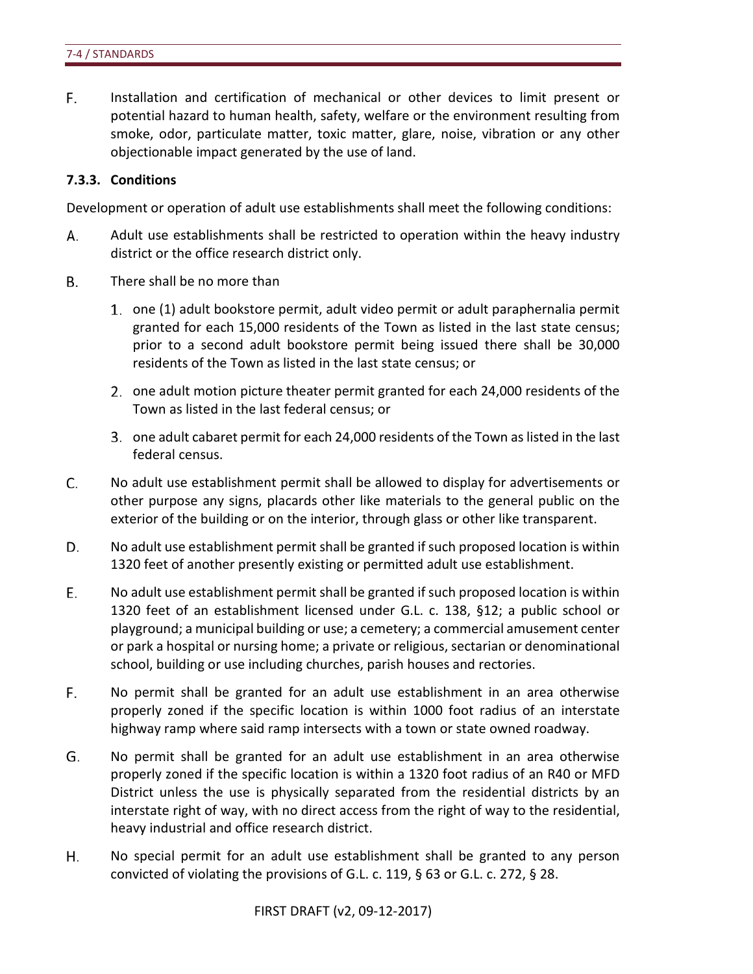F. Installation and certification of mechanical or other devices to limit present or potential hazard to human health, safety, welfare or the environment resulting from smoke, odor, particulate matter, toxic matter, glare, noise, vibration or any other objectionable impact generated by the use of land.

### **7.3.3. Conditions**

Development or operation of adult use establishments shall meet the following conditions:

- А. Adult use establishments shall be restricted to operation within the heavy industry district or the office research district only.
- **B.** There shall be no more than
	- one (1) adult bookstore permit, adult video permit or adult paraphernalia permit granted for each 15,000 residents of the Town as listed in the last state census; prior to a second adult bookstore permit being issued there shall be 30,000 residents of the Town as listed in the last state census; or
	- 2. one adult motion picture theater permit granted for each 24,000 residents of the Town as listed in the last federal census; or
	- one adult cabaret permit for each 24,000 residents of the Town as listed in the last federal census.
- C. No adult use establishment permit shall be allowed to display for advertisements or other purpose any signs, placards other like materials to the general public on the exterior of the building or on the interior, through glass or other like transparent.
- D. No adult use establishment permit shall be granted if such proposed location is within 1320 feet of another presently existing or permitted adult use establishment.
- Е. No adult use establishment permit shall be granted if such proposed location is within 1320 feet of an establishment licensed under G.L. c. 138, §12; a public school or playground; a municipal building or use; a cemetery; a commercial amusement center or park a hospital or nursing home; a private or religious, sectarian or denominational school, building or use including churches, parish houses and rectories.
- F. No permit shall be granted for an adult use establishment in an area otherwise properly zoned if the specific location is within 1000 foot radius of an interstate highway ramp where said ramp intersects with a town or state owned roadway.
- G. No permit shall be granted for an adult use establishment in an area otherwise properly zoned if the specific location is within a 1320 foot radius of an R40 or MFD District unless the use is physically separated from the residential districts by an interstate right of way, with no direct access from the right of way to the residential, heavy industrial and office research district.
- Η. No special permit for an adult use establishment shall be granted to any person convicted of violating the provisions of G.L. c. 119, § 63 or G.L. c. 272, § 28.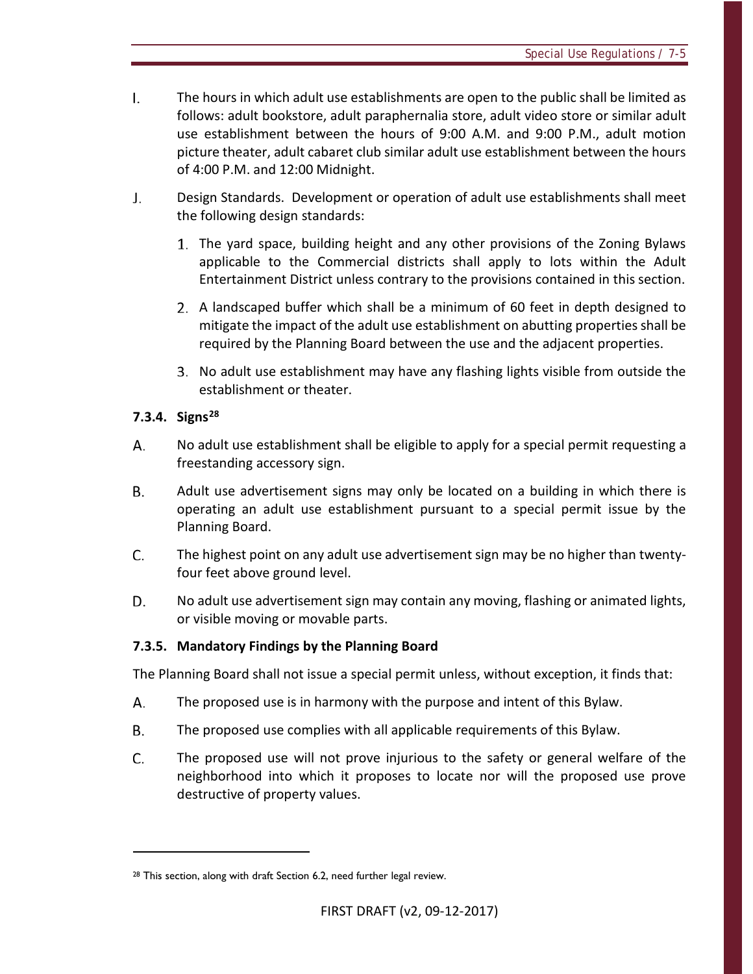- $\mathbf{L}$ The hours in which adult use establishments are open to the public shall be limited as follows: adult bookstore, adult paraphernalia store, adult video store or similar adult use establishment between the hours of 9:00 A.M. and 9:00 P.M., adult motion picture theater, adult cabaret club similar adult use establishment between the hours of 4:00 P.M. and 12:00 Midnight.
- J. Design Standards. Development or operation of adult use establishments shall meet the following design standards:
	- The yard space, building height and any other provisions of the Zoning Bylaws applicable to the Commercial districts shall apply to lots within the Adult Entertainment District unless contrary to the provisions contained in this section.
	- A landscaped buffer which shall be a minimum of 60 feet in depth designed to mitigate the impact of the adult use establishment on abutting properties shall be required by the Planning Board between the use and the adjacent properties.
	- 3. No adult use establishment may have any flashing lights visible from outside the establishment or theater.

# **7.3.4. Signs[28](#page-78-0)**

 $\overline{a}$ 

- No adult use establishment shall be eligible to apply for a special permit requesting a А. freestanding accessory sign.
- **B.** Adult use advertisement signs may only be located on a building in which there is operating an adult use establishment pursuant to a special permit issue by the Planning Board.
- C. The highest point on any adult use advertisement sign may be no higher than twentyfour feet above ground level.
- D. No adult use advertisement sign may contain any moving, flashing or animated lights, or visible moving or movable parts.

# **7.3.5. Mandatory Findings by the Planning Board**

The Planning Board shall not issue a special permit unless, without exception, it finds that:

- А. The proposed use is in harmony with the purpose and intent of this Bylaw.
- **B.** The proposed use complies with all applicable requirements of this Bylaw.
- C. The proposed use will not prove injurious to the safety or general welfare of the neighborhood into which it proposes to locate nor will the proposed use prove destructive of property values.

<span id="page-78-0"></span><sup>&</sup>lt;sup>28</sup> This section, along with draft Section 6.2, need further legal review.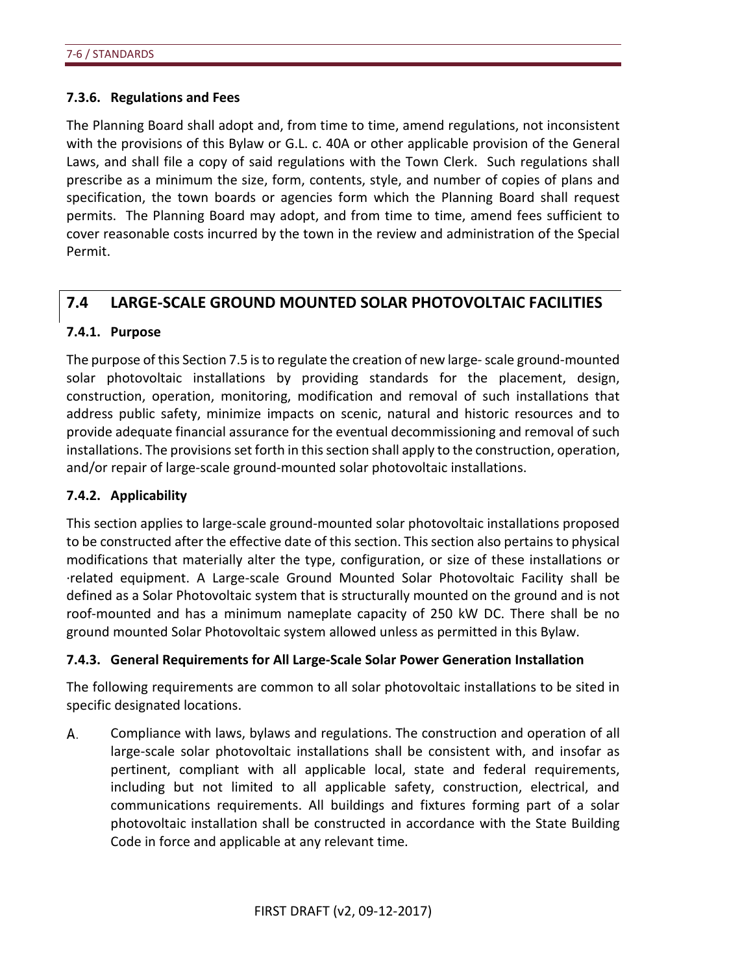### **7.3.6. Regulations and Fees**

The Planning Board shall adopt and, from time to time, amend regulations, not inconsistent with the provisions of this Bylaw or G.L. c. 40A or other applicable provision of the General Laws, and shall file a copy of said regulations with the Town Clerk. Such regulations shall prescribe as a minimum the size, form, contents, style, and number of copies of plans and specification, the town boards or agencies form which the Planning Board shall request permits. The Planning Board may adopt, and from time to time, amend fees sufficient to cover reasonable costs incurred by the town in the review and administration of the Special Permit.

# **7.4 LARGE-SCALE GROUND MOUNTED SOLAR PHOTOVOLTAIC FACILITIES**

### **7.4.1. Purpose**

The purpose of this Section 7.5 is to regulate the creation of new large- scale ground-mounted solar photovoltaic installations by providing standards for the placement, design, construction, operation, monitoring, modification and removal of such installations that address public safety, minimize impacts on scenic, natural and historic resources and to provide adequate financial assurance for the eventual decommissioning and removal of such installations. The provisions set forth in this section shall apply to the construction, operation, and/or repair of large-scale ground-mounted solar photovoltaic installations.

# **7.4.2. Applicability**

This section applies to large-scale ground-mounted solar photovoltaic installations proposed to be constructed after the effective date of this section. This section also pertains to physical modifications that materially alter the type, configuration, or size of these installations or ·related equipment. A Large-scale Ground Mounted Solar Photovoltaic Facility shall be defined as a Solar Photovoltaic system that is structurally mounted on the ground and is not roof-mounted and has a minimum nameplate capacity of 250 kW DC. There shall be no ground mounted Solar Photovoltaic system allowed unless as permitted in this Bylaw.

# **7.4.3. General Requirements for All Large-Scale Solar Power Generation Installation**

The following requirements are common to all solar photovoltaic installations to be sited in specific designated locations.

А. Compliance with laws, bylaws and regulations. The construction and operation of all large-scale solar photovoltaic installations shall be consistent with, and insofar as pertinent, compliant with all applicable local, state and federal requirements, including but not limited to all applicable safety, construction, electrical, and communications requirements. All buildings and fixtures forming part of a solar photovoltaic installation shall be constructed in accordance with the State Building Code in force and applicable at any relevant time.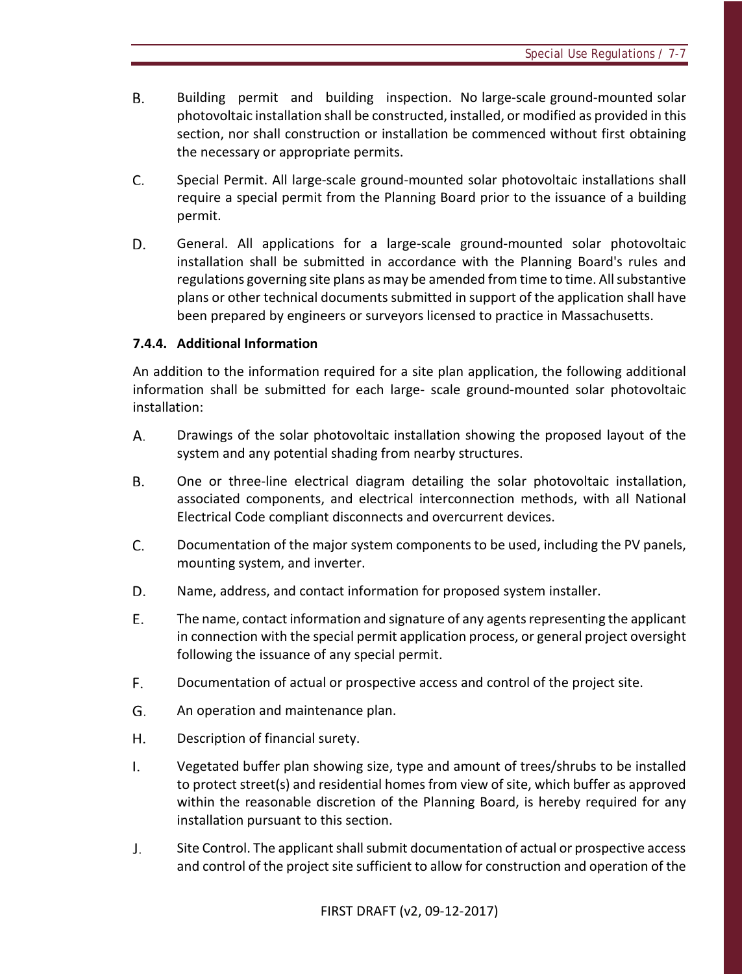- В. Building permit and building inspection. No large-scale ground-mounted solar photovoltaic installation shall be constructed, installed, or modified as provided in this section, nor shall construction or installation be commenced without first obtaining the necessary or appropriate permits.
- C. Special Permit. All large-scale ground-mounted solar photovoltaic installations shall require a special permit from the Planning Board prior to the issuance of a building permit.
- D. General. All applications for a large-scale ground-mounted solar photovoltaic installation shall be submitted in accordance with the Planning Board's rules and regulations governing site plans as may be amended from time to time. All substantive plans or other technical documents submitted in support of the application shall have been prepared by engineers or surveyors licensed to practice in Massachusetts.

# **7.4.4. Additional Information**

An addition to the information required for a site plan application, the following additional information shall be submitted for each large- scale ground-mounted solar photovoltaic installation:

- А. Drawings of the solar photovoltaic installation showing the proposed layout of the system and any potential shading from nearby structures.
- В. One or three-line electrical diagram detailing the solar photovoltaic installation, associated components, and electrical interconnection methods, with all National Electrical Code compliant disconnects and overcurrent devices.
- C. Documentation of the major system components to be used, including the PV panels, mounting system, and inverter.
- D. Name, address, and contact information for proposed system installer.
- E. The name, contact information and signature of any agents representing the applicant in connection with the special permit application process, or general project oversight following the issuance of any special permit.
- F. Documentation of actual or prospective access and control of the project site.
- G. An operation and maintenance plan.
- H. Description of financial surety.
- $\mathsf{L}$ Vegetated buffer plan showing size, type and amount of trees/shrubs to be installed to protect street(s) and residential homes from view of site, which buffer as approved within the reasonable discretion of the Planning Board, is hereby required for any installation pursuant to this section.
- J. Site Control. The applicant shall submit documentation of actual or prospective access and control of the project site sufficient to allow for construction and operation of the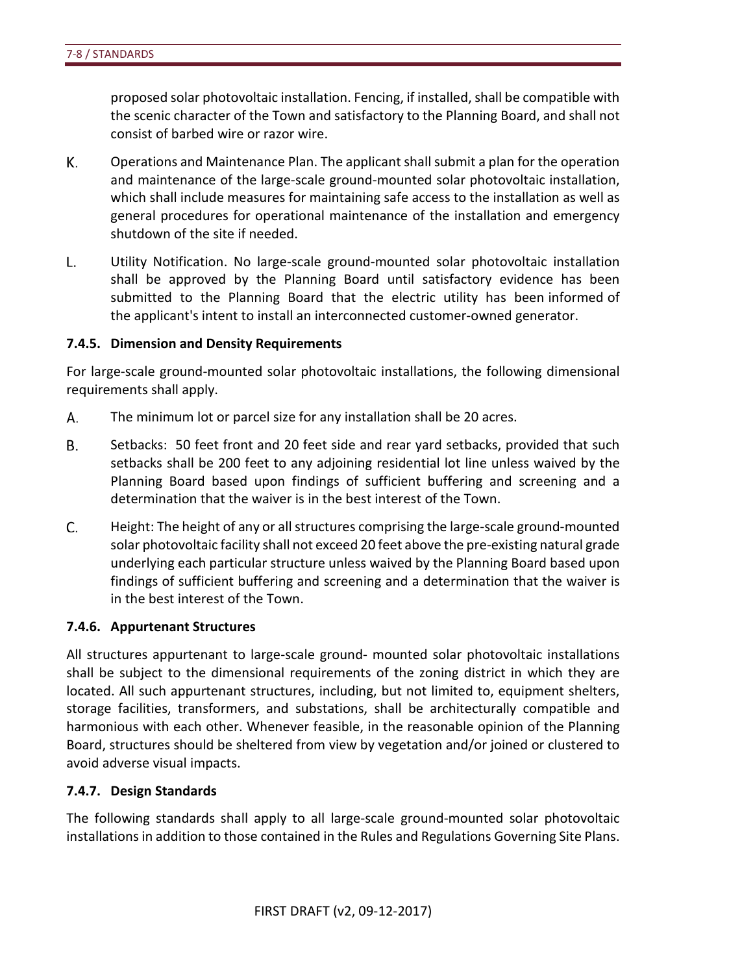proposed solar photovoltaic installation. Fencing, if installed, shall be compatible with the scenic character of the Town and satisfactory to the Planning Board, and shall not consist of barbed wire or razor wire.

- К. Operations and Maintenance Plan. The applicant shall submit a plan for the operation and maintenance of the large-scale ground-mounted solar photovoltaic installation, which shall include measures for maintaining safe access to the installation as well as general procedures for operational maintenance of the installation and emergency shutdown of the site if needed.
- L. Utility Notification. No large-scale ground-mounted solar photovoltaic installation shall be approved by the Planning Board until satisfactory evidence has been submitted to the Planning Board that the electric utility has been informed of the applicant's intent to install an interconnected customer-owned generator.

#### **7.4.5. Dimension and Density Requirements**

For large-scale ground-mounted solar photovoltaic installations, the following dimensional requirements shall apply.

- А. The minimum lot or parcel size for any installation shall be 20 acres.
- Β. Setbacks: 50 feet front and 20 feet side and rear yard setbacks, provided that such setbacks shall be 200 feet to any adjoining residential lot line unless waived by the Planning Board based upon findings of sufficient buffering and screening and a determination that the waiver is in the best interest of the Town.
- C. Height: The height of any or all structures comprising the large-scale ground-mounted solar photovoltaic facility shall not exceed 20 feet above the pre-existing natural grade underlying each particular structure unless waived by the Planning Board based upon findings of sufficient buffering and screening and a determination that the waiver is in the best interest of the Town.

#### **7.4.6. Appurtenant Structures**

All structures appurtenant to large-scale ground- mounted solar photovoltaic installations shall be subject to the dimensional requirements of the zoning district in which they are located. All such appurtenant structures, including, but not limited to, equipment shelters, storage facilities, transformers, and substations, shall be architecturally compatible and harmonious with each other. Whenever feasible, in the reasonable opinion of the Planning Board, structures should be sheltered from view by vegetation and/or joined or clustered to avoid adverse visual impacts.

#### **7.4.7. Design Standards**

The following standards shall apply to all large-scale ground-mounted solar photovoltaic installations in addition to those contained in the Rules and Regulations Governing Site Plans.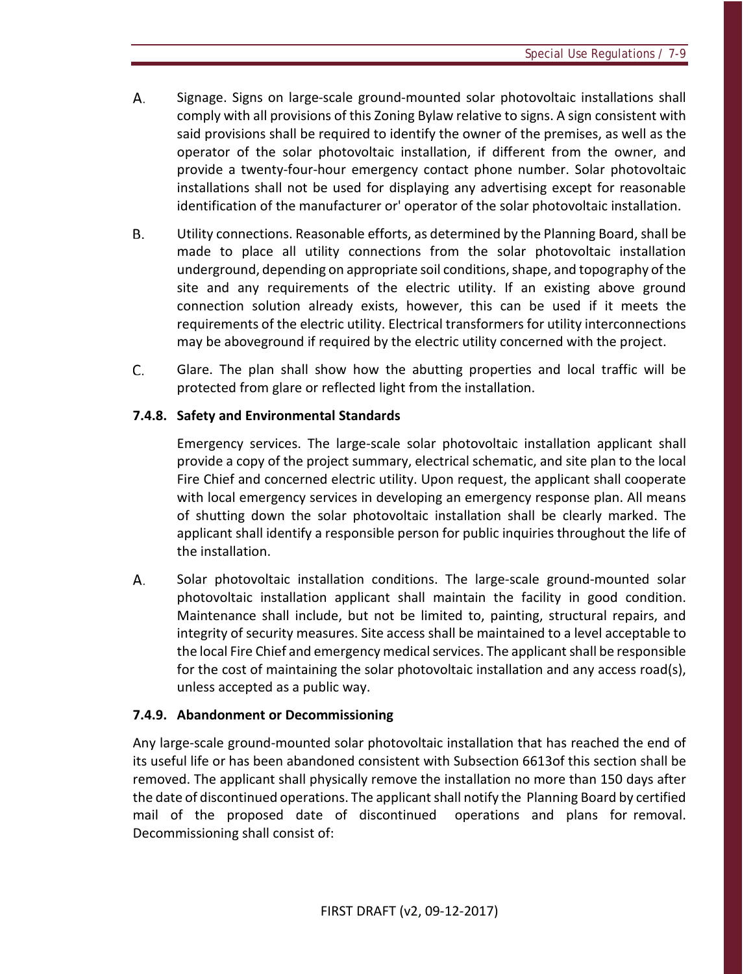- А. Signage. Signs on large-scale ground-mounted solar photovoltaic installations shall comply with all provisions of this Zoning Bylaw relative to signs. A sign consistent with said provisions shall be required to identify the owner of the premises, as well as the operator of the solar photovoltaic installation, if different from the owner, and provide a twenty-four-hour emergency contact phone number. Solar photovoltaic installations shall not be used for displaying any advertising except for reasonable identification of the manufacturer or' operator of the solar photovoltaic installation.
- В. Utility connections. Reasonable efforts, as determined by the Planning Board, shall be made to place all utility connections from the solar photovoltaic installation underground, depending on appropriate soil conditions, shape, and topography of the site and any requirements of the electric utility. If an existing above ground connection solution already exists, however, this can be used if it meets the requirements of the electric utility. Electrical transformers for utility interconnections may be aboveground if required by the electric utility concerned with the project.
- C. Glare. The plan shall show how the abutting properties and local traffic will be protected from glare or reflected light from the installation.

### **7.4.8. Safety and Environmental Standards**

Emergency services. The large-scale solar photovoltaic installation applicant shall provide a copy of the project summary, electrical schematic, and site plan to the local Fire Chief and concerned electric utility. Upon request, the applicant shall cooperate with local emergency services in developing an emergency response plan. All means of shutting down the solar photovoltaic installation shall be clearly marked. The applicant shall identify a responsible person for public inquiries throughout the life of the installation.

А. Solar photovoltaic installation conditions. The large-scale ground-mounted solar photovoltaic installation applicant shall maintain the facility in good condition. Maintenance shall include, but not be limited to, painting, structural repairs, and integrity of security measures. Site access shall be maintained to a level acceptable to the local Fire Chief and emergency medical services. The applicant shall be responsible for the cost of maintaining the solar photovoltaic installation and any access road(s), unless accepted as a public way.

### **7.4.9. Abandonment or Decommissioning**

Any large-scale ground-mounted solar photovoltaic installation that has reached the end of its useful life or has been abandoned consistent with Subsection 6613of this section shall be removed. The applicant shall physically remove the installation no more than 150 days after the date of discontinued operations. The applicant shall notify the Planning Board by certified mail of the proposed date of discontinued operations and plans for removal. Decommissioning shall consist of: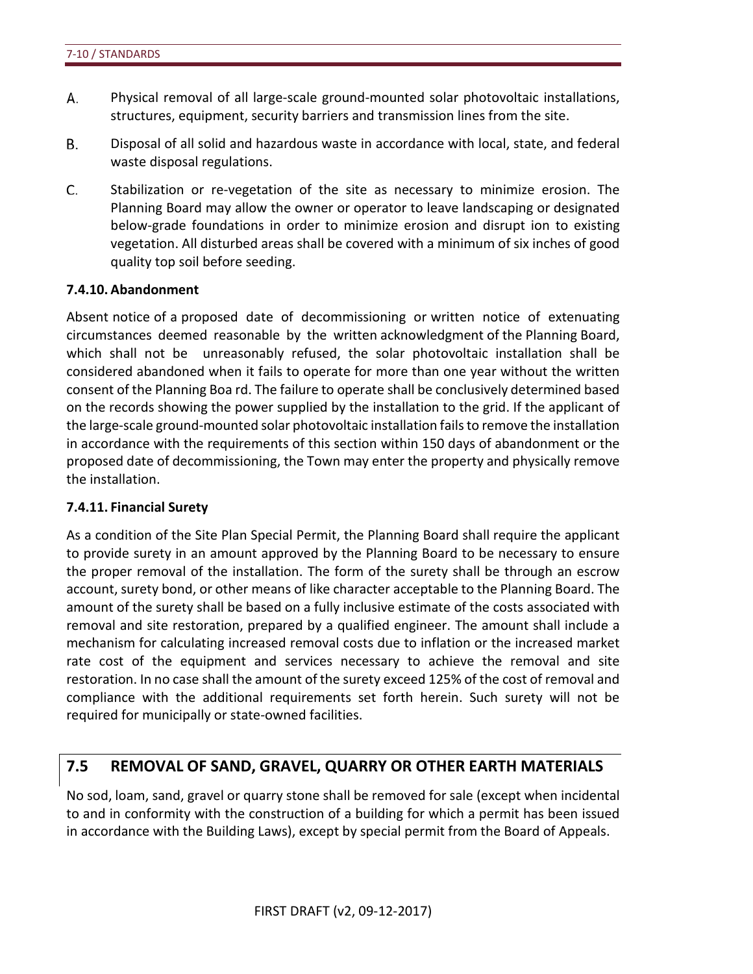- А. Physical removal of all large-scale ground-mounted solar photovoltaic installations, structures, equipment, security barriers and transmission lines from the site.
- **B.** Disposal of all solid and hazardous waste in accordance with local, state, and federal waste disposal regulations.
- C. Stabilization or re-vegetation of the site as necessary to minimize erosion. The Planning Board may allow the owner or operator to leave landscaping or designated below-grade foundations in order to minimize erosion and disrupt ion to existing vegetation. All disturbed areas shall be covered with a minimum of six inches of good quality top soil before seeding.

### **7.4.10. Abandonment**

Absent notice of a proposed date of decommissioning or written notice of extenuating circumstances deemed reasonable by the written acknowledgment of the Planning Board, which shall not be unreasonably refused, the solar photovoltaic installation shall be considered abandoned when it fails to operate for more than one year without the written consent of the Planning Boa rd. The failure to operate shall be conclusively determined based on the records showing the power supplied by the installation to the grid. If the applicant of the large-scale ground-mounted solar photovoltaic installation fails to remove the installation in accordance with the requirements of this section within 150 days of abandonment or the proposed date of decommissioning, the Town may enter the property and physically remove the installation.

### **7.4.11. Financial Surety**

As a condition of the Site Plan Special Permit, the Planning Board shall require the applicant to provide surety in an amount approved by the Planning Board to be necessary to ensure the proper removal of the installation. The form of the surety shall be through an escrow account, surety bond, or other means of like character acceptable to the Planning Board. The amount of the surety shall be based on a fully inclusive estimate of the costs associated with removal and site restoration, prepared by a qualified engineer. The amount shall include a mechanism for calculating increased removal costs due to inflation or the increased market rate cost of the equipment and services necessary to achieve the removal and site restoration. In no case shall the amount of the surety exceed 125% of the cost of removal and compliance with the additional requirements set forth herein. Such surety will not be required for municipally or state-owned facilities.

# **7.5 REMOVAL OF SAND, GRAVEL, QUARRY OR OTHER EARTH MATERIALS**

No sod, loam, sand, gravel or quarry stone shall be removed for sale (except when incidental to and in conformity with the construction of a building for which a permit has been issued in accordance with the Building Laws), except by special permit from the Board of Appeals.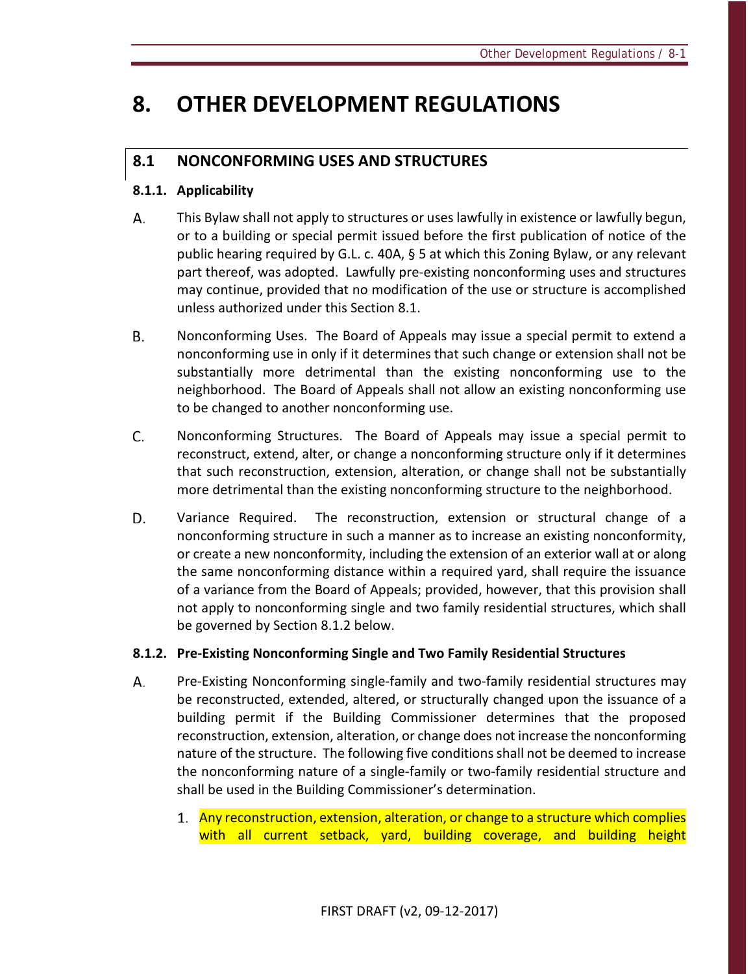# **8. OTHER DEVELOPMENT REGULATIONS**

# **8.1 NONCONFORMING USES AND STRUCTURES**

# **8.1.1. Applicability**

- А. This Bylaw shall not apply to structures or uses lawfully in existence or lawfully begun, or to a building or special permit issued before the first publication of notice of the public hearing required by G.L. c. 40A, § 5 at which this Zoning Bylaw, or any relevant part thereof, was adopted. Lawfully pre-existing nonconforming uses and structures may continue, provided that no modification of the use or structure is accomplished unless authorized under this Section 8.1.
- Nonconforming Uses. The Board of Appeals may issue a special permit to extend a Β. nonconforming use in only if it determines that such change or extension shall not be substantially more detrimental than the existing nonconforming use to the neighborhood. The Board of Appeals shall not allow an existing nonconforming use to be changed to another nonconforming use.
- C. Nonconforming Structures. The Board of Appeals may issue a special permit to reconstruct, extend, alter, or change a nonconforming structure only if it determines that such reconstruction, extension, alteration, or change shall not be substantially more detrimental than the existing nonconforming structure to the neighborhood.
- D. Variance Required. The reconstruction, extension or structural change of a nonconforming structure in such a manner as to increase an existing nonconformity, or create a new nonconformity, including the extension of an exterior wall at or along the same nonconforming distance within a required yard, shall require the issuance of a variance from the Board of Appeals; provided, however, that this provision shall not apply to nonconforming single and two family residential structures, which shall be governed by Section 8.1.2 below.

# **8.1.2. Pre-Existing Nonconforming Single and Two Family Residential Structures**

- А. Pre-Existing Nonconforming single-family and two-family residential structures may be reconstructed, extended, altered, or structurally changed upon the issuance of a building permit if the Building Commissioner determines that the proposed reconstruction, extension, alteration, or change does not increase the nonconforming nature of the structure. The following five conditions shall not be deemed to increase the nonconforming nature of a single-family or two-family residential structure and shall be used in the Building Commissioner's determination.
	- 1. Any reconstruction, extension, alteration, or change to a structure which complies with all current setback, yard, building coverage, and building height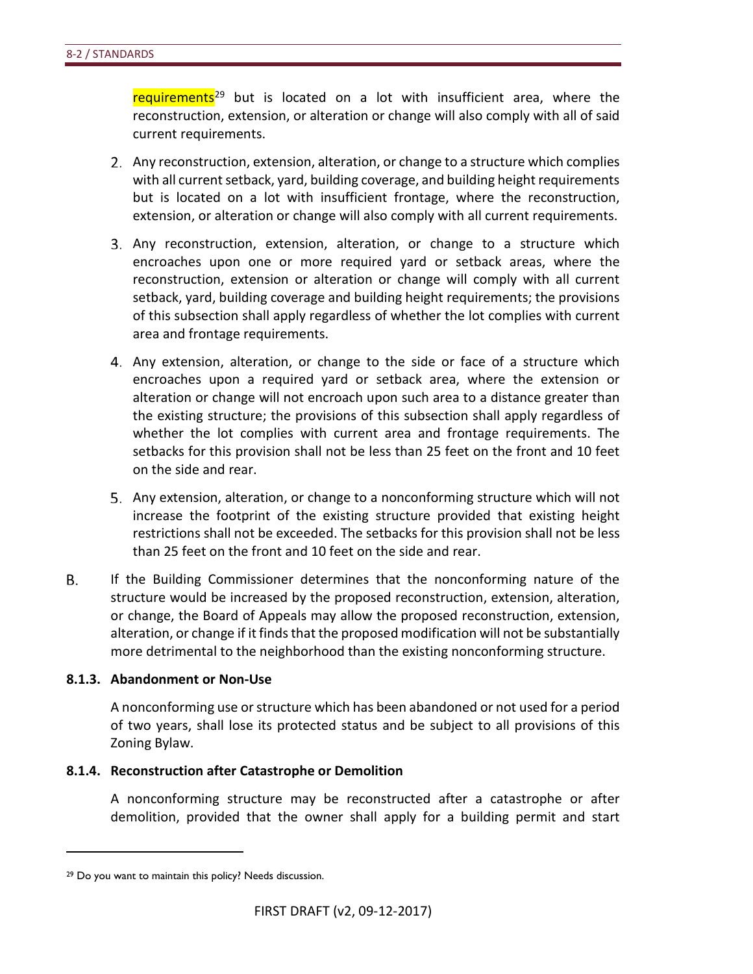requirements<sup>[29](#page-85-0)</sup> but is located on a lot with insufficient area, where the reconstruction, extension, or alteration or change will also comply with all of said current requirements.

- Any reconstruction, extension, alteration, or change to a structure which complies with all current setback, yard, building coverage, and building height requirements but is located on a lot with insufficient frontage, where the reconstruction, extension, or alteration or change will also comply with all current requirements.
- Any reconstruction, extension, alteration, or change to a structure which encroaches upon one or more required yard or setback areas, where the reconstruction, extension or alteration or change will comply with all current setback, yard, building coverage and building height requirements; the provisions of this subsection shall apply regardless of whether the lot complies with current area and frontage requirements.
- Any extension, alteration, or change to the side or face of a structure which encroaches upon a required yard or setback area, where the extension or alteration or change will not encroach upon such area to a distance greater than the existing structure; the provisions of this subsection shall apply regardless of whether the lot complies with current area and frontage requirements. The setbacks for this provision shall not be less than 25 feet on the front and 10 feet on the side and rear.
- Any extension, alteration, or change to a nonconforming structure which will not increase the footprint of the existing structure provided that existing height restrictions shall not be exceeded. The setbacks for this provision shall not be less than 25 feet on the front and 10 feet on the side and rear.
- В. If the Building Commissioner determines that the nonconforming nature of the structure would be increased by the proposed reconstruction, extension, alteration, or change, the Board of Appeals may allow the proposed reconstruction, extension, alteration, or change if it finds that the proposed modification will not be substantially more detrimental to the neighborhood than the existing nonconforming structure.

### **8.1.3. Abandonment or Non-Use**

A nonconforming use or structure which has been abandoned or not used for a period of two years, shall lose its protected status and be subject to all provisions of this Zoning Bylaw.

#### **8.1.4. Reconstruction after Catastrophe or Demolition**

A nonconforming structure may be reconstructed after a catastrophe or after demolition, provided that the owner shall apply for a building permit and start

 $\overline{a}$ 

<span id="page-85-0"></span><sup>29</sup> Do you want to maintain this policy? Needs discussion.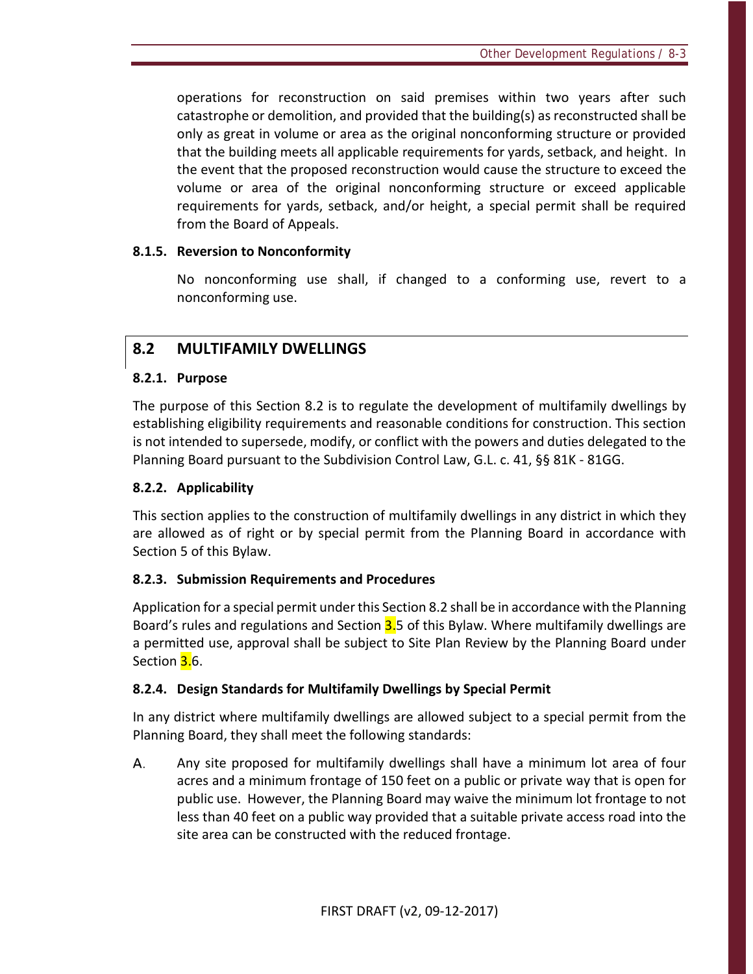operations for reconstruction on said premises within two years after such catastrophe or demolition, and provided that the building(s) as reconstructed shall be only as great in volume or area as the original nonconforming structure or provided that the building meets all applicable requirements for yards, setback, and height. In the event that the proposed reconstruction would cause the structure to exceed the volume or area of the original nonconforming structure or exceed applicable requirements for yards, setback, and/or height, a special permit shall be required from the Board of Appeals.

### **8.1.5. Reversion to Nonconformity**

No nonconforming use shall, if changed to a conforming use, revert to a nonconforming use.

# **8.2 MULTIFAMILY DWELLINGS**

# **8.2.1. Purpose**

The purpose of this Section 8.2 is to regulate the development of multifamily dwellings by establishing eligibility requirements and reasonable conditions for construction. This section is not intended to supersede, modify, or conflict with the powers and duties delegated to the Planning Board pursuant to the Subdivision Control Law, G.L. c. 41, §§ 81K - 81GG.

# **8.2.2. Applicability**

This section applies to the construction of multifamily dwellings in any district in which they are allowed as of right or by special permit from the Planning Board in accordance with Section 5 of this Bylaw.

# **8.2.3. Submission Requirements and Procedures**

Application for a special permit under this Section 8.2 shall be in accordance with the Planning Board's rules and regulations and Section 3.5 of this Bylaw. Where multifamily dwellings are a permitted use, approval shall be subject to Site Plan Review by the Planning Board under Section <mark>3.</mark>6.

# **8.2.4. Design Standards for Multifamily Dwellings by Special Permit**

In any district where multifamily dwellings are allowed subject to a special permit from the Planning Board, they shall meet the following standards:

А. Any site proposed for multifamily dwellings shall have a minimum lot area of four acres and a minimum frontage of 150 feet on a public or private way that is open for public use. However, the Planning Board may waive the minimum lot frontage to not less than 40 feet on a public way provided that a suitable private access road into the site area can be constructed with the reduced frontage.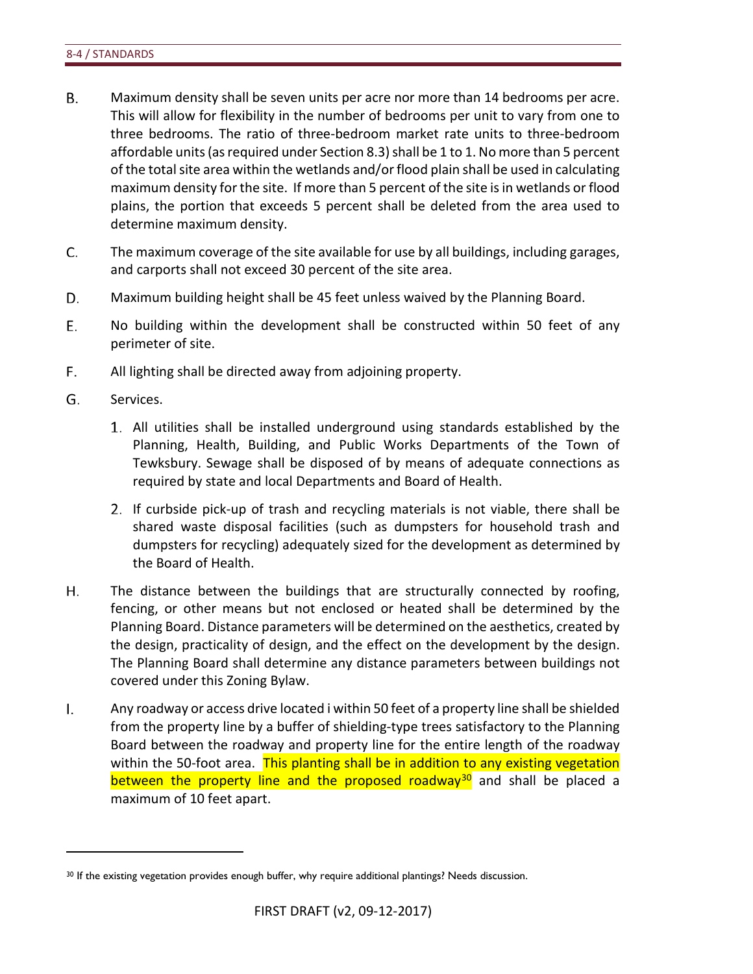- **B.** Maximum density shall be seven units per acre nor more than 14 bedrooms per acre. This will allow for flexibility in the number of bedrooms per unit to vary from one to three bedrooms. The ratio of three-bedroom market rate units to three-bedroom affordable units (as required under Section 8.3) shall be 1 to 1. No more than 5 percent of the total site area within the wetlands and/or flood plain shall be used in calculating maximum density for the site. If more than 5 percent of the site is in wetlands or flood plains, the portion that exceeds 5 percent shall be deleted from the area used to determine maximum density.
- C. The maximum coverage of the site available for use by all buildings, including garages, and carports shall not exceed 30 percent of the site area.
- D. Maximum building height shall be 45 feet unless waived by the Planning Board.
- Ε. No building within the development shall be constructed within 50 feet of any perimeter of site.
- F. All lighting shall be directed away from adjoining property.
- G. Services.

 $\overline{a}$ 

- All utilities shall be installed underground using standards established by the Planning, Health, Building, and Public Works Departments of the Town of Tewksbury. Sewage shall be disposed of by means of adequate connections as required by state and local Departments and Board of Health.
- 2. If curbside pick-up of trash and recycling materials is not viable, there shall be shared waste disposal facilities (such as dumpsters for household trash and dumpsters for recycling) adequately sized for the development as determined by the Board of Health.
- Η. The distance between the buildings that are structurally connected by roofing, fencing, or other means but not enclosed or heated shall be determined by the Planning Board. Distance parameters will be determined on the aesthetics, created by the design, practicality of design, and the effect on the development by the design. The Planning Board shall determine any distance parameters between buildings not covered under this Zoning Bylaw.
- I. Any roadway or access drive located i within 50 feet of a property line shall be shielded from the property line by a buffer of shielding-type trees satisfactory to the Planning Board between the roadway and property line for the entire length of the roadway within the 50-foot area. This planting shall be in addition to any existing vegetation between the property line and the proposed roadway<sup>30</sup> and shall be placed a maximum of 10 feet apart.

<span id="page-87-0"></span><sup>&</sup>lt;sup>30</sup> If the existing vegetation provides enough buffer, why require additional plantings? Needs discussion.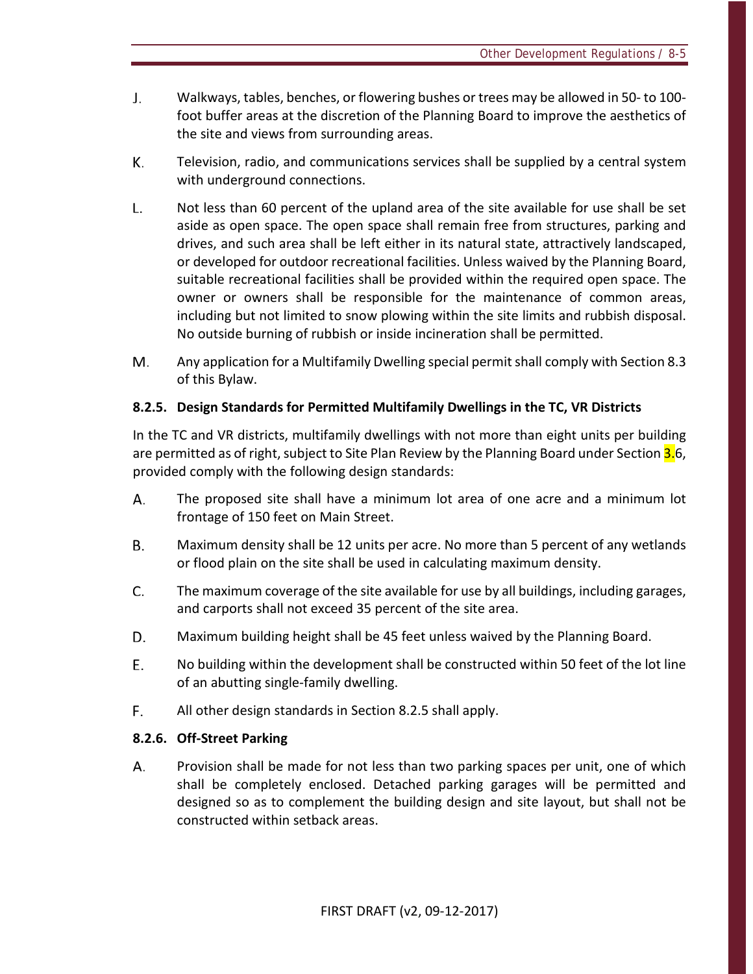- J. Walkways, tables, benches, or flowering bushes or trees may be allowed in 50- to 100 foot buffer areas at the discretion of the Planning Board to improve the aesthetics of the site and views from surrounding areas.
- К. Television, radio, and communications services shall be supplied by a central system with underground connections.
- $\mathsf{L}$ . Not less than 60 percent of the upland area of the site available for use shall be set aside as open space. The open space shall remain free from structures, parking and drives, and such area shall be left either in its natural state, attractively landscaped, or developed for outdoor recreational facilities. Unless waived by the Planning Board, suitable recreational facilities shall be provided within the required open space. The owner or owners shall be responsible for the maintenance of common areas, including but not limited to snow plowing within the site limits and rubbish disposal. No outside burning of rubbish or inside incineration shall be permitted.
- Any application for a Multifamily Dwelling special permit shall comply with Section 8.3 M. of this Bylaw.

# **8.2.5. Design Standards for Permitted Multifamily Dwellings in the TC, VR Districts**

In the TC and VR districts, multifamily dwellings with not more than eight units per building are permitted as of right, subject to Site Plan Review by the Planning Board under Section 3.6, provided comply with the following design standards:

- А. The proposed site shall have a minimum lot area of one acre and a minimum lot frontage of 150 feet on Main Street.
- **B.** Maximum density shall be 12 units per acre. No more than 5 percent of any wetlands or flood plain on the site shall be used in calculating maximum density.
- C. The maximum coverage of the site available for use by all buildings, including garages, and carports shall not exceed 35 percent of the site area.
- D. Maximum building height shall be 45 feet unless waived by the Planning Board.
- E. No building within the development shall be constructed within 50 feet of the lot line of an abutting single-family dwelling.
- F. All other design standards in Section 8.2.5 shall apply.

### **8.2.6. Off-Street Parking**

А. Provision shall be made for not less than two parking spaces per unit, one of which shall be completely enclosed. Detached parking garages will be permitted and designed so as to complement the building design and site layout, but shall not be constructed within setback areas.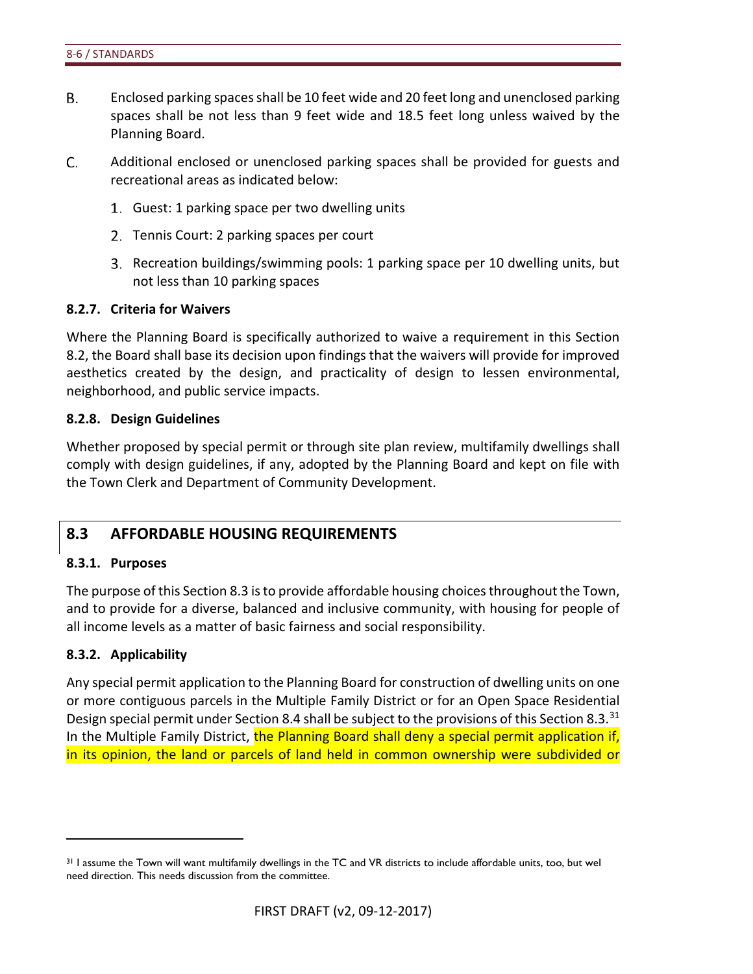- **B.** Enclosed parking spaces shall be 10 feet wide and 20 feet long and unenclosed parking spaces shall be not less than 9 feet wide and 18.5 feet long unless waived by the Planning Board.
- C. Additional enclosed or unenclosed parking spaces shall be provided for guests and recreational areas as indicated below:
	- Guest: 1 parking space per two dwelling units
	- 2. Tennis Court: 2 parking spaces per court
	- 3. Recreation buildings/swimming pools: 1 parking space per 10 dwelling units, but not less than 10 parking spaces

#### **8.2.7. Criteria for Waivers**

Where the Planning Board is specifically authorized to waive a requirement in this Section 8.2, the Board shall base its decision upon findings that the waivers will provide for improved aesthetics created by the design, and practicality of design to lessen environmental, neighborhood, and public service impacts.

#### **8.2.8. Design Guidelines**

Whether proposed by special permit or through site plan review, multifamily dwellings shall comply with design guidelines, if any, adopted by the Planning Board and kept on file with the Town Clerk and Department of Community Development.

# **8.3 AFFORDABLE HOUSING REQUIREMENTS**

#### **8.3.1. Purposes**

The purpose of this Section 8.3 is to provide affordable housing choices throughout the Town, and to provide for a diverse, balanced and inclusive community, with housing for people of all income levels as a matter of basic fairness and social responsibility.

#### **8.3.2. Applicability**

 $\overline{a}$ 

Any special permit application to the Planning Board for construction of dwelling units on one or more contiguous parcels in the Multiple Family District or for an Open Space Residential Design special permit under Section 8.4 shall be subject to the provisions of this Section 8.3.<sup>[31](#page-89-0)</sup> In the Multiple Family District, the Planning Board shall deny a special permit application if, in its opinion, the land or parcels of land held in common ownership were subdivided or

<span id="page-89-0"></span><sup>&</sup>lt;sup>31</sup> I assume the Town will want multifamily dwellings in the TC and VR districts to include affordable units, too, but wel need direction. This needs discussion from the committee.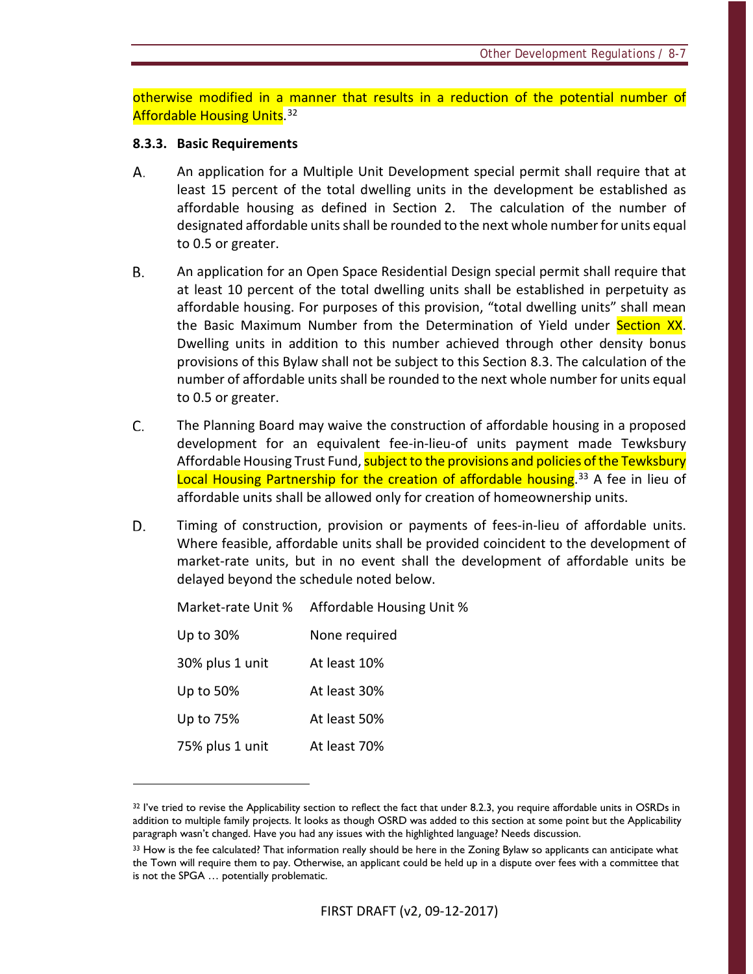otherwise modified in a manner that results in a reduction of the potential number of Affordable Housing Units.<sup>[32](#page-90-0)</sup>

### **8.3.3. Basic Requirements**

- А. An application for a Multiple Unit Development special permit shall require that at least 15 percent of the total dwelling units in the development be established as affordable housing as defined in Section 2. The calculation of the number of designated affordable units shall be rounded to the next whole number for units equal to 0.5 or greater.
- В. An application for an Open Space Residential Design special permit shall require that at least 10 percent of the total dwelling units shall be established in perpetuity as affordable housing. For purposes of this provision, "total dwelling units" shall mean the Basic Maximum Number from the Determination of Yield under Section XX. Dwelling units in addition to this number achieved through other density bonus provisions of this Bylaw shall not be subject to this Section 8.3. The calculation of the number of affordable units shall be rounded to the next whole number for units equal to 0.5 or greater.
- C. The Planning Board may waive the construction of affordable housing in a proposed development for an equivalent fee-in-lieu-of units payment made Tewksbury Affordable Housing Trust Fund, subject to the provisions and policies of the Tewksbury Local Housing Partnership for the creation of affordable housing.<sup>[33](#page-90-1)</sup> A fee in lieu of affordable units shall be allowed only for creation of homeownership units.
- D. Timing of construction, provision or payments of fees-in-lieu of affordable units. Where feasible, affordable units shall be provided coincident to the development of market-rate units, but in no event shall the development of affordable units be delayed beyond the schedule noted below.

Market-rate Unit % Affordable Housing Unit %

| Up to 30%       | None required |
|-----------------|---------------|
| 30% plus 1 unit | At least 10%  |
| Up to 50%       | At least 30%  |
| Up to 75%       | At least 50%  |
| 75% plus 1 unit | At least 70%  |

 $\overline{a}$ 

<span id="page-90-0"></span><sup>&</sup>lt;sup>32</sup> I've tried to revise the Applicability section to reflect the fact that under 8.2.3, you require affordable units in OSRDs in addition to multiple family projects. It looks as though OSRD was added to this section at some point but the Applicability paragraph wasn't changed. Have you had any issues with the highlighted language? Needs discussion.

<span id="page-90-1"></span><sup>33</sup> How is the fee calculated? That information really should be here in the Zoning Bylaw so applicants can anticipate what the Town will require them to pay. Otherwise, an applicant could be held up in a dispute over fees with a committee that is not the SPGA … potentially problematic.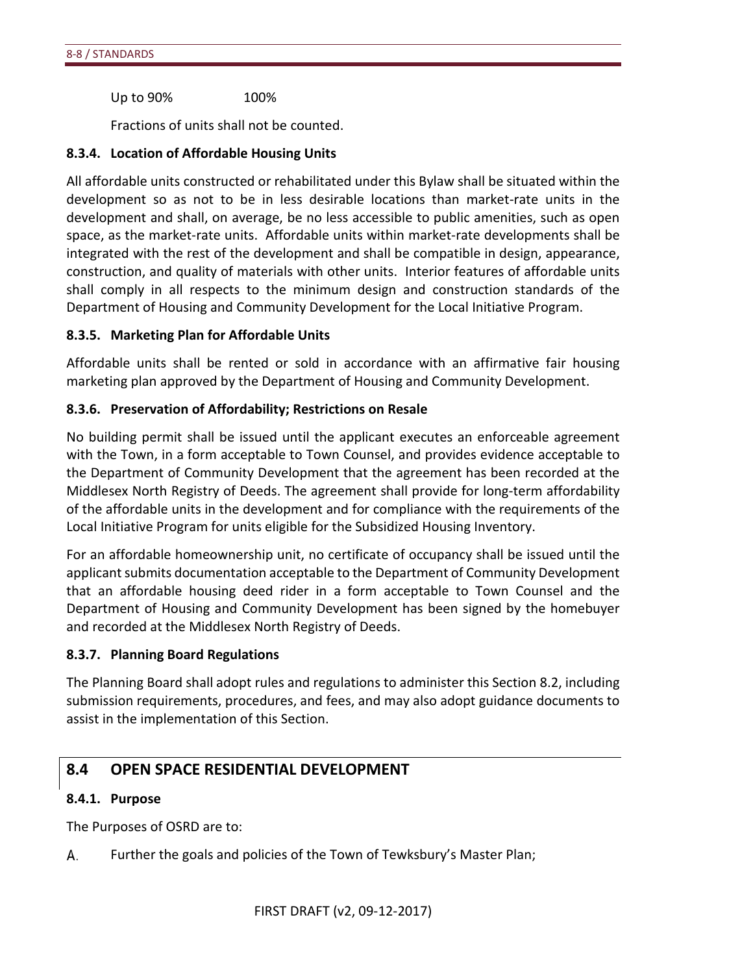Up to 90% 100%

Fractions of units shall not be counted.

### **8.3.4. Location of Affordable Housing Units**

All affordable units constructed or rehabilitated under this Bylaw shall be situated within the development so as not to be in less desirable locations than market-rate units in the development and shall, on average, be no less accessible to public amenities, such as open space, as the market-rate units. Affordable units within market-rate developments shall be integrated with the rest of the development and shall be compatible in design, appearance, construction, and quality of materials with other units. Interior features of affordable units shall comply in all respects to the minimum design and construction standards of the Department of Housing and Community Development for the Local Initiative Program.

### **8.3.5. Marketing Plan for Affordable Units**

Affordable units shall be rented or sold in accordance with an affirmative fair housing marketing plan approved by the Department of Housing and Community Development.

### **8.3.6. Preservation of Affordability; Restrictions on Resale**

No building permit shall be issued until the applicant executes an enforceable agreement with the Town, in a form acceptable to Town Counsel, and provides evidence acceptable to the Department of Community Development that the agreement has been recorded at the Middlesex North Registry of Deeds. The agreement shall provide for long-term affordability of the affordable units in the development and for compliance with the requirements of the Local Initiative Program for units eligible for the Subsidized Housing Inventory.

For an affordable homeownership unit, no certificate of occupancy shall be issued until the applicant submits documentation acceptable to the Department of Community Development that an affordable housing deed rider in a form acceptable to Town Counsel and the Department of Housing and Community Development has been signed by the homebuyer and recorded at the Middlesex North Registry of Deeds.

### **8.3.7. Planning Board Regulations**

The Planning Board shall adopt rules and regulations to administer this Section 8.2, including submission requirements, procedures, and fees, and may also adopt guidance documents to assist in the implementation of this Section.

# **8.4 OPEN SPACE RESIDENTIAL DEVELOPMENT**

### **8.4.1. Purpose**

The Purposes of OSRD are to:

А. Further the goals and policies of the Town of Tewksbury's Master Plan;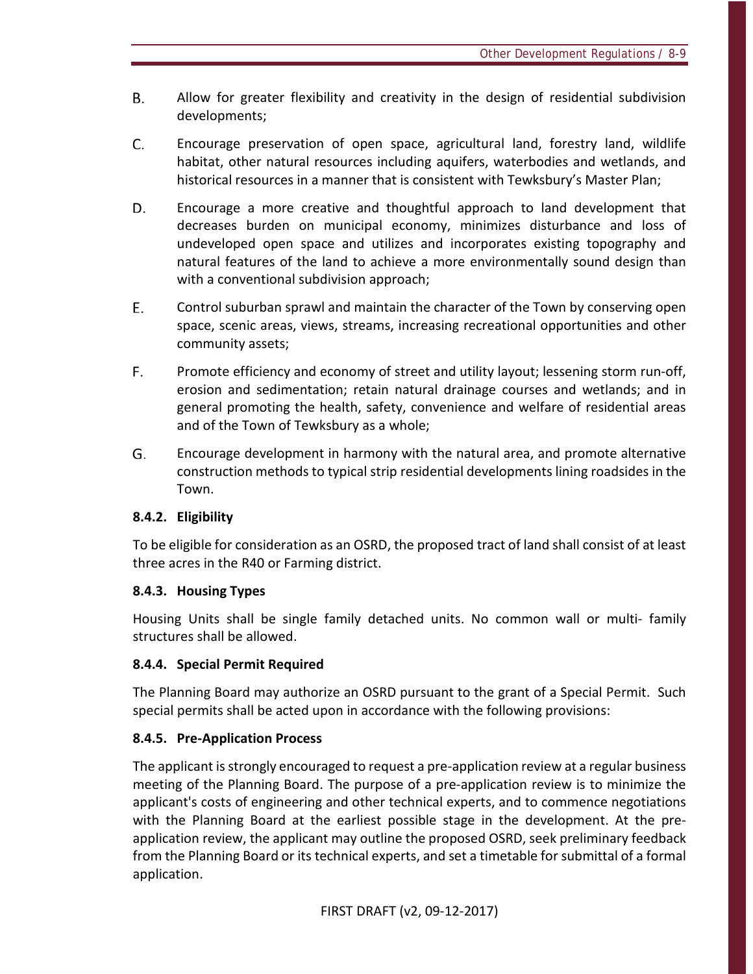- **B.** Allow for greater flexibility and creativity in the design of residential subdivision developments;
- C. Encourage preservation of open space, agricultural land, forestry land, wildlife habitat, other natural resources including aquifers, waterbodies and wetlands, and historical resources in a manner that is consistent with Tewksbury's Master Plan;
- D. Encourage a more creative and thoughtful approach to land development that decreases burden on municipal economy, minimizes disturbance and loss of undeveloped open space and utilizes and incorporates existing topography and natural features of the land to achieve a more environmentally sound design than with a conventional subdivision approach;
- E. Control suburban sprawl and maintain the character of the Town by conserving open space, scenic areas, views, streams, increasing recreational opportunities and other community assets;
- F. Promote efficiency and economy of street and utility layout; lessening storm run-off, erosion and sedimentation; retain natural drainage courses and wetlands; and in general promoting the health, safety, convenience and welfare of residential areas and of the Town of Tewksbury as a whole;
- G. Encourage development in harmony with the natural area, and promote alternative construction methods to typical strip residential developments lining roadsides in the Town.

# **8.4.2. Eligibility**

To be eligible for consideration as an OSRD, the proposed tract of land shall consist of at least three acres in the R40 or Farming district.

# **8.4.3. Housing Types**

Housing Units shall be single family detached units. No common wall or multi- family structures shall be allowed.

# **8.4.4. Special Permit Required**

The Planning Board may authorize an OSRD pursuant to the grant of a Special Permit. Such special permits shall be acted upon in accordance with the following provisions:

# **8.4.5. Pre-Application Process**

The applicant is strongly encouraged to request a pre-application review at a regular business meeting of the Planning Board. The purpose of a pre-application review is to minimize the applicant's costs of engineering and other technical experts, and to commence negotiations with the Planning Board at the earliest possible stage in the development. At the preapplication review, the applicant may outline the proposed OSRD, seek preliminary feedback from the Planning Board or its technical experts, and set a timetable for submittal of a formal application.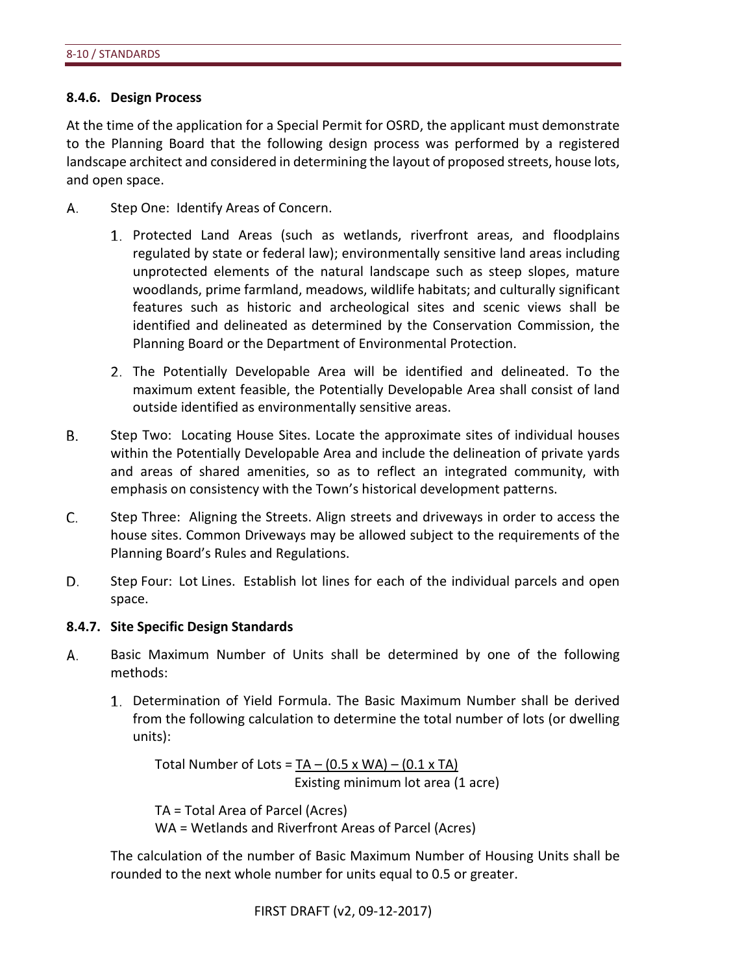### **8.4.6. Design Process**

At the time of the application for a Special Permit for OSRD, the applicant must demonstrate to the Planning Board that the following design process was performed by a registered landscape architect and considered in determining the layout of proposed streets, house lots, and open space.

- А. Step One: Identify Areas of Concern.
	- 1. Protected Land Areas (such as wetlands, riverfront areas, and floodplains regulated by state or federal law); environmentally sensitive land areas including unprotected elements of the natural landscape such as steep slopes, mature woodlands, prime farmland, meadows, wildlife habitats; and culturally significant features such as historic and archeological sites and scenic views shall be identified and delineated as determined by the Conservation Commission, the Planning Board or the Department of Environmental Protection.
	- The Potentially Developable Area will be identified and delineated. To the maximum extent feasible, the Potentially Developable Area shall consist of land outside identified as environmentally sensitive areas.
- В. Step Two: Locating House Sites. Locate the approximate sites of individual houses within the Potentially Developable Area and include the delineation of private yards and areas of shared amenities, so as to reflect an integrated community, with emphasis on consistency with the Town's historical development patterns.
- C. Step Three: Aligning the Streets. Align streets and driveways in order to access the house sites. Common Driveways may be allowed subject to the requirements of the Planning Board's Rules and Regulations.
- D. Step Four: Lot Lines. Establish lot lines for each of the individual parcels and open space.

### **8.4.7. Site Specific Design Standards**

- А. Basic Maximum Number of Units shall be determined by one of the following methods:
	- Determination of Yield Formula. The Basic Maximum Number shall be derived from the following calculation to determine the total number of lots (or dwelling units):

Total Number of Lots =  $TA - (0.5 \times WA) - (0.1 \times TA)$ Existing minimum lot area (1 acre)

TA = Total Area of Parcel (Acres) WA = Wetlands and Riverfront Areas of Parcel (Acres)

The calculation of the number of Basic Maximum Number of Housing Units shall be rounded to the next whole number for units equal to 0.5 or greater.

```
FIRST DRAFT (v2, 09-12-2017)
```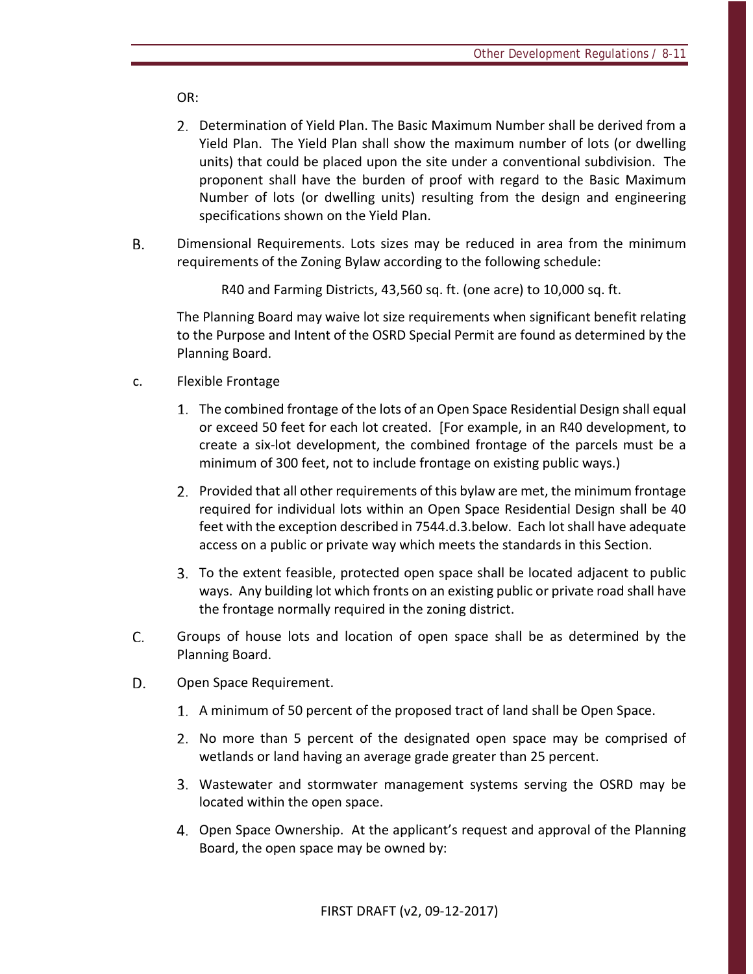OR:

- Determination of Yield Plan. The Basic Maximum Number shall be derived from a Yield Plan. The Yield Plan shall show the maximum number of lots (or dwelling units) that could be placed upon the site under a conventional subdivision. The proponent shall have the burden of proof with regard to the Basic Maximum Number of lots (or dwelling units) resulting from the design and engineering specifications shown on the Yield Plan.
- **B.** Dimensional Requirements. Lots sizes may be reduced in area from the minimum requirements of the Zoning Bylaw according to the following schedule:

R40 and Farming Districts, 43,560 sq. ft. (one acre) to 10,000 sq. ft.

The Planning Board may waive lot size requirements when significant benefit relating to the Purpose and Intent of the OSRD Special Permit are found as determined by the Planning Board.

- c. Flexible Frontage
	- The combined frontage of the lots of an Open Space Residential Design shall equal or exceed 50 feet for each lot created. [For example, in an R40 development, to create a six-lot development, the combined frontage of the parcels must be a minimum of 300 feet, not to include frontage on existing public ways.)
	- 2. Provided that all other requirements of this bylaw are met, the minimum frontage required for individual lots within an Open Space Residential Design shall be 40 feet with the exception described in 7544.d.3.below. Each lot shall have adequate access on a public or private way which meets the standards in this Section.
	- To the extent feasible, protected open space shall be located adjacent to public ways. Any building lot which fronts on an existing public or private road shall have the frontage normally required in the zoning district.
- C. Groups of house lots and location of open space shall be as determined by the Planning Board.
- D. Open Space Requirement.
	- A minimum of 50 percent of the proposed tract of land shall be Open Space.
	- 2. No more than 5 percent of the designated open space may be comprised of wetlands or land having an average grade greater than 25 percent.
	- Wastewater and stormwater management systems serving the OSRD may be located within the open space.
	- Open Space Ownership. At the applicant's request and approval of the Planning Board, the open space may be owned by: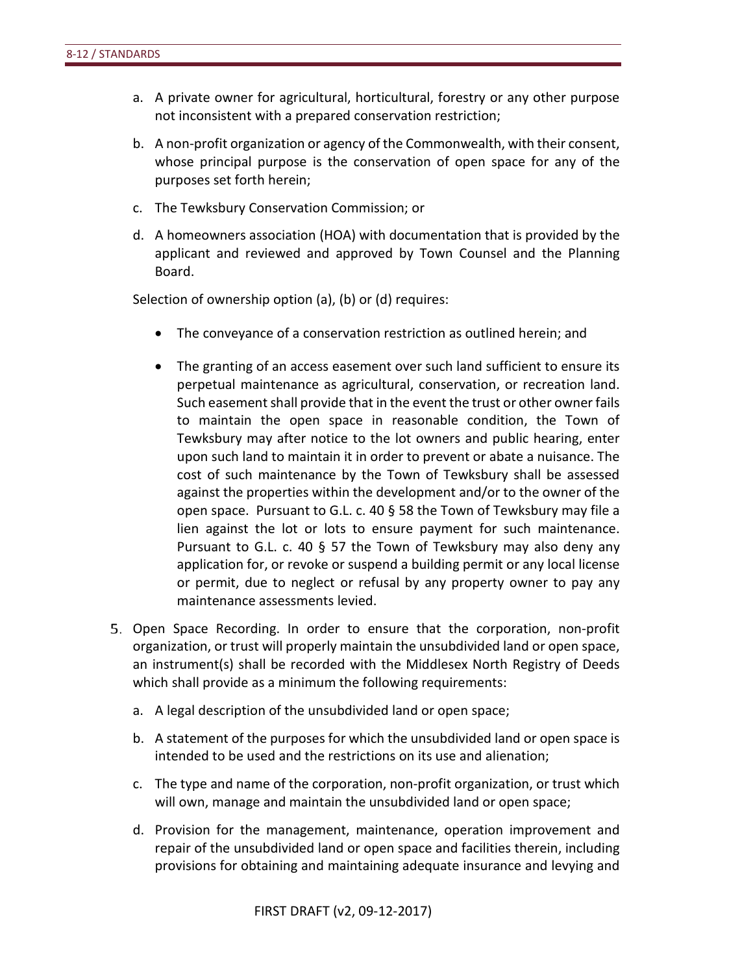- a. A private owner for agricultural, horticultural, forestry or any other purpose not inconsistent with a prepared conservation restriction;
- b. A non-profit organization or agency of the Commonwealth, with their consent, whose principal purpose is the conservation of open space for any of the purposes set forth herein;
- c. The Tewksbury Conservation Commission; or
- d. A homeowners association (HOA) with documentation that is provided by the applicant and reviewed and approved by Town Counsel and the Planning Board.

Selection of ownership option (a), (b) or (d) requires:

- The conveyance of a conservation restriction as outlined herein; and
- The granting of an access easement over such land sufficient to ensure its perpetual maintenance as agricultural, conservation, or recreation land. Such easement shall provide that in the event the trust or other owner fails to maintain the open space in reasonable condition, the Town of Tewksbury may after notice to the lot owners and public hearing, enter upon such land to maintain it in order to prevent or abate a nuisance. The cost of such maintenance by the Town of Tewksbury shall be assessed against the properties within the development and/or to the owner of the open space. Pursuant to G.L. c. 40 § 58 the Town of Tewksbury may file a lien against the lot or lots to ensure payment for such maintenance. Pursuant to G.L. c. 40 § 57 the Town of Tewksbury may also deny any application for, or revoke or suspend a building permit or any local license or permit, due to neglect or refusal by any property owner to pay any maintenance assessments levied.
- 5. Open Space Recording. In order to ensure that the corporation, non-profit organization, or trust will properly maintain the unsubdivided land or open space, an instrument(s) shall be recorded with the Middlesex North Registry of Deeds which shall provide as a minimum the following requirements:
	- a. A legal description of the unsubdivided land or open space;
	- b. A statement of the purposes for which the unsubdivided land or open space is intended to be used and the restrictions on its use and alienation;
	- c. The type and name of the corporation, non-profit organization, or trust which will own, manage and maintain the unsubdivided land or open space;
	- d. Provision for the management, maintenance, operation improvement and repair of the unsubdivided land or open space and facilities therein, including provisions for obtaining and maintaining adequate insurance and levying and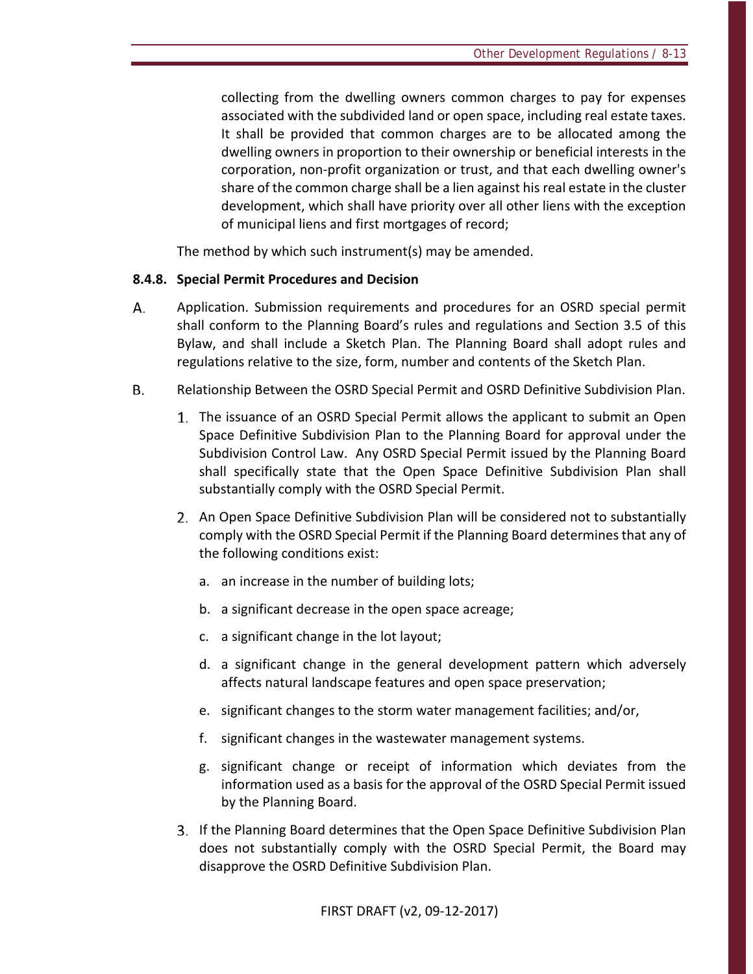collecting from the dwelling owners common charges to pay for expenses associated with the subdivided land or open space, including real estate taxes. It shall be provided that common charges are to be allocated among the dwelling owners in proportion to their ownership or beneficial interests in the corporation, non-profit organization or trust, and that each dwelling owner's share of the common charge shall be a lien against his real estate in the cluster development, which shall have priority over all other liens with the exception of municipal liens and first mortgages of record;

The method by which such instrument(s) may be amended.

### **8.4.8. Special Permit Procedures and Decision**

- А. Application. Submission requirements and procedures for an OSRD special permit shall conform to the Planning Board's rules and regulations and Section 3.5 of this Bylaw, and shall include a Sketch Plan. The Planning Board shall adopt rules and regulations relative to the size, form, number and contents of the Sketch Plan.
- **B.** Relationship Between the OSRD Special Permit and OSRD Definitive Subdivision Plan.
	- The issuance of an OSRD Special Permit allows the applicant to submit an Open Space Definitive Subdivision Plan to the Planning Board for approval under the Subdivision Control Law. Any OSRD Special Permit issued by the Planning Board shall specifically state that the Open Space Definitive Subdivision Plan shall substantially comply with the OSRD Special Permit.
	- An Open Space Definitive Subdivision Plan will be considered not to substantially comply with the OSRD Special Permit if the Planning Board determines that any of the following conditions exist:
		- a. an increase in the number of building lots;
		- b. a significant decrease in the open space acreage;
		- c. a significant change in the lot layout;
		- d. a significant change in the general development pattern which adversely affects natural landscape features and open space preservation;
		- e. significant changes to the storm water management facilities; and/or,
		- f. significant changes in the wastewater management systems.
		- g. significant change or receipt of information which deviates from the information used as a basis for the approval of the OSRD Special Permit issued by the Planning Board.
	- If the Planning Board determines that the Open Space Definitive Subdivision Plan does not substantially comply with the OSRD Special Permit, the Board may disapprove the OSRD Definitive Subdivision Plan.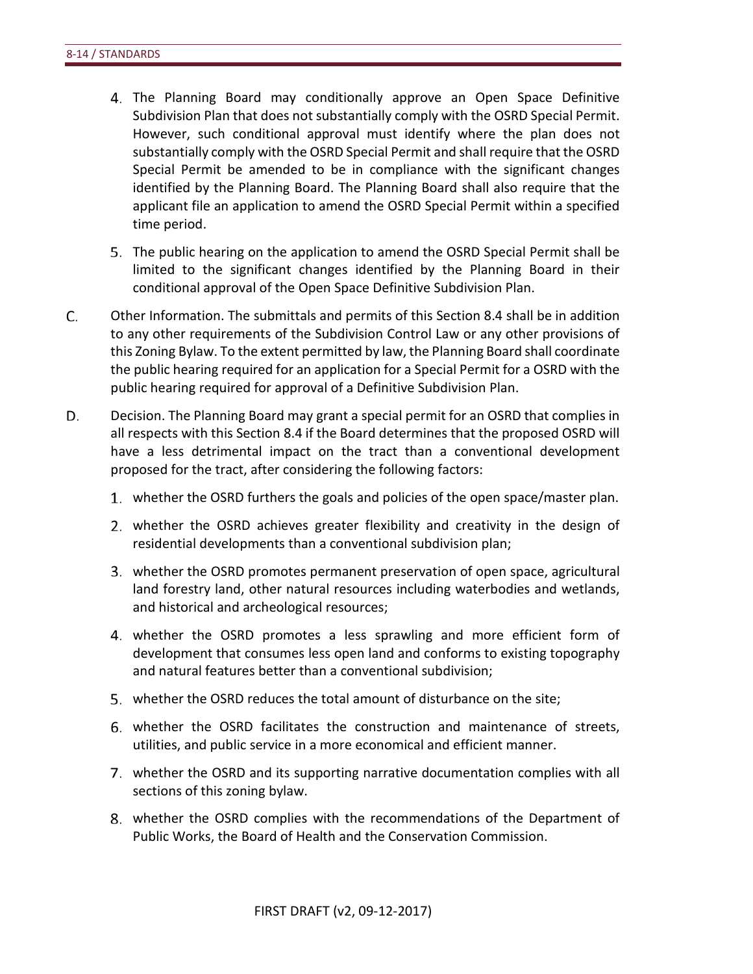- The Planning Board may conditionally approve an Open Space Definitive Subdivision Plan that does not substantially comply with the OSRD Special Permit. However, such conditional approval must identify where the plan does not substantially comply with the OSRD Special Permit and shall require that the OSRD Special Permit be amended to be in compliance with the significant changes identified by the Planning Board. The Planning Board shall also require that the applicant file an application to amend the OSRD Special Permit within a specified time period.
- The public hearing on the application to amend the OSRD Special Permit shall be limited to the significant changes identified by the Planning Board in their conditional approval of the Open Space Definitive Subdivision Plan.
- C. Other Information. The submittals and permits of this Section 8.4 shall be in addition to any other requirements of the Subdivision Control Law or any other provisions of this Zoning Bylaw. To the extent permitted by law, the Planning Board shall coordinate the public hearing required for an application for a Special Permit for a OSRD with the public hearing required for approval of a Definitive Subdivision Plan.
- D. Decision. The Planning Board may grant a special permit for an OSRD that complies in all respects with this Section 8.4 if the Board determines that the proposed OSRD will have a less detrimental impact on the tract than a conventional development proposed for the tract, after considering the following factors:
	- whether the OSRD furthers the goals and policies of the open space/master plan.
	- whether the OSRD achieves greater flexibility and creativity in the design of residential developments than a conventional subdivision plan;
	- whether the OSRD promotes permanent preservation of open space, agricultural land forestry land, other natural resources including waterbodies and wetlands, and historical and archeological resources;
	- whether the OSRD promotes a less sprawling and more efficient form of development that consumes less open land and conforms to existing topography and natural features better than a conventional subdivision;
	- whether the OSRD reduces the total amount of disturbance on the site;
	- whether the OSRD facilitates the construction and maintenance of streets, utilities, and public service in a more economical and efficient manner.
	- whether the OSRD and its supporting narrative documentation complies with all sections of this zoning bylaw.
	- whether the OSRD complies with the recommendations of the Department of Public Works, the Board of Health and the Conservation Commission.